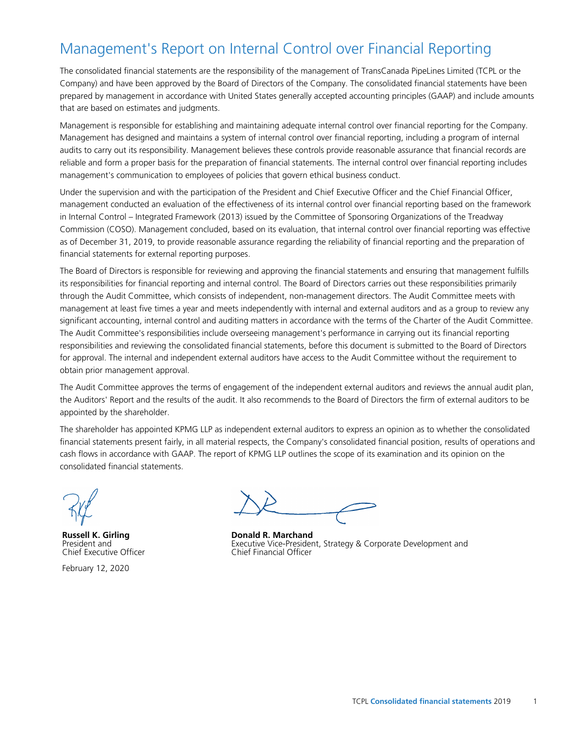# Management's Report on Internal Control over Financial Reporting

The consolidated financial statements are the responsibility of the management of TransCanada PipeLines Limited (TCPL or the Company) and have been approved by the Board of Directors of the Company. The consolidated financial statements have been prepared by management in accordance with United States generally accepted accounting principles (GAAP) and include amounts that are based on estimates and judgments.

Management is responsible for establishing and maintaining adequate internal control over financial reporting for the Company. Management has designed and maintains a system of internal control over financial reporting, including a program of internal audits to carry out its responsibility. Management believes these controls provide reasonable assurance that financial records are reliable and form a proper basis for the preparation of financial statements. The internal control over financial reporting includes management's communication to employees of policies that govern ethical business conduct.

Under the supervision and with the participation of the President and Chief Executive Officer and the Chief Financial Officer, management conducted an evaluation of the effectiveness of its internal control over financial reporting based on the framework in Internal Control – Integrated Framework (2013) issued by the Committee of Sponsoring Organizations of the Treadway Commission (COSO). Management concluded, based on its evaluation, that internal control over financial reporting was effective as of December 31, 2019, to provide reasonable assurance regarding the reliability of financial reporting and the preparation of financial statements for external reporting purposes.

The Board of Directors is responsible for reviewing and approving the financial statements and ensuring that management fulfills its responsibilities for financial reporting and internal control. The Board of Directors carries out these responsibilities primarily through the Audit Committee, which consists of independent, non-management directors. The Audit Committee meets with management at least five times a year and meets independently with internal and external auditors and as a group to review any significant accounting, internal control and auditing matters in accordance with the terms of the Charter of the Audit Committee. The Audit Committee's responsibilities include overseeing management's performance in carrying out its financial reporting responsibilities and reviewing the consolidated financial statements, before this document is submitted to the Board of Directors for approval. The internal and independent external auditors have access to the Audit Committee without the requirement to obtain prior management approval.

The Audit Committee approves the terms of engagement of the independent external auditors and reviews the annual audit plan, the Auditors' Report and the results of the audit. It also recommends to the Board of Directors the firm of external auditors to be appointed by the shareholder.

The shareholder has appointed KPMG LLP as independent external auditors to express an opinion as to whether the consolidated financial statements present fairly, in all material respects, the Company's consolidated financial position, results of operations and cash flows in accordance with GAAP. The report of KPMG LLP outlines the scope of its examination and its opinion on the consolidated financial statements.

**Russell K. Girling** President and Chief Executive Officer

February 12, 2020

**Donald R. Marchand** Executive Vice-President, Strategy & Corporate Development and Chief Financial Officer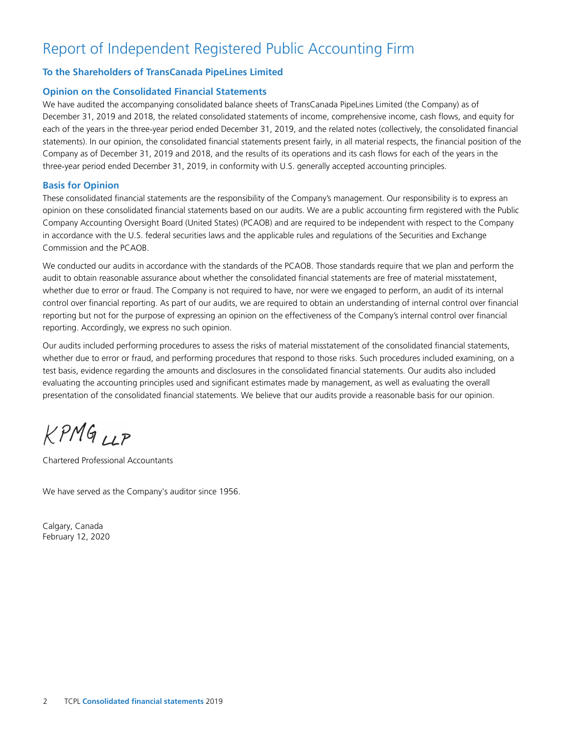# Report of Independent Registered Public Accounting Firm

# **To the Shareholders of TransCanada PipeLines Limited**

# **Opinion on the Consolidated Financial Statements**

We have audited the accompanying consolidated balance sheets of TransCanada PipeLines Limited (the Company) as of December 31, 2019 and 2018, the related consolidated statements of income, comprehensive income, cash flows, and equity for each of the years in the three-year period ended December 31, 2019, and the related notes (collectively, the consolidated financial statements). In our opinion, the consolidated financial statements present fairly, in all material respects, the financial position of the Company as of December 31, 2019 and 2018, and the results of its operations and its cash flows for each of the years in the three‑year period ended December 31, 2019, in conformity with U.S. generally accepted accounting principles.

# **Basis for Opinion**

These consolidated financial statements are the responsibility of the Company's management. Our responsibility is to express an opinion on these consolidated financial statements based on our audits. We are a public accounting firm registered with the Public Company Accounting Oversight Board (United States) (PCAOB) and are required to be independent with respect to the Company in accordance with the U.S. federal securities laws and the applicable rules and regulations of the Securities and Exchange Commission and the PCAOB.

We conducted our audits in accordance with the standards of the PCAOB. Those standards require that we plan and perform the audit to obtain reasonable assurance about whether the consolidated financial statements are free of material misstatement, whether due to error or fraud. The Company is not required to have, nor were we engaged to perform, an audit of its internal control over financial reporting. As part of our audits, we are required to obtain an understanding of internal control over financial reporting but not for the purpose of expressing an opinion on the effectiveness of the Company's internal control over financial reporting. Accordingly, we express no such opinion.

Our audits included performing procedures to assess the risks of material misstatement of the consolidated financial statements, whether due to error or fraud, and performing procedures that respond to those risks. Such procedures included examining, on a test basis, evidence regarding the amounts and disclosures in the consolidated financial statements. Our audits also included evaluating the accounting principles used and significant estimates made by management, as well as evaluating the overall presentation of the consolidated financial statements. We believe that our audits provide a reasonable basis for our opinion.

 $KPMG_{LLP}$ 

Chartered Professional Accountants

We have served as the Company's auditor since 1956.

Calgary, Canada February 12, 2020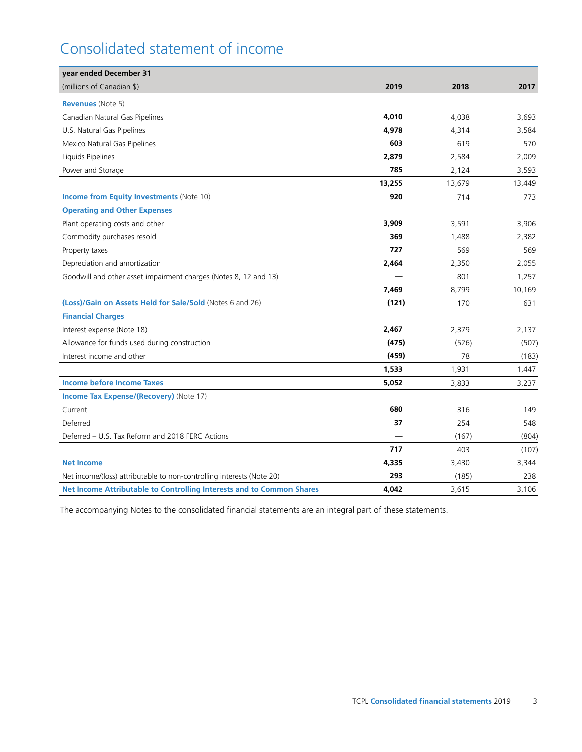# Consolidated statement of income

| year ended December 31                                                |        |        |        |
|-----------------------------------------------------------------------|--------|--------|--------|
| (millions of Canadian \$)                                             | 2019   | 2018   | 2017   |
| <b>Revenues</b> (Note 5)                                              |        |        |        |
| Canadian Natural Gas Pipelines                                        | 4,010  | 4,038  | 3,693  |
| U.S. Natural Gas Pipelines                                            | 4,978  | 4,314  | 3,584  |
| Mexico Natural Gas Pipelines                                          | 603    | 619    | 570    |
| Liquids Pipelines                                                     | 2,879  | 2,584  | 2,009  |
| Power and Storage                                                     | 785    | 2,124  | 3,593  |
|                                                                       | 13,255 | 13,679 | 13,449 |
| <b>Income from Equity Investments (Note 10)</b>                       | 920    | 714    | 773    |
| <b>Operating and Other Expenses</b>                                   |        |        |        |
| Plant operating costs and other                                       | 3,909  | 3,591  | 3,906  |
| Commodity purchases resold                                            | 369    | 1,488  | 2,382  |
| Property taxes                                                        | 727    | 569    | 569    |
| Depreciation and amortization                                         | 2,464  | 2,350  | 2,055  |
| Goodwill and other asset impairment charges (Notes 8, 12 and 13)      |        | 801    | 1,257  |
|                                                                       | 7,469  | 8,799  | 10,169 |
| (Loss)/Gain on Assets Held for Sale/Sold (Notes 6 and 26)             | (121)  | 170    | 631    |
| <b>Financial Charges</b>                                              |        |        |        |
| Interest expense (Note 18)                                            | 2,467  | 2,379  | 2,137  |
| Allowance for funds used during construction                          | (475)  | (526)  | (507)  |
| Interest income and other                                             | (459)  | 78     | (183)  |
|                                                                       | 1,533  | 1,931  | 1,447  |
| <b>Income before Income Taxes</b>                                     | 5,052  | 3,833  | 3,237  |
| <b>Income Tax Expense/(Recovery)</b> (Note 17)                        |        |        |        |
| Current                                                               | 680    | 316    | 149    |
| Deferred                                                              | 37     | 254    | 548    |
| Deferred - U.S. Tax Reform and 2018 FERC Actions                      |        | (167)  | (804)  |
|                                                                       | 717    | 403    | (107)  |
| <b>Net Income</b>                                                     | 4,335  | 3,430  | 3,344  |
| Net income/(loss) attributable to non-controlling interests (Note 20) | 293    | (185)  | 238    |
| Net Income Attributable to Controlling Interests and to Common Shares | 4.042  | 3,615  | 3,106  |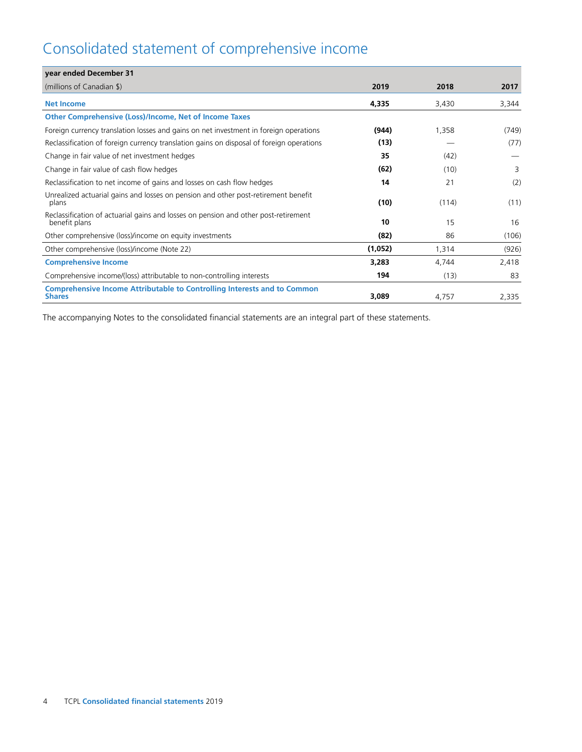# Consolidated statement of comprehensive income

| year ended December 31                                                                               |         |       |       |
|------------------------------------------------------------------------------------------------------|---------|-------|-------|
| (millions of Canadian \$)                                                                            | 2019    | 2018  | 2017  |
| <b>Net Income</b>                                                                                    | 4,335   | 3,430 | 3,344 |
| <b>Other Comprehensive (Loss)/Income, Net of Income Taxes</b>                                        |         |       |       |
| Foreign currency translation losses and gains on net investment in foreign operations                | (944)   | 1,358 | (749) |
| Reclassification of foreign currency translation gains on disposal of foreign operations             | (13)    |       | (77)  |
| Change in fair value of net investment hedges                                                        | 35      | (42)  |       |
| Change in fair value of cash flow hedges                                                             | (62)    | (10)  | 3     |
| Reclassification to net income of gains and losses on cash flow hedges                               | 14      | 21    | (2)   |
| Unrealized actuarial gains and losses on pension and other post-retirement benefit<br>plans          | (10)    | (114) | (11)  |
| Reclassification of actuarial gains and losses on pension and other post-retirement<br>benefit plans | 10      | 15    | 16    |
| Other comprehensive (loss)/income on equity investments                                              | (82)    | 86    | (106) |
| Other comprehensive (loss)/income (Note 22)                                                          | (1,052) | 1,314 | (926) |
| <b>Comprehensive Income</b>                                                                          | 3,283   | 4,744 | 2,418 |
| Comprehensive income/(loss) attributable to non-controlling interests                                | 194     | (13)  | 83    |
| <b>Comprehensive Income Attributable to Controlling Interests and to Common</b><br><b>Shares</b>     | 3,089   | 4,757 | 2,335 |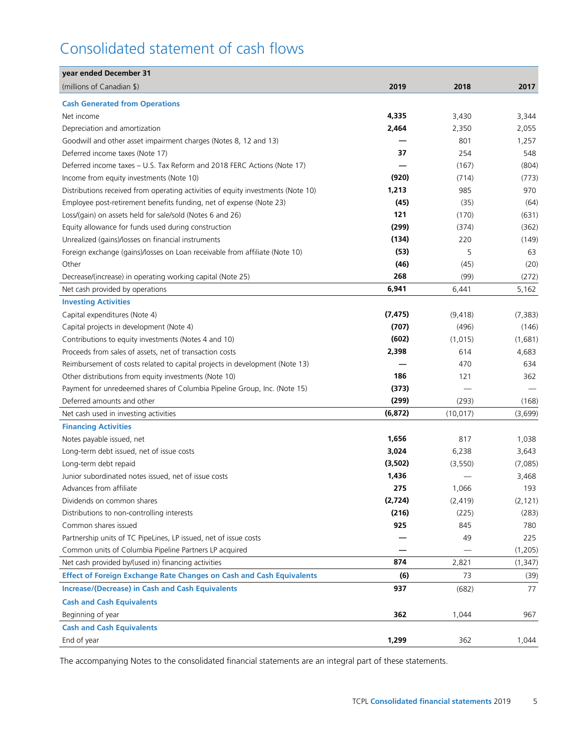# Consolidated statement of cash flows

| year ended December 31                                                           |          |           |          |
|----------------------------------------------------------------------------------|----------|-----------|----------|
| (millions of Canadian \$)                                                        | 2019     | 2018      | 2017     |
| <b>Cash Generated from Operations</b>                                            |          |           |          |
| Net income                                                                       | 4,335    | 3,430     | 3,344    |
| Depreciation and amortization                                                    | 2,464    | 2,350     | 2,055    |
| Goodwill and other asset impairment charges (Notes 8, 12 and 13)                 |          | 801       | 1,257    |
| Deferred income taxes (Note 17)                                                  | 37       | 254       | 548      |
| Deferred income taxes - U.S. Tax Reform and 2018 FERC Actions (Note 17)          |          | (167)     | (804)    |
| Income from equity investments (Note 10)                                         | (920)    | (714)     | (773)    |
| Distributions received from operating activities of equity investments (Note 10) | 1,213    | 985       | 970      |
| Employee post-retirement benefits funding, net of expense (Note 23)              | (45)     | (35)      | (64)     |
| Loss/(gain) on assets held for sale/sold (Notes 6 and 26)                        | 121      | (170)     | (631)    |
| Equity allowance for funds used during construction                              | (299)    | (374)     | (362)    |
| Unrealized (gains)/losses on financial instruments                               | (134)    | 220       | (149)    |
| Foreign exchange (gains)/losses on Loan receivable from affiliate (Note 10)      | (53)     | 5         | 63       |
| Other                                                                            | (46)     | (45)      | (20)     |
| Decrease/(increase) in operating working capital (Note 25)                       | 268      | (99)      | (272)    |
| Net cash provided by operations                                                  | 6,941    | 6,441     | 5,162    |
| <b>Investing Activities</b>                                                      |          |           |          |
| Capital expenditures (Note 4)                                                    | (7, 475) | (9, 418)  | (7, 383) |
| Capital projects in development (Note 4)                                         | (707)    | (496)     | (146)    |
| Contributions to equity investments (Notes 4 and 10)                             | (602)    | (1,015)   | (1,681)  |
| Proceeds from sales of assets, net of transaction costs                          | 2,398    | 614       | 4,683    |
| Reimbursement of costs related to capital projects in development (Note 13)      |          | 470       | 634      |
| Other distributions from equity investments (Note 10)                            | 186      | 121       | 362      |
| Payment for unredeemed shares of Columbia Pipeline Group, Inc. (Note 15)         | (373)    |           |          |
| Deferred amounts and other                                                       | (299)    | (293)     | (168)    |
| Net cash used in investing activities                                            | (6, 872) | (10, 017) | (3,699)  |
| <b>Financing Activities</b>                                                      |          |           |          |
| Notes payable issued, net                                                        | 1,656    | 817       | 1,038    |
| Long-term debt issued, net of issue costs                                        | 3,024    | 6,238     | 3,643    |
| Long-term debt repaid                                                            | (3,502)  | (3, 550)  | (7,085)  |
| Junior subordinated notes issued, net of issue costs                             | 1,436    |           | 3,468    |
| Advances from affiliate                                                          | 275      | 1,066     | 193      |
| Dividends on common shares                                                       | (2,724)  | (2, 419)  | (2, 121) |
| Distributions to non-controlling interests                                       | (216)    | (225)     | (283)    |
| Common shares issued                                                             | 925      | 845       | 780      |
| Partnership units of TC PipeLines, LP issued, net of issue costs                 |          | 49        | 225      |
| Common units of Columbia Pipeline Partners LP acquired                           |          |           | (1,205)  |
| Net cash provided by/(used in) financing activities                              | 874      | 2,821     | (1, 347) |
| <b>Effect of Foreign Exchange Rate Changes on Cash and Cash Equivalents</b>      | (6)      | 73        |          |
|                                                                                  | 937      |           | (39)     |
| <b>Increase/(Decrease) in Cash and Cash Equivalents</b>                          |          | (682)     | 77       |
| <b>Cash and Cash Equivalents</b>                                                 |          |           |          |
| Beginning of year                                                                | 362      | 1,044     | 967      |
| <b>Cash and Cash Equivalents</b>                                                 |          |           |          |
| End of year                                                                      | 1,299    | 362       | 1,044    |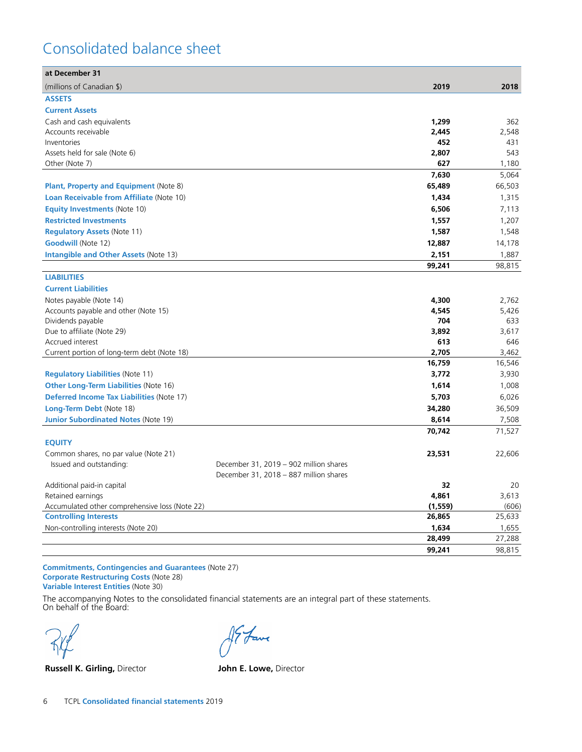# Consolidated balance sheet

| at December 31                                   |                                        |          |        |
|--------------------------------------------------|----------------------------------------|----------|--------|
| (millions of Canadian \$)                        |                                        | 2019     | 2018   |
| <b>ASSETS</b>                                    |                                        |          |        |
| <b>Current Assets</b>                            |                                        |          |        |
| Cash and cash equivalents                        |                                        | 1,299    | 362    |
| Accounts receivable                              |                                        | 2,445    | 2,548  |
| Inventories                                      |                                        | 452      | 431    |
| Assets held for sale (Note 6)                    |                                        | 2,807    | 543    |
| Other (Note 7)                                   |                                        | 627      | 1,180  |
|                                                  |                                        | 7,630    | 5,064  |
| <b>Plant, Property and Equipment (Note 8)</b>    |                                        | 65,489   | 66,503 |
| Loan Receivable from Affiliate (Note 10)         |                                        | 1,434    | 1,315  |
| <b>Equity Investments (Note 10)</b>              |                                        | 6,506    | 7,113  |
| <b>Restricted Investments</b>                    |                                        | 1,557    | 1,207  |
| <b>Regulatory Assets (Note 11)</b>               |                                        | 1,587    | 1,548  |
| <b>Goodwill (Note 12)</b>                        |                                        | 12,887   | 14,178 |
| <b>Intangible and Other Assets (Note 13)</b>     |                                        | 2,151    | 1,887  |
|                                                  |                                        | 99,241   | 98,815 |
| <b>LIABILITIES</b>                               |                                        |          |        |
| <b>Current Liabilities</b>                       |                                        |          |        |
| Notes payable (Note 14)                          |                                        | 4,300    | 2,762  |
| Accounts payable and other (Note 15)             |                                        | 4,545    | 5,426  |
| Dividends payable                                |                                        | 704      | 633    |
| Due to affiliate (Note 29)                       |                                        | 3,892    | 3,617  |
| Accrued interest                                 |                                        | 613      | 646    |
| Current portion of long-term debt (Note 18)      |                                        | 2,705    | 3,462  |
|                                                  |                                        | 16,759   | 16,546 |
| <b>Regulatory Liabilities (Note 11)</b>          |                                        | 3,772    | 3,930  |
| <b>Other Long-Term Liabilities (Note 16)</b>     |                                        | 1,614    | 1,008  |
| <b>Deferred Income Tax Liabilities (Note 17)</b> |                                        | 5,703    | 6,026  |
| Long-Term Debt (Note 18)                         |                                        | 34,280   | 36,509 |
| <b>Junior Subordinated Notes (Note 19)</b>       |                                        | 8,614    | 7,508  |
|                                                  |                                        | 70,742   | 71,527 |
| <b>EQUITY</b>                                    |                                        |          |        |
| Common shares, no par value (Note 21)            |                                        | 23,531   | 22,606 |
| Issued and outstanding:                          | December 31, 2019 - 902 million shares |          |        |
|                                                  | December 31, 2018 - 887 million shares |          |        |
| Additional paid-in capital                       |                                        | 32       | 20     |
| Retained earnings                                |                                        | 4,861    | 3,613  |
| Accumulated other comprehensive loss (Note 22)   |                                        | (1, 559) | (606)  |
| <b>Controlling Interests</b>                     |                                        | 26,865   | 25,633 |
| Non-controlling interests (Note 20)              |                                        | 1,634    | 1,655  |
|                                                  |                                        | 28,499   | 27,288 |
|                                                  |                                        | 99,241   | 98,815 |

**Commitments, Contingencies and Guarantees** (Note 27) **Corporate Restructuring Costs** (Note 28) **Variable Interest Entities** (Note 30)

**Russell K. Girling,** Director **John E. Lowe,** Director

I fave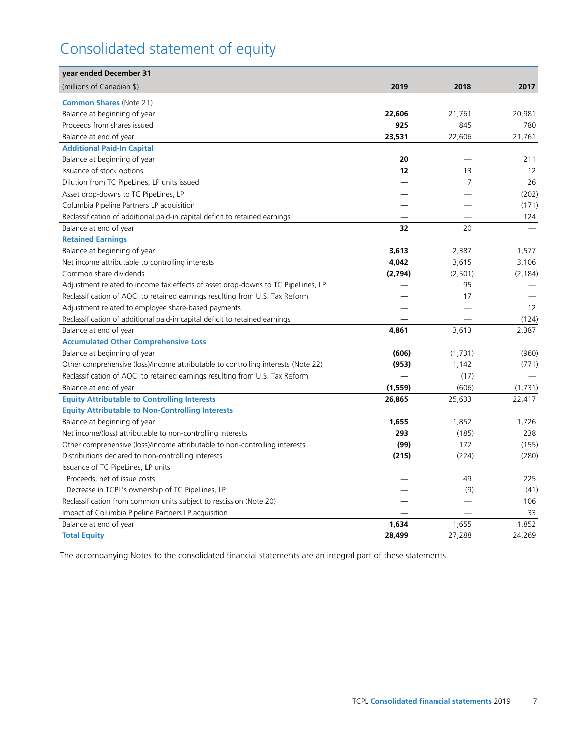# Consolidated statement of equity

| year ended December 31                                                            |          |                |          |
|-----------------------------------------------------------------------------------|----------|----------------|----------|
| (millions of Canadian \$)                                                         | 2019     | 2018           | 2017     |
| <b>Common Shares (Note 21)</b>                                                    |          |                |          |
| Balance at beginning of year                                                      | 22,606   | 21,761         | 20,981   |
| Proceeds from shares issued                                                       | 925      | 845            | 780      |
| Balance at end of year                                                            | 23,531   | 22,606         | 21,761   |
| <b>Additional Paid-In Capital</b>                                                 |          |                |          |
| Balance at beginning of year                                                      | 20       |                | 211      |
| Issuance of stock options                                                         | 12       | 13             | 12       |
| Dilution from TC PipeLines, LP units issued                                       |          | $\overline{7}$ | 26       |
| Asset drop-downs to TC PipeLines, LP                                              |          |                | (202)    |
| Columbia Pipeline Partners LP acquisition                                         |          |                | (171)    |
| Reclassification of additional paid-in capital deficit to retained earnings       |          |                | 124      |
| Balance at end of year                                                            | 32       | 20             |          |
| <b>Retained Earnings</b>                                                          |          |                |          |
| Balance at beginning of year                                                      | 3,613    | 2,387          | 1,577    |
| Net income attributable to controlling interests                                  | 4,042    | 3,615          | 3,106    |
| Common share dividends                                                            | (2,794)  | (2, 501)       | (2, 184) |
| Adjustment related to income tax effects of asset drop-downs to TC PipeLines, LP  |          | 95             |          |
| Reclassification of AOCI to retained earnings resulting from U.S. Tax Reform      |          | 17             |          |
| Adjustment related to employee share-based payments                               |          |                | 12       |
| Reclassification of additional paid-in capital deficit to retained earnings       |          |                | (124)    |
| Balance at end of year                                                            | 4,861    | 3,613          | 2,387    |
| <b>Accumulated Other Comprehensive Loss</b>                                       |          |                |          |
| Balance at beginning of year                                                      | (606)    | (1,731)        | (960)    |
| Other comprehensive (loss)/income attributable to controlling interests (Note 22) | (953)    | 1,142          | (771)    |
| Reclassification of AOCI to retained earnings resulting from U.S. Tax Reform      |          | (17)           |          |
| Balance at end of year                                                            | (1, 559) | (606)          | (1,731)  |
| <b>Equity Attributable to Controlling Interests</b>                               | 26,865   | 25,633         | 22,417   |
| <b>Equity Attributable to Non-Controlling Interests</b>                           |          |                |          |
| Balance at beginning of year                                                      | 1,655    | 1,852          | 1,726    |
| Net income/(loss) attributable to non-controlling interests                       | 293      | (185)          | 238      |
| Other comprehensive (loss)/income attributable to non-controlling interests       | (99)     | 172            | (155)    |
| Distributions declared to non-controlling interests                               | (215)    | (224)          | (280)    |
| Issuance of TC PipeLines, LP units                                                |          |                |          |
| Proceeds, net of issue costs                                                      |          | 49             | 225      |
| Decrease in TCPL's ownership of TC PipeLines, LP                                  |          | (9)            | (41)     |
| Reclassification from common units subject to rescission (Note 20)                |          |                | 106      |
| Impact of Columbia Pipeline Partners LP acquisition                               |          |                | 33       |
| Balance at end of year                                                            | 1,634    | 1,655          | 1,852    |
| <b>Total Equity</b>                                                               | 28,499   | 27,288         | 24,269   |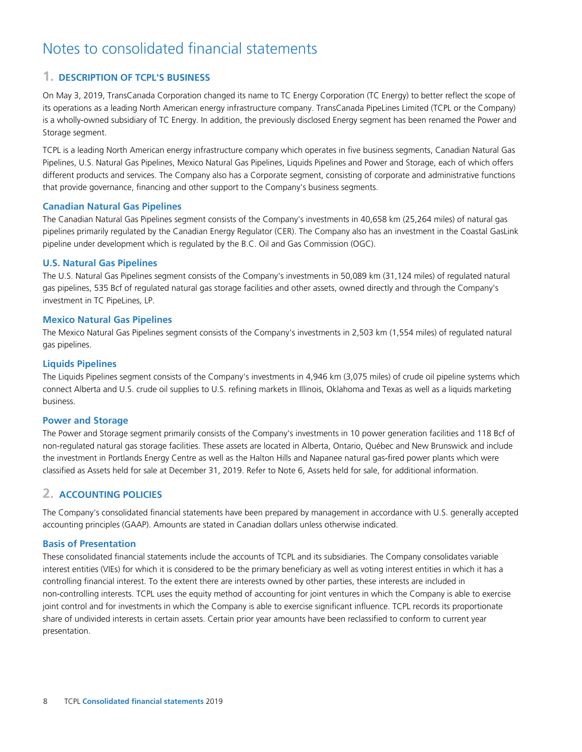# Notes to consolidated financial statements

# **1. DESCRIPTION OF TCPL'S BUSINESS**

On May 3, 2019, TransCanada Corporation changed its name to TC Energy Corporation (TC Energy) to better reflect the scope of its operations as a leading North American energy infrastructure company. TransCanada PipeLines Limited (TCPL or the Company) is a wholly-owned subsidiary of TC Energy. In addition, the previously disclosed Energy segment has been renamed the Power and Storage segment.

TCPL is a leading North American energy infrastructure company which operates in five business segments, Canadian Natural Gas Pipelines, U.S. Natural Gas Pipelines, Mexico Natural Gas Pipelines, Liquids Pipelines and Power and Storage, each of which offers different products and services. The Company also has a Corporate segment, consisting of corporate and administrative functions that provide governance, financing and other support to the Company's business segments.

# **Canadian Natural Gas Pipelines**

The Canadian Natural Gas Pipelines segment consists of the Company's investments in 40,658 km (25,264 miles) of natural gas pipelines primarily regulated by the Canadian Energy Regulator (CER). The Company also has an investment in the Coastal GasLink pipeline under development which is regulated by the B.C. Oil and Gas Commission (OGC).

# **U.S. Natural Gas Pipelines**

The U.S. Natural Gas Pipelines segment consists of the Company's investments in 50,089 km (31,124 miles) of regulated natural gas pipelines, 535 Bcf of regulated natural gas storage facilities and other assets, owned directly and through the Company's investment in TC PipeLines, LP.

# **Mexico Natural Gas Pipelines**

The Mexico Natural Gas Pipelines segment consists of the Company's investments in 2,503 km (1,554 miles) of regulated natural gas pipelines.

# **Liquids Pipelines**

The Liquids Pipelines segment consists of the Company's investments in 4,946 km (3,075 miles) of crude oil pipeline systems which connect Alberta and U.S. crude oil supplies to U.S. refining markets in Illinois, Oklahoma and Texas as well as a liquids marketing business.

# **Power and Storage**

The Power and Storage segment primarily consists of the Company's investments in 10 power generation facilities and 118 Bcf of non-regulated natural gas storage facilities. These assets are located in Alberta, Ontario, Québec and New Brunswick and include the investment in Portlands Energy Centre as well as the Halton Hills and Napanee natural gas-fired power plants which were classified as Assets held for sale at December 31, 2019. Refer to Note 6, Assets held for sale, for additional information.

# **2. ACCOUNTING POLICIES**

The Company's consolidated financial statements have been prepared by management in accordance with U.S. generally accepted accounting principles (GAAP). Amounts are stated in Canadian dollars unless otherwise indicated.

# **Basis of Presentation**

These consolidated financial statements include the accounts of TCPL and its subsidiaries. The Company consolidates variable interest entities (VIEs) for which it is considered to be the primary beneficiary as well as voting interest entities in which it has a controlling financial interest. To the extent there are interests owned by other parties, these interests are included in non-controlling interests. TCPL uses the equity method of accounting for joint ventures in which the Company is able to exercise joint control and for investments in which the Company is able to exercise significant influence. TCPL records its proportionate share of undivided interests in certain assets. Certain prior year amounts have been reclassified to conform to current year presentation.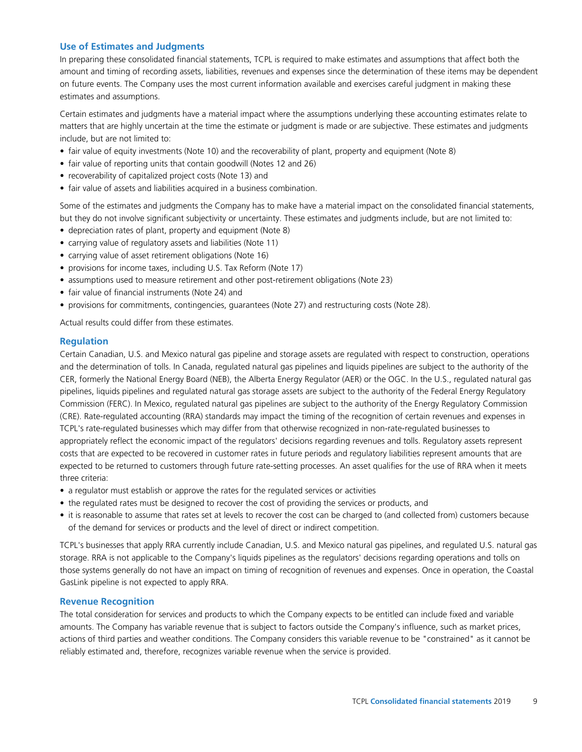# **Use of Estimates and Judgments**

In preparing these consolidated financial statements, TCPL is required to make estimates and assumptions that affect both the amount and timing of recording assets, liabilities, revenues and expenses since the determination of these items may be dependent on future events. The Company uses the most current information available and exercises careful judgment in making these estimates and assumptions.

Certain estimates and judgments have a material impact where the assumptions underlying these accounting estimates relate to matters that are highly uncertain at the time the estimate or judgment is made or are subjective. These estimates and judgments include, but are not limited to:

- fair value of equity investments (Note 10) and the recoverability of plant, property and equipment (Note 8)
- fair value of reporting units that contain goodwill (Notes 12 and 26)
- recoverability of capitalized project costs (Note 13) and
- fair value of assets and liabilities acquired in a business combination.

Some of the estimates and judgments the Company has to make have a material impact on the consolidated financial statements, but they do not involve significant subjectivity or uncertainty. These estimates and judgments include, but are not limited to:

- depreciation rates of plant, property and equipment (Note 8)
- carrying value of regulatory assets and liabilities (Note 11)
- carrying value of asset retirement obligations (Note 16)
- provisions for income taxes, including U.S. Tax Reform (Note 17)
- assumptions used to measure retirement and other post-retirement obligations (Note 23)
- fair value of financial instruments (Note 24) and
- provisions for commitments, contingencies, guarantees (Note 27) and restructuring costs (Note 28).

Actual results could differ from these estimates.

### **Regulation**

Certain Canadian, U.S. and Mexico natural gas pipeline and storage assets are regulated with respect to construction, operations and the determination of tolls. In Canada, regulated natural gas pipelines and liquids pipelines are subject to the authority of the CER, formerly the National Energy Board (NEB), the Alberta Energy Regulator (AER) or the OGC. In the U.S., regulated natural gas pipelines, liquids pipelines and regulated natural gas storage assets are subject to the authority of the Federal Energy Regulatory Commission (FERC). In Mexico, regulated natural gas pipelines are subject to the authority of the Energy Regulatory Commission (CRE). Rate-regulated accounting (RRA) standards may impact the timing of the recognition of certain revenues and expenses in TCPL's rate-regulated businesses which may differ from that otherwise recognized in non-rate-regulated businesses to appropriately reflect the economic impact of the regulators' decisions regarding revenues and tolls. Regulatory assets represent costs that are expected to be recovered in customer rates in future periods and regulatory liabilities represent amounts that are expected to be returned to customers through future rate-setting processes. An asset qualifies for the use of RRA when it meets three criteria:

- a regulator must establish or approve the rates for the regulated services or activities
- the regulated rates must be designed to recover the cost of providing the services or products, and
- it is reasonable to assume that rates set at levels to recover the cost can be charged to (and collected from) customers because of the demand for services or products and the level of direct or indirect competition.

TCPL's businesses that apply RRA currently include Canadian, U.S. and Mexico natural gas pipelines, and regulated U.S. natural gas storage. RRA is not applicable to the Company's liquids pipelines as the regulators' decisions regarding operations and tolls on those systems generally do not have an impact on timing of recognition of revenues and expenses. Once in operation, the Coastal GasLink pipeline is not expected to apply RRA.

# **Revenue Recognition**

The total consideration for services and products to which the Company expects to be entitled can include fixed and variable amounts. The Company has variable revenue that is subject to factors outside the Company's influence, such as market prices, actions of third parties and weather conditions. The Company considers this variable revenue to be "constrained" as it cannot be reliably estimated and, therefore, recognizes variable revenue when the service is provided.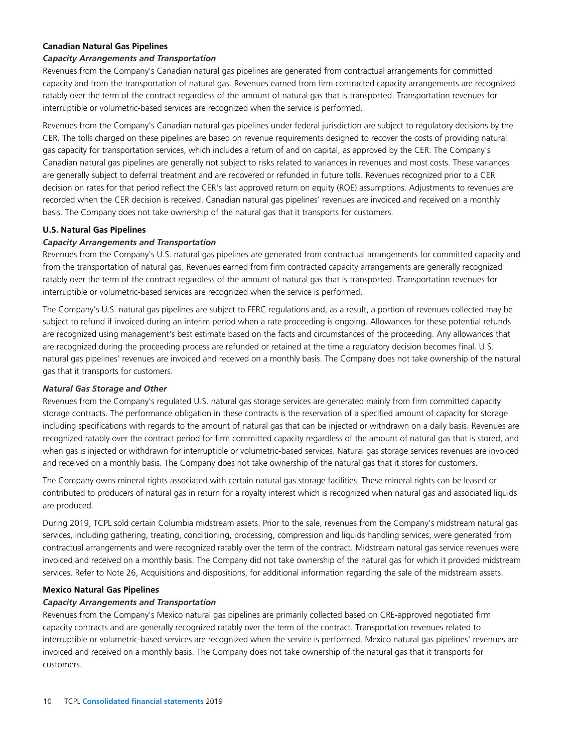# **Canadian Natural Gas Pipelines**

### *Capacity Arrangements and Transportation*

Revenues from the Company's Canadian natural gas pipelines are generated from contractual arrangements for committed capacity and from the transportation of natural gas. Revenues earned from firm contracted capacity arrangements are recognized ratably over the term of the contract regardless of the amount of natural gas that is transported. Transportation revenues for interruptible or volumetric-based services are recognized when the service is performed.

Revenues from the Company's Canadian natural gas pipelines under federal jurisdiction are subject to regulatory decisions by the CER. The tolls charged on these pipelines are based on revenue requirements designed to recover the costs of providing natural gas capacity for transportation services, which includes a return of and on capital, as approved by the CER. The Company's Canadian natural gas pipelines are generally not subject to risks related to variances in revenues and most costs. These variances are generally subject to deferral treatment and are recovered or refunded in future tolls. Revenues recognized prior to a CER decision on rates for that period reflect the CER's last approved return on equity (ROE) assumptions. Adjustments to revenues are recorded when the CER decision is received. Canadian natural gas pipelines' revenues are invoiced and received on a monthly basis. The Company does not take ownership of the natural gas that it transports for customers.

### **U.S. Natural Gas Pipelines**

### *Capacity Arrangements and Transportation*

Revenues from the Company's U.S. natural gas pipelines are generated from contractual arrangements for committed capacity and from the transportation of natural gas. Revenues earned from firm contracted capacity arrangements are generally recognized ratably over the term of the contract regardless of the amount of natural gas that is transported. Transportation revenues for interruptible or volumetric-based services are recognized when the service is performed.

The Company's U.S. natural gas pipelines are subject to FERC regulations and, as a result, a portion of revenues collected may be subject to refund if invoiced during an interim period when a rate proceeding is ongoing. Allowances for these potential refunds are recognized using management's best estimate based on the facts and circumstances of the proceeding. Any allowances that are recognized during the proceeding process are refunded or retained at the time a regulatory decision becomes final. U.S. natural gas pipelines' revenues are invoiced and received on a monthly basis. The Company does not take ownership of the natural gas that it transports for customers.

### *Natural Gas Storage and Other*

Revenues from the Company's regulated U.S. natural gas storage services are generated mainly from firm committed capacity storage contracts. The performance obligation in these contracts is the reservation of a specified amount of capacity for storage including specifications with regards to the amount of natural gas that can be injected or withdrawn on a daily basis. Revenues are recognized ratably over the contract period for firm committed capacity regardless of the amount of natural gas that is stored, and when gas is injected or withdrawn for interruptible or volumetric-based services. Natural gas storage services revenues are invoiced and received on a monthly basis. The Company does not take ownership of the natural gas that it stores for customers.

The Company owns mineral rights associated with certain natural gas storage facilities. These mineral rights can be leased or contributed to producers of natural gas in return for a royalty interest which is recognized when natural gas and associated liquids are produced.

During 2019, TCPL sold certain Columbia midstream assets. Prior to the sale, revenues from the Company's midstream natural gas services, including gathering, treating, conditioning, processing, compression and liquids handling services, were generated from contractual arrangements and were recognized ratably over the term of the contract. Midstream natural gas service revenues were invoiced and received on a monthly basis. The Company did not take ownership of the natural gas for which it provided midstream services. Refer to Note 26, Acquisitions and dispositions, for additional information regarding the sale of the midstream assets.

### **Mexico Natural Gas Pipelines**

### *Capacity Arrangements and Transportation*

Revenues from the Company's Mexico natural gas pipelines are primarily collected based on CRE-approved negotiated firm capacity contracts and are generally recognized ratably over the term of the contract. Transportation revenues related to interruptible or volumetric-based services are recognized when the service is performed. Mexico natural gas pipelines' revenues are invoiced and received on a monthly basis. The Company does not take ownership of the natural gas that it transports for customers.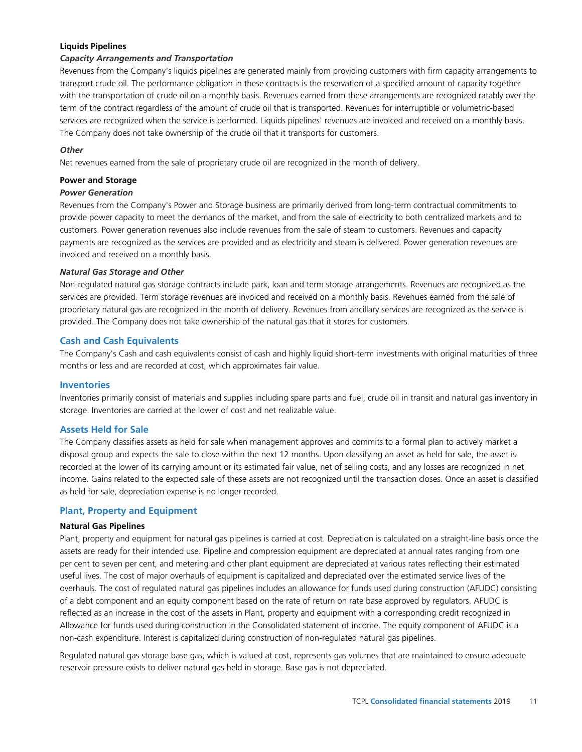# **Liquids Pipelines**

### *Capacity Arrangements and Transportation*

Revenues from the Company's liquids pipelines are generated mainly from providing customers with firm capacity arrangements to transport crude oil. The performance obligation in these contracts is the reservation of a specified amount of capacity together with the transportation of crude oil on a monthly basis. Revenues earned from these arrangements are recognized ratably over the term of the contract regardless of the amount of crude oil that is transported. Revenues for interruptible or volumetric-based services are recognized when the service is performed. Liquids pipelines' revenues are invoiced and received on a monthly basis. The Company does not take ownership of the crude oil that it transports for customers.

### *Other*

Net revenues earned from the sale of proprietary crude oil are recognized in the month of delivery.

### **Power and Storage**

### *Power Generation*

Revenues from the Company's Power and Storage business are primarily derived from long-term contractual commitments to provide power capacity to meet the demands of the market, and from the sale of electricity to both centralized markets and to customers. Power generation revenues also include revenues from the sale of steam to customers. Revenues and capacity payments are recognized as the services are provided and as electricity and steam is delivered. Power generation revenues are invoiced and received on a monthly basis.

### *Natural Gas Storage and Other*

Non-regulated natural gas storage contracts include park, loan and term storage arrangements. Revenues are recognized as the services are provided. Term storage revenues are invoiced and received on a monthly basis. Revenues earned from the sale of proprietary natural gas are recognized in the month of delivery. Revenues from ancillary services are recognized as the service is provided. The Company does not take ownership of the natural gas that it stores for customers.

### **Cash and Cash Equivalents**

The Company's Cash and cash equivalents consist of cash and highly liquid short-term investments with original maturities of three months or less and are recorded at cost, which approximates fair value.

### **Inventories**

Inventories primarily consist of materials and supplies including spare parts and fuel, crude oil in transit and natural gas inventory in storage. Inventories are carried at the lower of cost and net realizable value.

# **Assets Held for Sale**

The Company classifies assets as held for sale when management approves and commits to a formal plan to actively market a disposal group and expects the sale to close within the next 12 months. Upon classifying an asset as held for sale, the asset is recorded at the lower of its carrying amount or its estimated fair value, net of selling costs, and any losses are recognized in net income. Gains related to the expected sale of these assets are not recognized until the transaction closes. Once an asset is classified as held for sale, depreciation expense is no longer recorded.

# **Plant, Property and Equipment**

### **Natural Gas Pipelines**

Plant, property and equipment for natural gas pipelines is carried at cost. Depreciation is calculated on a straight-line basis once the assets are ready for their intended use. Pipeline and compression equipment are depreciated at annual rates ranging from one per cent to seven per cent, and metering and other plant equipment are depreciated at various rates reflecting their estimated useful lives. The cost of major overhauls of equipment is capitalized and depreciated over the estimated service lives of the overhauls. The cost of regulated natural gas pipelines includes an allowance for funds used during construction (AFUDC) consisting of a debt component and an equity component based on the rate of return on rate base approved by regulators. AFUDC is reflected as an increase in the cost of the assets in Plant, property and equipment with a corresponding credit recognized in Allowance for funds used during construction in the Consolidated statement of income. The equity component of AFUDC is a non-cash expenditure. Interest is capitalized during construction of non-regulated natural gas pipelines.

Regulated natural gas storage base gas, which is valued at cost, represents gas volumes that are maintained to ensure adequate reservoir pressure exists to deliver natural gas held in storage. Base gas is not depreciated.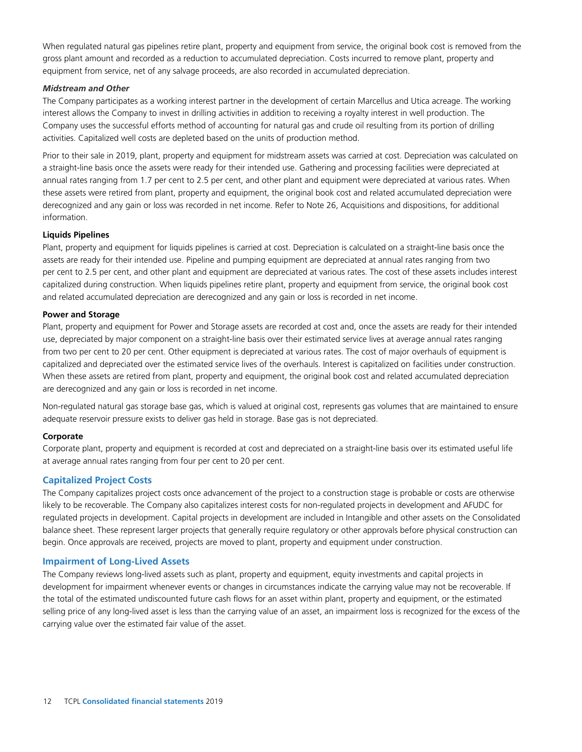When regulated natural gas pipelines retire plant, property and equipment from service, the original book cost is removed from the gross plant amount and recorded as a reduction to accumulated depreciation. Costs incurred to remove plant, property and equipment from service, net of any salvage proceeds, are also recorded in accumulated depreciation.

### *Midstream and Other*

The Company participates as a working interest partner in the development of certain Marcellus and Utica acreage. The working interest allows the Company to invest in drilling activities in addition to receiving a royalty interest in well production. The Company uses the successful efforts method of accounting for natural gas and crude oil resulting from its portion of drilling activities. Capitalized well costs are depleted based on the units of production method.

Prior to their sale in 2019, plant, property and equipment for midstream assets was carried at cost. Depreciation was calculated on a straight-line basis once the assets were ready for their intended use. Gathering and processing facilities were depreciated at annual rates ranging from 1.7 per cent to 2.5 per cent, and other plant and equipment were depreciated at various rates. When these assets were retired from plant, property and equipment, the original book cost and related accumulated depreciation were derecognized and any gain or loss was recorded in net income. Refer to Note 26, Acquisitions and dispositions, for additional information.

### **Liquids Pipelines**

Plant, property and equipment for liquids pipelines is carried at cost. Depreciation is calculated on a straight-line basis once the assets are ready for their intended use. Pipeline and pumping equipment are depreciated at annual rates ranging from two per cent to 2.5 per cent, and other plant and equipment are depreciated at various rates. The cost of these assets includes interest capitalized during construction. When liquids pipelines retire plant, property and equipment from service, the original book cost and related accumulated depreciation are derecognized and any gain or loss is recorded in net income.

### **Power and Storage**

Plant, property and equipment for Power and Storage assets are recorded at cost and, once the assets are ready for their intended use, depreciated by major component on a straight-line basis over their estimated service lives at average annual rates ranging from two per cent to 20 per cent. Other equipment is depreciated at various rates. The cost of major overhauls of equipment is capitalized and depreciated over the estimated service lives of the overhauls. Interest is capitalized on facilities under construction. When these assets are retired from plant, property and equipment, the original book cost and related accumulated depreciation are derecognized and any gain or loss is recorded in net income.

Non-regulated natural gas storage base gas, which is valued at original cost, represents gas volumes that are maintained to ensure adequate reservoir pressure exists to deliver gas held in storage. Base gas is not depreciated.

# **Corporate**

Corporate plant, property and equipment is recorded at cost and depreciated on a straight-line basis over its estimated useful life at average annual rates ranging from four per cent to 20 per cent.

# **Capitalized Project Costs**

The Company capitalizes project costs once advancement of the project to a construction stage is probable or costs are otherwise likely to be recoverable. The Company also capitalizes interest costs for non-regulated projects in development and AFUDC for regulated projects in development. Capital projects in development are included in Intangible and other assets on the Consolidated balance sheet. These represent larger projects that generally require regulatory or other approvals before physical construction can begin. Once approvals are received, projects are moved to plant, property and equipment under construction.

# **Impairment of Long-Lived Assets**

The Company reviews long-lived assets such as plant, property and equipment, equity investments and capital projects in development for impairment whenever events or changes in circumstances indicate the carrying value may not be recoverable. If the total of the estimated undiscounted future cash flows for an asset within plant, property and equipment, or the estimated selling price of any long-lived asset is less than the carrying value of an asset, an impairment loss is recognized for the excess of the carrying value over the estimated fair value of the asset.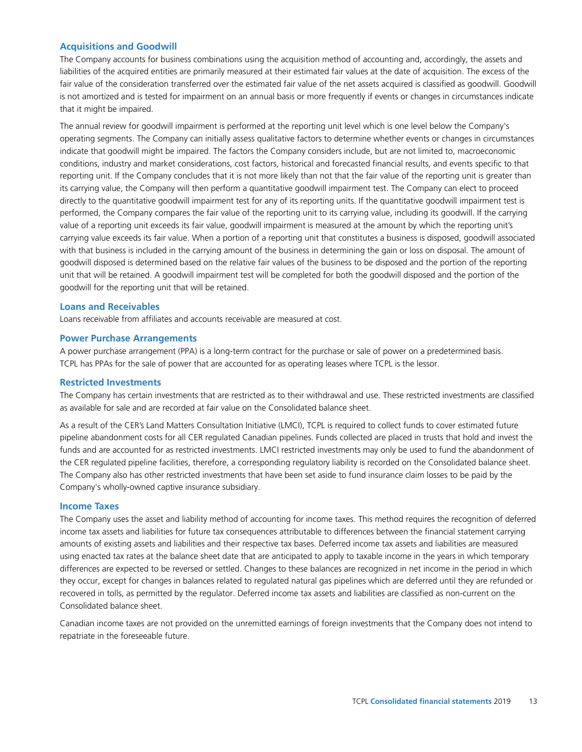# **Acquisitions and Goodwill**

The Company accounts for business combinations using the acquisition method of accounting and, accordingly, the assets and liabilities of the acquired entities are primarily measured at their estimated fair values at the date of acquisition. The excess of the fair value of the consideration transferred over the estimated fair value of the net assets acquired is classified as goodwill. Goodwill is not amortized and is tested for impairment on an annual basis or more frequently if events or changes in circumstances indicate that it might be impaired.

The annual review for goodwill impairment is performed at the reporting unit level which is one level below the Company's operating segments. The Company can initially assess qualitative factors to determine whether events or changes in circumstances indicate that goodwill might be impaired. The factors the Company considers include, but are not limited to, macroeconomic conditions, industry and market considerations, cost factors, historical and forecasted financial results, and events specific to that reporting unit. If the Company concludes that it is not more likely than not that the fair value of the reporting unit is greater than its carrying value, the Company will then perform a quantitative goodwill impairment test. The Company can elect to proceed directly to the quantitative goodwill impairment test for any of its reporting units. If the quantitative goodwill impairment test is performed, the Company compares the fair value of the reporting unit to its carrying value, including its goodwill. If the carrying value of a reporting unit exceeds its fair value, goodwill impairment is measured at the amount by which the reporting unit's carrying value exceeds its fair value. When a portion of a reporting unit that constitutes a business is disposed, goodwill associated with that business is included in the carrying amount of the business in determining the gain or loss on disposal. The amount of goodwill disposed is determined based on the relative fair values of the business to be disposed and the portion of the reporting unit that will be retained. A goodwill impairment test will be completed for both the goodwill disposed and the portion of the goodwill for the reporting unit that will be retained.

### **Loans and Receivables**

Loans receivable from affiliates and accounts receivable are measured at cost.

### **Power Purchase Arrangements**

A power purchase arrangement (PPA) is a long-term contract for the purchase or sale of power on a predetermined basis. TCPL has PPAs for the sale of power that are accounted for as operating leases where TCPL is the lessor.

### **Restricted Investments**

The Company has certain investments that are restricted as to their withdrawal and use. These restricted investments are classified as available for sale and are recorded at fair value on the Consolidated balance sheet.

As a result of the CER's Land Matters Consultation Initiative (LMCI), TCPL is required to collect funds to cover estimated future pipeline abandonment costs for all CER regulated Canadian pipelines. Funds collected are placed in trusts that hold and invest the funds and are accounted for as restricted investments. LMCI restricted investments may only be used to fund the abandonment of the CER regulated pipeline facilities, therefore, a corresponding regulatory liability is recorded on the Consolidated balance sheet. The Company also has other restricted investments that have been set aside to fund insurance claim losses to be paid by the Company's wholly-owned captive insurance subsidiary.

### **Income Taxes**

The Company uses the asset and liability method of accounting for income taxes. This method requires the recognition of deferred income tax assets and liabilities for future tax consequences attributable to differences between the financial statement carrying amounts of existing assets and liabilities and their respective tax bases. Deferred income tax assets and liabilities are measured using enacted tax rates at the balance sheet date that are anticipated to apply to taxable income in the years in which temporary differences are expected to be reversed or settled. Changes to these balances are recognized in net income in the period in which they occur, except for changes in balances related to regulated natural gas pipelines which are deferred until they are refunded or recovered in tolls, as permitted by the regulator. Deferred income tax assets and liabilities are classified as non-current on the Consolidated balance sheet.

Canadian income taxes are not provided on the unremitted earnings of foreign investments that the Company does not intend to repatriate in the foreseeable future.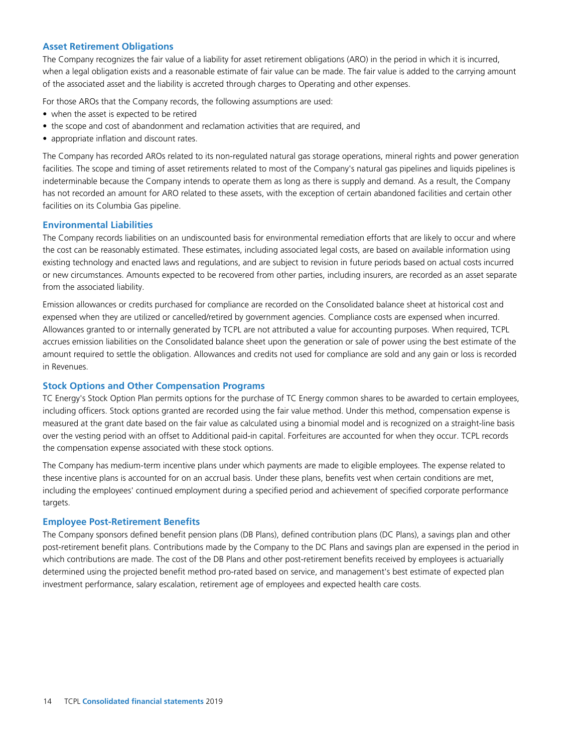# **Asset Retirement Obligations**

The Company recognizes the fair value of a liability for asset retirement obligations (ARO) in the period in which it is incurred, when a legal obligation exists and a reasonable estimate of fair value can be made. The fair value is added to the carrying amount of the associated asset and the liability is accreted through charges to Operating and other expenses.

For those AROs that the Company records, the following assumptions are used:

- when the asset is expected to be retired
- the scope and cost of abandonment and reclamation activities that are required, and
- appropriate inflation and discount rates.

The Company has recorded AROs related to its non-regulated natural gas storage operations, mineral rights and power generation facilities. The scope and timing of asset retirements related to most of the Company's natural gas pipelines and liquids pipelines is indeterminable because the Company intends to operate them as long as there is supply and demand. As a result, the Company has not recorded an amount for ARO related to these assets, with the exception of certain abandoned facilities and certain other facilities on its Columbia Gas pipeline.

# **Environmental Liabilities**

The Company records liabilities on an undiscounted basis for environmental remediation efforts that are likely to occur and where the cost can be reasonably estimated. These estimates, including associated legal costs, are based on available information using existing technology and enacted laws and regulations, and are subject to revision in future periods based on actual costs incurred or new circumstances. Amounts expected to be recovered from other parties, including insurers, are recorded as an asset separate from the associated liability.

Emission allowances or credits purchased for compliance are recorded on the Consolidated balance sheet at historical cost and expensed when they are utilized or cancelled/retired by government agencies. Compliance costs are expensed when incurred. Allowances granted to or internally generated by TCPL are not attributed a value for accounting purposes. When required, TCPL accrues emission liabilities on the Consolidated balance sheet upon the generation or sale of power using the best estimate of the amount required to settle the obligation. Allowances and credits not used for compliance are sold and any gain or loss is recorded in Revenues.

# **Stock Options and Other Compensation Programs**

TC Energy's Stock Option Plan permits options for the purchase of TC Energy common shares to be awarded to certain employees, including officers. Stock options granted are recorded using the fair value method. Under this method, compensation expense is measured at the grant date based on the fair value as calculated using a binomial model and is recognized on a straight-line basis over the vesting period with an offset to Additional paid-in capital. Forfeitures are accounted for when they occur. TCPL records the compensation expense associated with these stock options.

The Company has medium-term incentive plans under which payments are made to eligible employees. The expense related to these incentive plans is accounted for on an accrual basis. Under these plans, benefits vest when certain conditions are met, including the employees' continued employment during a specified period and achievement of specified corporate performance targets.

# **Employee Post-Retirement Benefits**

The Company sponsors defined benefit pension plans (DB Plans), defined contribution plans (DC Plans), a savings plan and other post-retirement benefit plans. Contributions made by the Company to the DC Plans and savings plan are expensed in the period in which contributions are made. The cost of the DB Plans and other post-retirement benefits received by employees is actuarially determined using the projected benefit method pro-rated based on service, and management's best estimate of expected plan investment performance, salary escalation, retirement age of employees and expected health care costs.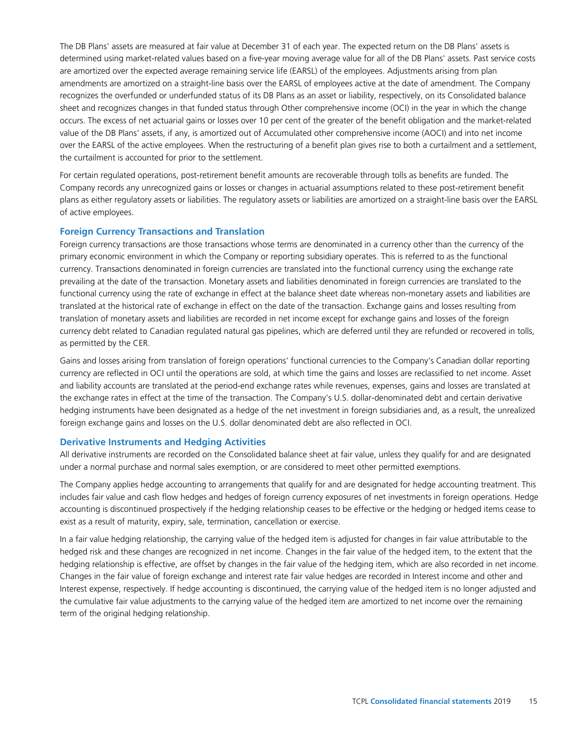The DB Plans' assets are measured at fair value at December 31 of each year. The expected return on the DB Plans' assets is determined using market-related values based on a five-year moving average value for all of the DB Plans' assets. Past service costs are amortized over the expected average remaining service life (EARSL) of the employees. Adjustments arising from plan amendments are amortized on a straight-line basis over the EARSL of employees active at the date of amendment. The Company recognizes the overfunded or underfunded status of its DB Plans as an asset or liability, respectively, on its Consolidated balance sheet and recognizes changes in that funded status through Other comprehensive income (OCI) in the year in which the change occurs. The excess of net actuarial gains or losses over 10 per cent of the greater of the benefit obligation and the market-related value of the DB Plans' assets, if any, is amortized out of Accumulated other comprehensive income (AOCI) and into net income over the EARSL of the active employees. When the restructuring of a benefit plan gives rise to both a curtailment and a settlement, the curtailment is accounted for prior to the settlement.

For certain regulated operations, post-retirement benefit amounts are recoverable through tolls as benefits are funded. The Company records any unrecognized gains or losses or changes in actuarial assumptions related to these post-retirement benefit plans as either regulatory assets or liabilities. The regulatory assets or liabilities are amortized on a straight-line basis over the EARSL of active employees.

# **Foreign Currency Transactions and Translation**

Foreign currency transactions are those transactions whose terms are denominated in a currency other than the currency of the primary economic environment in which the Company or reporting subsidiary operates. This is referred to as the functional currency. Transactions denominated in foreign currencies are translated into the functional currency using the exchange rate prevailing at the date of the transaction. Monetary assets and liabilities denominated in foreign currencies are translated to the functional currency using the rate of exchange in effect at the balance sheet date whereas non-monetary assets and liabilities are translated at the historical rate of exchange in effect on the date of the transaction. Exchange gains and losses resulting from translation of monetary assets and liabilities are recorded in net income except for exchange gains and losses of the foreign currency debt related to Canadian regulated natural gas pipelines, which are deferred until they are refunded or recovered in tolls, as permitted by the CER.

Gains and losses arising from translation of foreign operations' functional currencies to the Company's Canadian dollar reporting currency are reflected in OCI until the operations are sold, at which time the gains and losses are reclassified to net income. Asset and liability accounts are translated at the period-end exchange rates while revenues, expenses, gains and losses are translated at the exchange rates in effect at the time of the transaction. The Company's U.S. dollar-denominated debt and certain derivative hedging instruments have been designated as a hedge of the net investment in foreign subsidiaries and, as a result, the unrealized foreign exchange gains and losses on the U.S. dollar denominated debt are also reflected in OCI.

### **Derivative Instruments and Hedging Activities**

All derivative instruments are recorded on the Consolidated balance sheet at fair value, unless they qualify for and are designated under a normal purchase and normal sales exemption, or are considered to meet other permitted exemptions.

The Company applies hedge accounting to arrangements that qualify for and are designated for hedge accounting treatment. This includes fair value and cash flow hedges and hedges of foreign currency exposures of net investments in foreign operations. Hedge accounting is discontinued prospectively if the hedging relationship ceases to be effective or the hedging or hedged items cease to exist as a result of maturity, expiry, sale, termination, cancellation or exercise.

In a fair value hedging relationship, the carrying value of the hedged item is adjusted for changes in fair value attributable to the hedged risk and these changes are recognized in net income. Changes in the fair value of the hedged item, to the extent that the hedging relationship is effective, are offset by changes in the fair value of the hedging item, which are also recorded in net income. Changes in the fair value of foreign exchange and interest rate fair value hedges are recorded in Interest income and other and Interest expense, respectively. If hedge accounting is discontinued, the carrying value of the hedged item is no longer adjusted and the cumulative fair value adjustments to the carrying value of the hedged item are amortized to net income over the remaining term of the original hedging relationship.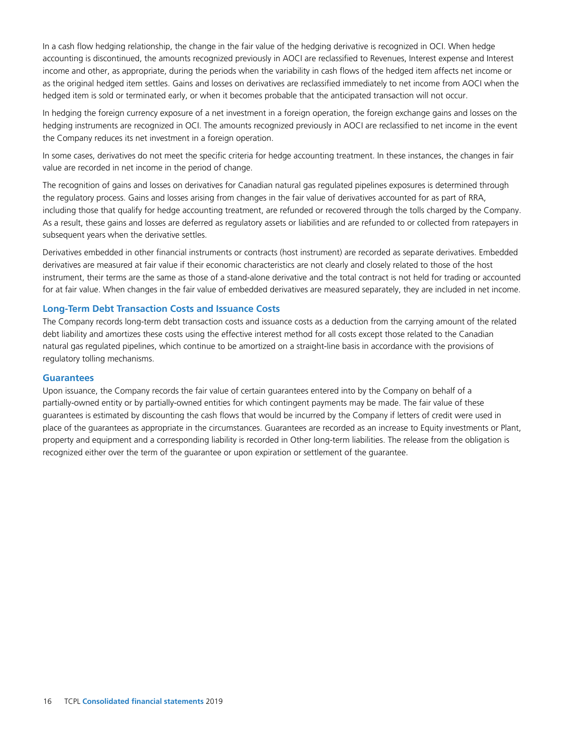In a cash flow hedging relationship, the change in the fair value of the hedging derivative is recognized in OCI. When hedge accounting is discontinued, the amounts recognized previously in AOCI are reclassified to Revenues, Interest expense and Interest income and other, as appropriate, during the periods when the variability in cash flows of the hedged item affects net income or as the original hedged item settles. Gains and losses on derivatives are reclassified immediately to net income from AOCI when the hedged item is sold or terminated early, or when it becomes probable that the anticipated transaction will not occur.

In hedging the foreign currency exposure of a net investment in a foreign operation, the foreign exchange gains and losses on the hedging instruments are recognized in OCI. The amounts recognized previously in AOCI are reclassified to net income in the event the Company reduces its net investment in a foreign operation.

In some cases, derivatives do not meet the specific criteria for hedge accounting treatment. In these instances, the changes in fair value are recorded in net income in the period of change.

The recognition of gains and losses on derivatives for Canadian natural gas regulated pipelines exposures is determined through the regulatory process. Gains and losses arising from changes in the fair value of derivatives accounted for as part of RRA, including those that qualify for hedge accounting treatment, are refunded or recovered through the tolls charged by the Company. As a result, these gains and losses are deferred as regulatory assets or liabilities and are refunded to or collected from ratepayers in subsequent years when the derivative settles.

Derivatives embedded in other financial instruments or contracts (host instrument) are recorded as separate derivatives. Embedded derivatives are measured at fair value if their economic characteristics are not clearly and closely related to those of the host instrument, their terms are the same as those of a stand-alone derivative and the total contract is not held for trading or accounted for at fair value. When changes in the fair value of embedded derivatives are measured separately, they are included in net income.

### **Long-Term Debt Transaction Costs and Issuance Costs**

The Company records long-term debt transaction costs and issuance costs as a deduction from the carrying amount of the related debt liability and amortizes these costs using the effective interest method for all costs except those related to the Canadian natural gas regulated pipelines, which continue to be amortized on a straight-line basis in accordance with the provisions of regulatory tolling mechanisms.

#### **Guarantees**

Upon issuance, the Company records the fair value of certain guarantees entered into by the Company on behalf of a partially-owned entity or by partially-owned entities for which contingent payments may be made. The fair value of these guarantees is estimated by discounting the cash flows that would be incurred by the Company if letters of credit were used in place of the guarantees as appropriate in the circumstances. Guarantees are recorded as an increase to Equity investments or Plant, property and equipment and a corresponding liability is recorded in Other long-term liabilities. The release from the obligation is recognized either over the term of the guarantee or upon expiration or settlement of the guarantee.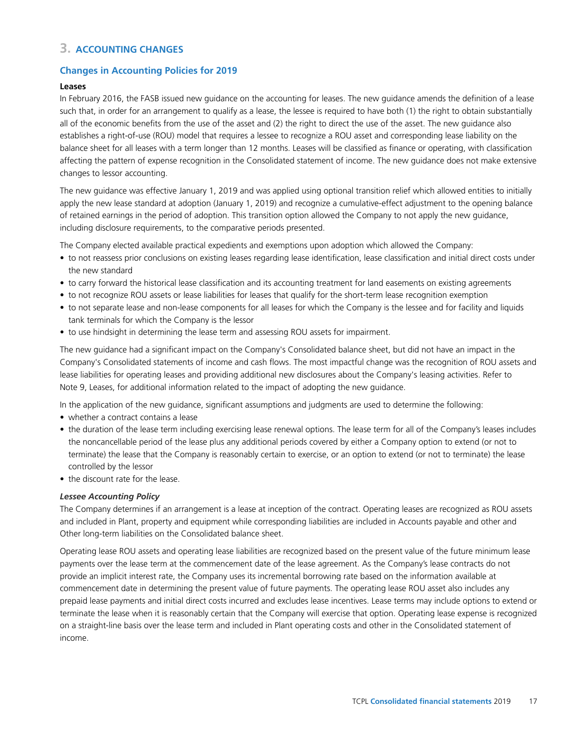# **3. ACCOUNTING CHANGES**

# **Changes in Accounting Policies for 2019**

# **Leases**

In February 2016, the FASB issued new guidance on the accounting for leases. The new guidance amends the definition of a lease such that, in order for an arrangement to qualify as a lease, the lessee is required to have both (1) the right to obtain substantially all of the economic benefits from the use of the asset and (2) the right to direct the use of the asset. The new guidance also establishes a right-of-use (ROU) model that requires a lessee to recognize a ROU asset and corresponding lease liability on the balance sheet for all leases with a term longer than 12 months. Leases will be classified as finance or operating, with classification affecting the pattern of expense recognition in the Consolidated statement of income. The new guidance does not make extensive changes to lessor accounting.

The new guidance was effective January 1, 2019 and was applied using optional transition relief which allowed entities to initially apply the new lease standard at adoption (January 1, 2019) and recognize a cumulative-effect adjustment to the opening balance of retained earnings in the period of adoption. This transition option allowed the Company to not apply the new guidance, including disclosure requirements, to the comparative periods presented.

The Company elected available practical expedients and exemptions upon adoption which allowed the Company:

- to not reassess prior conclusions on existing leases regarding lease identification, lease classification and initial direct costs under the new standard
- to carry forward the historical lease classification and its accounting treatment for land easements on existing agreements
- to not recognize ROU assets or lease liabilities for leases that qualify for the short-term lease recognition exemption
- to not separate lease and non-lease components for all leases for which the Company is the lessee and for facility and liquids tank terminals for which the Company is the lessor
- to use hindsight in determining the lease term and assessing ROU assets for impairment.

The new guidance had a significant impact on the Company's Consolidated balance sheet, but did not have an impact in the Company's Consolidated statements of income and cash flows. The most impactful change was the recognition of ROU assets and lease liabilities for operating leases and providing additional new disclosures about the Company's leasing activities. Refer to Note 9, Leases, for additional information related to the impact of adopting the new guidance.

In the application of the new guidance, significant assumptions and judgments are used to determine the following:

- whether a contract contains a lease
- the duration of the lease term including exercising lease renewal options. The lease term for all of the Company's leases includes the noncancellable period of the lease plus any additional periods covered by either a Company option to extend (or not to terminate) the lease that the Company is reasonably certain to exercise, or an option to extend (or not to terminate) the lease controlled by the lessor
- the discount rate for the lease.

# *Lessee Accounting Policy*

The Company determines if an arrangement is a lease at inception of the contract. Operating leases are recognized as ROU assets and included in Plant, property and equipment while corresponding liabilities are included in Accounts payable and other and Other long-term liabilities on the Consolidated balance sheet.

Operating lease ROU assets and operating lease liabilities are recognized based on the present value of the future minimum lease payments over the lease term at the commencement date of the lease agreement. As the Company's lease contracts do not provide an implicit interest rate, the Company uses its incremental borrowing rate based on the information available at commencement date in determining the present value of future payments. The operating lease ROU asset also includes any prepaid lease payments and initial direct costs incurred and excludes lease incentives. Lease terms may include options to extend or terminate the lease when it is reasonably certain that the Company will exercise that option. Operating lease expense is recognized on a straight-line basis over the lease term and included in Plant operating costs and other in the Consolidated statement of income.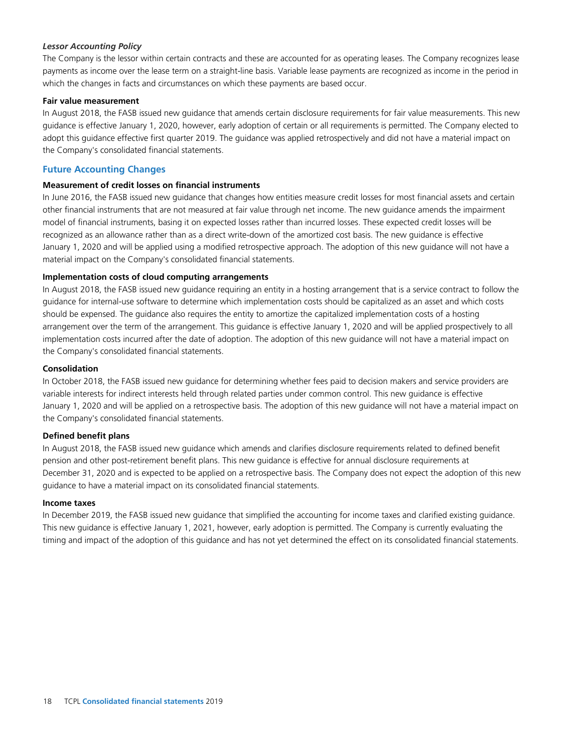# *Lessor Accounting Policy*

The Company is the lessor within certain contracts and these are accounted for as operating leases. The Company recognizes lease payments as income over the lease term on a straight-line basis. Variable lease payments are recognized as income in the period in which the changes in facts and circumstances on which these payments are based occur.

### **Fair value measurement**

In August 2018, the FASB issued new guidance that amends certain disclosure requirements for fair value measurements. This new guidance is effective January 1, 2020, however, early adoption of certain or all requirements is permitted. The Company elected to adopt this guidance effective first quarter 2019. The guidance was applied retrospectively and did not have a material impact on the Company's consolidated financial statements.

# **Future Accounting Changes**

### **Measurement of credit losses on financial instruments**

In June 2016, the FASB issued new guidance that changes how entities measure credit losses for most financial assets and certain other financial instruments that are not measured at fair value through net income. The new guidance amends the impairment model of financial instruments, basing it on expected losses rather than incurred losses. These expected credit losses will be recognized as an allowance rather than as a direct write-down of the amortized cost basis. The new guidance is effective January 1, 2020 and will be applied using a modified retrospective approach. The adoption of this new guidance will not have a material impact on the Company's consolidated financial statements.

### **Implementation costs of cloud computing arrangements**

In August 2018, the FASB issued new guidance requiring an entity in a hosting arrangement that is a service contract to follow the guidance for internal-use software to determine which implementation costs should be capitalized as an asset and which costs should be expensed. The guidance also requires the entity to amortize the capitalized implementation costs of a hosting arrangement over the term of the arrangement. This guidance is effective January 1, 2020 and will be applied prospectively to all implementation costs incurred after the date of adoption. The adoption of this new guidance will not have a material impact on the Company's consolidated financial statements.

### **Consolidation**

In October 2018, the FASB issued new guidance for determining whether fees paid to decision makers and service providers are variable interests for indirect interests held through related parties under common control. This new guidance is effective January 1, 2020 and will be applied on a retrospective basis. The adoption of this new guidance will not have a material impact on the Company's consolidated financial statements.

# **Defined benefit plans**

In August 2018, the FASB issued new guidance which amends and clarifies disclosure requirements related to defined benefit pension and other post-retirement benefit plans. This new guidance is effective for annual disclosure requirements at December 31, 2020 and is expected to be applied on a retrospective basis. The Company does not expect the adoption of this new guidance to have a material impact on its consolidated financial statements.

### **Income taxes**

In December 2019, the FASB issued new guidance that simplified the accounting for income taxes and clarified existing guidance. This new guidance is effective January 1, 2021, however, early adoption is permitted. The Company is currently evaluating the timing and impact of the adoption of this guidance and has not yet determined the effect on its consolidated financial statements.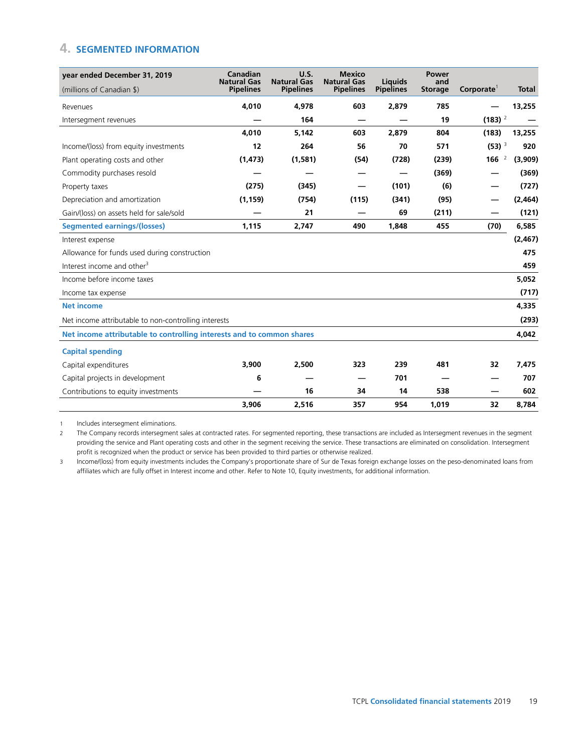# **4. SEGMENTED INFORMATION**

| year ended December 31, 2019                                          | Canadian<br><b>Natural Gas</b> | U.S.<br><b>Natural Gas</b> | <b>Mexico</b><br><b>Natural Gas</b> | Liquids          | <b>Power</b><br>and |                       |              |
|-----------------------------------------------------------------------|--------------------------------|----------------------------|-------------------------------------|------------------|---------------------|-----------------------|--------------|
| (millions of Canadian \$)                                             | <b>Pipelines</b>               | <b>Pipelines</b>           | <b>Pipelines</b>                    | <b>Pipelines</b> | <b>Storage</b>      | Corporate             | <b>Total</b> |
| Revenues                                                              | 4,010                          | 4,978                      | 603                                 | 2,879            | 785                 |                       | 13,255       |
| Intersegment revenues                                                 |                                | 164                        |                                     |                  | 19                  | $(183)$ <sup>2</sup>  |              |
|                                                                       | 4.010                          | 5,142                      | 603                                 | 2.879            | 804                 | (183)                 | 13,255       |
| Income/(loss) from equity investments                                 | 12                             | 264                        | 56                                  | 70               | 571                 | $(53)$ <sup>3</sup>   | 920          |
| Plant operating costs and other                                       | (1, 473)                       | (1, 581)                   | (54)                                | (728)            | (239)               | 166<br>$\overline{2}$ | (3,909)      |
| Commodity purchases resold                                            |                                |                            |                                     |                  | (369)               |                       | (369)        |
| Property taxes                                                        | (275)                          | (345)                      |                                     | (101)            | (6)                 |                       | (727)        |
| Depreciation and amortization                                         | (1, 159)                       | (754)                      | (115)                               | (341)            | (95)                |                       | (2,464)      |
| Gain/(loss) on assets held for sale/sold                              |                                | 21                         |                                     | 69               | (211)               |                       | (121)        |
| <b>Segmented earnings/(losses)</b>                                    | 1,115                          | 2,747                      | 490                                 | 1,848            | 455                 | (70)                  | 6,585        |
| Interest expense                                                      |                                |                            |                                     |                  |                     |                       | (2, 467)     |
| Allowance for funds used during construction                          |                                |                            |                                     |                  |                     |                       | 475          |
| Interest income and other <sup>3</sup>                                |                                |                            |                                     |                  |                     |                       | 459          |
| Income before income taxes                                            |                                |                            |                                     |                  |                     |                       | 5,052        |
| Income tax expense                                                    |                                |                            |                                     |                  |                     |                       | (717)        |
| <b>Net income</b>                                                     |                                |                            |                                     |                  |                     |                       | 4,335        |
| Net income attributable to non-controlling interests                  |                                |                            |                                     |                  |                     |                       | (293)        |
| Net income attributable to controlling interests and to common shares |                                |                            |                                     |                  |                     |                       | 4,042        |
| <b>Capital spending</b>                                               |                                |                            |                                     |                  |                     |                       |              |
| Capital expenditures                                                  | 3,900                          | 2,500                      | 323                                 | 239              | 481                 | 32                    | 7,475        |
| Capital projects in development                                       | 6                              |                            |                                     | 701              |                     |                       | 707          |
| Contributions to equity investments                                   |                                | 16                         | 34                                  | 14               | 538                 |                       | 602          |
|                                                                       | 3.906                          | 2.516                      | 357                                 | 954              | 1.019               | 32                    | 8.784        |

1 Includes intersegment eliminations.

2 The Company records intersegment sales at contracted rates. For segmented reporting, these transactions are included as Intersegment revenues in the segment providing the service and Plant operating costs and other in the segment receiving the service. These transactions are eliminated on consolidation. Intersegment profit is recognized when the product or service has been provided to third parties or otherwise realized.

3 Income/(loss) from equity investments includes the Company's proportionate share of Sur de Texas foreign exchange losses on the peso-denominated loans from affiliates which are fully offset in Interest income and other. Refer to Note 10, Equity investments, for additional information.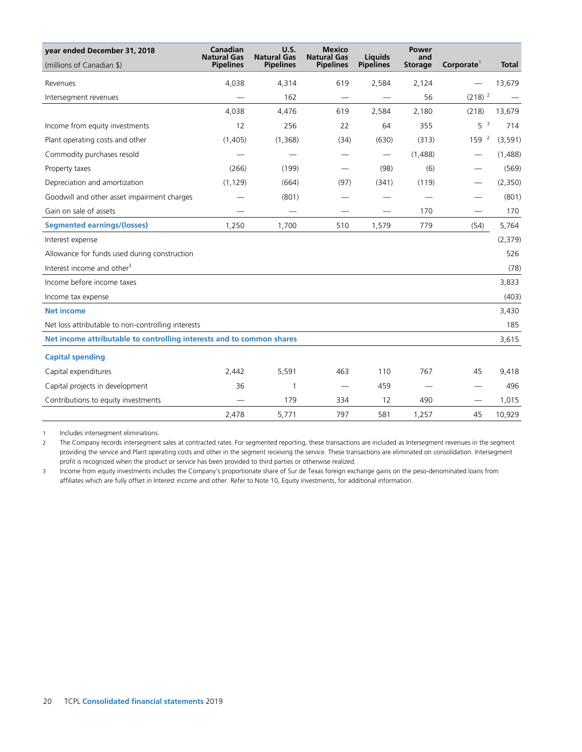| year ended December 31, 2018                                          | Canadian<br><b>Natural Gas</b> | <b>U.S.</b><br><b>Natural Gas</b> | <b>Mexico</b><br><b>Natural Gas</b> | <b>Liquids</b>                    | <b>Power</b><br>and |                        |              |
|-----------------------------------------------------------------------|--------------------------------|-----------------------------------|-------------------------------------|-----------------------------------|---------------------|------------------------|--------------|
| (millions of Canadian \$)                                             | <b>Pipelines</b>               | <b>Pipelines</b>                  | <b>Pipelines</b>                    | <b>Pipelines</b>                  | <b>Storage</b>      | Corporate <sup>1</sup> | <b>Total</b> |
| Revenues                                                              | 4,038                          | 4,314                             | 619                                 | 2,584                             | 2,124               |                        | 13,679       |
| Intersegment revenues                                                 |                                | 162                               |                                     |                                   | 56                  | $(218)$ <sup>2</sup>   |              |
|                                                                       | 4,038                          | 4,476                             | 619                                 | 2,584                             | 2,180               | (218)                  | 13,679       |
| Income from equity investments                                        | 12                             | 256                               | 22                                  | 64                                | 355                 | 5 <sup>3</sup>         | 714          |
| Plant operating costs and other                                       | (1,405)                        | (1,368)                           | (34)                                | (630)                             | (313)               | 159 <sup>2</sup>       | (3, 591)     |
| Commodity purchases resold                                            |                                |                                   |                                     | $\overbrace{\phantom{123221111}}$ | (1,488)             |                        | (1,488)      |
| Property taxes                                                        | (266)                          | (199)                             |                                     | (98)                              | (6)                 |                        | (569)        |
| Depreciation and amortization                                         | (1, 129)                       | (664)                             | (97)                                | (341)                             | (119)               |                        | (2,350)      |
| Goodwill and other asset impairment charges                           |                                | (801)                             |                                     |                                   |                     |                        | (801)        |
| Gain on sale of assets                                                |                                |                                   |                                     |                                   | 170                 |                        | 170          |
| <b>Segmented earnings/(losses)</b>                                    | 1,250                          | 1,700                             | 510                                 | 1,579                             | 779                 | (54)                   | 5,764        |
| Interest expense                                                      |                                |                                   |                                     |                                   |                     |                        | (2, 379)     |
| Allowance for funds used during construction                          |                                |                                   |                                     |                                   |                     |                        | 526          |
| Interest income and other <sup>3</sup>                                |                                |                                   |                                     |                                   |                     |                        | (78)         |
| Income before income taxes                                            |                                |                                   |                                     |                                   |                     |                        | 3,833        |
| Income tax expense                                                    |                                |                                   |                                     |                                   |                     |                        | (403)        |
| <b>Net income</b>                                                     |                                |                                   |                                     |                                   |                     |                        | 3,430        |
| Net loss attributable to non-controlling interests                    |                                |                                   |                                     |                                   |                     |                        | 185          |
| Net income attributable to controlling interests and to common shares |                                |                                   |                                     |                                   |                     |                        | 3,615        |
| <b>Capital spending</b>                                               |                                |                                   |                                     |                                   |                     |                        |              |
| Capital expenditures                                                  | 2,442                          | 5,591                             | 463                                 | 110                               | 767                 | 45                     | 9,418        |
| Capital projects in development                                       | 36                             | $\mathbf{1}$                      |                                     | 459                               |                     |                        | 496          |
| Contributions to equity investments                                   |                                | 179                               | 334                                 | 12                                | 490                 |                        | 1,015        |
|                                                                       | 2,478                          | 5,771                             | 797                                 | 581                               | 1,257               | 45                     | 10,929       |

1 Includes intersegment eliminations.

2 The Company records intersegment sales at contracted rates. For segmented reporting, these transactions are included as Intersegment revenues in the segment providing the service and Plant operating costs and other in the segment receiving the service. These transactions are eliminated on consolidation. Intersegment profit is recognized when the product or service has been provided to third parties or otherwise realized.

3 Income from equity investments includes the Company's proportionate share of Sur de Texas foreign exchange gains on the peso-denominated loans from affiliates which are fully offset in Interest income and other. Refer to Note 10, Equity investments, for additional information.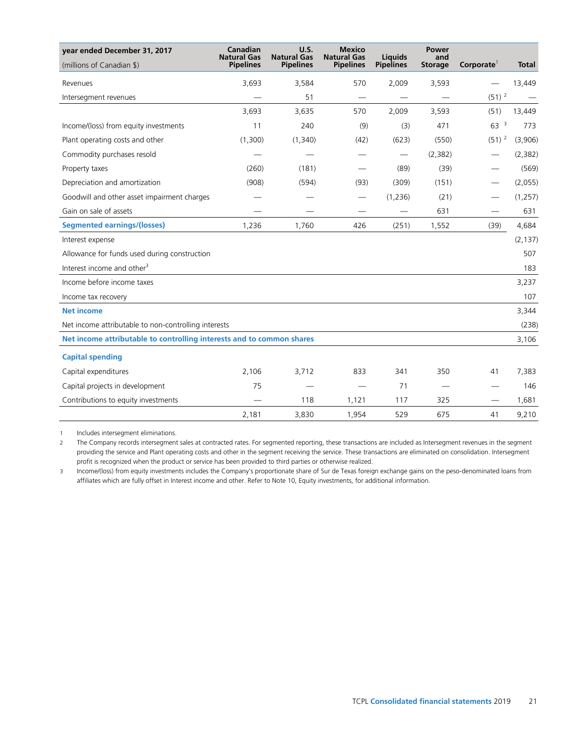| year ended December 31, 2017                                          | Canadian<br><b>Natural Gas</b> | U.S.<br><b>Natural Gas</b> | <b>Mexico</b><br><b>Natural Gas</b> | Liquids                         | Power<br>and   |                          |              |
|-----------------------------------------------------------------------|--------------------------------|----------------------------|-------------------------------------|---------------------------------|----------------|--------------------------|--------------|
| (millions of Canadian \$)                                             | <b>Pipelines</b>               | <b>Pipelines</b>           | <b>Pipelines</b>                    | <b>Pipelines</b>                | <b>Storage</b> | Corporate <sup>1</sup>   | <b>Total</b> |
| Revenues                                                              | 3,693                          | 3,584                      | 570                                 | 2,009                           | 3,593          |                          | 13,449       |
| Intersegment revenues                                                 |                                | 51                         |                                     |                                 |                | $(51)$ <sup>2</sup>      |              |
|                                                                       | 3,693                          | 3,635                      | 570                                 | 2,009                           | 3,593          | (51)                     | 13,449       |
| Income/(loss) from equity investments                                 | 11                             | 240                        | (9)                                 | (3)                             | 471            | 63 <sup>3</sup>          | 773          |
| Plant operating costs and other                                       | (1,300)                        | (1,340)                    | (42)                                | (623)                           | (550)          | $(51)^2$                 | (3,906)      |
| Commodity purchases resold                                            |                                |                            |                                     | $\hspace{0.1mm}-\hspace{0.1mm}$ | (2, 382)       |                          | (2, 382)     |
| Property taxes                                                        | (260)                          | (181)                      |                                     | (89)                            | (39)           |                          | (569)        |
| Depreciation and amortization                                         | (908)                          | (594)                      | (93)                                | (309)                           | (151)          |                          | (2,055)      |
| Goodwill and other asset impairment charges                           |                                |                            | $\overline{\phantom{0}}$            | (1,236)                         | (21)           |                          | (1, 257)     |
| Gain on sale of assets                                                |                                |                            |                                     | $\qquad \qquad$                 | 631            | $\overline{\phantom{0}}$ | 631          |
| <b>Segmented earnings/(losses)</b>                                    | 1,236                          | 1,760                      | 426                                 | (251)                           | 1,552          | (39)                     | 4,684        |
| Interest expense                                                      |                                |                            |                                     |                                 |                |                          | (2, 137)     |
| Allowance for funds used during construction                          |                                |                            |                                     |                                 |                |                          | 507          |
| Interest income and other <sup>3</sup>                                |                                |                            |                                     |                                 |                |                          | 183          |
| Income before income taxes                                            |                                |                            |                                     |                                 |                |                          | 3,237        |
| Income tax recovery                                                   |                                |                            |                                     |                                 |                |                          | 107          |
| <b>Net income</b>                                                     |                                |                            |                                     |                                 |                |                          | 3,344        |
| Net income attributable to non-controlling interests                  |                                |                            |                                     |                                 |                |                          | (238)        |
| Net income attributable to controlling interests and to common shares |                                |                            |                                     |                                 |                |                          | 3,106        |
| <b>Capital spending</b>                                               |                                |                            |                                     |                                 |                |                          |              |
| Capital expenditures                                                  | 2,106                          | 3,712                      | 833                                 | 341                             | 350            | 41                       | 7,383        |
| Capital projects in development                                       | 75                             |                            |                                     | 71                              |                |                          | 146          |
| Contributions to equity investments                                   |                                | 118                        | 1,121                               | 117                             | 325            |                          | 1,681        |
|                                                                       | 2,181                          | 3,830                      | 1,954                               | 529                             | 675            | 41                       | 9,210        |

1 Includes intersegment eliminations.

2 The Company records intersegment sales at contracted rates. For segmented reporting, these transactions are included as Intersegment revenues in the segment providing the service and Plant operating costs and other in the segment receiving the service. These transactions are eliminated on consolidation. Intersegment profit is recognized when the product or service has been provided to third parties or otherwise realized.

3 Income/(loss) from equity investments includes the Company's proportionate share of Sur de Texas foreign exchange gains on the peso-denominated loans from affiliates which are fully offset in Interest income and other. Refer to Note 10, Equity investments, for additional information.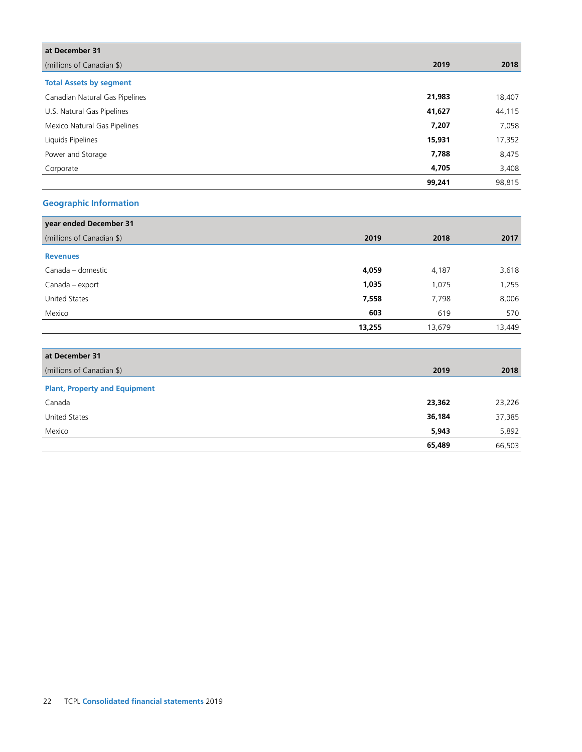| at December 31                 |        |        |
|--------------------------------|--------|--------|
| (millions of Canadian \$)      | 2019   | 2018   |
| <b>Total Assets by segment</b> |        |        |
| Canadian Natural Gas Pipelines | 21,983 | 18,407 |
| U.S. Natural Gas Pipelines     | 41,627 | 44,115 |
| Mexico Natural Gas Pipelines   | 7,207  | 7,058  |
| Liquids Pipelines              | 15,931 | 17,352 |
| Power and Storage              | 7,788  | 8,475  |
| Corporate                      | 4,705  | 3,408  |
|                                | 99,241 | 98,815 |

# **Geographic Information**

| year ended December 31               |        |        |        |
|--------------------------------------|--------|--------|--------|
| (millions of Canadian \$)            | 2019   | 2018   | 2017   |
| <b>Revenues</b>                      |        |        |        |
| Canada - domestic                    | 4,059  | 4,187  | 3,618  |
| Canada – export                      | 1,035  | 1,075  | 1,255  |
| United States                        | 7,558  | 7,798  | 8,006  |
| Mexico                               | 603    | 619    | 570    |
|                                      | 13,255 | 13,679 | 13,449 |
|                                      |        |        |        |
| at December 31                       |        |        |        |
| (millions of Canadian \$)            |        | 2019   | 2018   |
| <b>Plant, Property and Equipment</b> |        |        |        |
| Canada                               |        | 23,362 | 23,226 |
| <b>United States</b>                 |        | 36,184 | 37,385 |
| Mexico                               |        | 5,943  | 5,892  |
|                                      |        | 65,489 | 66,503 |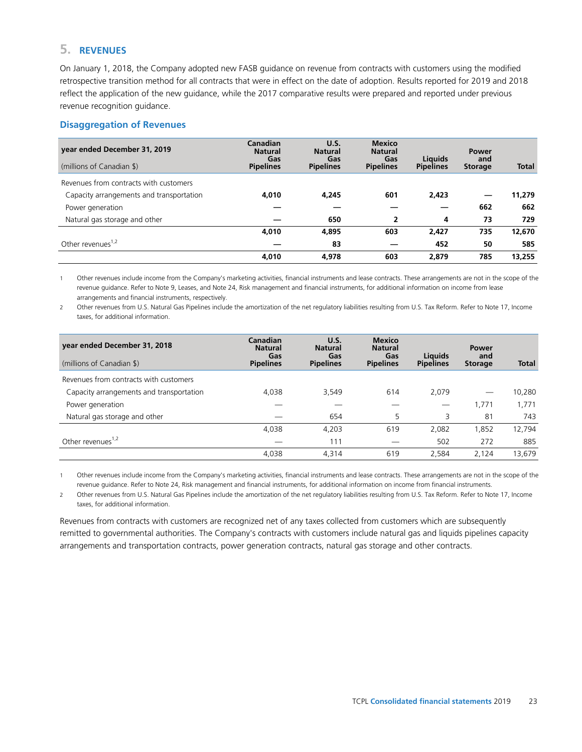# **5. REVENUES**

On January 1, 2018, the Company adopted new FASB guidance on revenue from contracts with customers using the modified retrospective transition method for all contracts that were in effect on the date of adoption. Results reported for 2019 and 2018 reflect the application of the new guidance, while the 2017 comparative results were prepared and reported under previous revenue recognition guidance.

# **Disaggregation of Revenues**

| year ended December 31, 2019<br>(millions of Canadian \$) | Canadian<br><b>Natural</b><br>Gas<br><b>Pipelines</b> | <b>U.S.</b><br><b>Natural</b><br>Gas<br><b>Pipelines</b> | <b>Mexico</b><br><b>Natural</b><br>Gas<br><b>Pipelines</b> | <b>Liquids</b><br><b>Pipelines</b> | Power<br>and<br><b>Storage</b> | <b>Total</b> |
|-----------------------------------------------------------|-------------------------------------------------------|----------------------------------------------------------|------------------------------------------------------------|------------------------------------|--------------------------------|--------------|
| Revenues from contracts with customers                    |                                                       |                                                          |                                                            |                                    |                                |              |
| Capacity arrangements and transportation                  | 4,010                                                 | 4.245                                                    | 601                                                        | 2,423                              |                                | 11,279       |
| Power generation                                          |                                                       |                                                          |                                                            |                                    | 662                            | 662          |
| Natural gas storage and other                             |                                                       | 650                                                      | $\overline{2}$                                             | 4                                  | 73                             | 729          |
|                                                           | 4,010                                                 | 4,895                                                    | 603                                                        | 2.427                              | 735                            | 12,670       |
| Other revenues <sup>1,2</sup>                             |                                                       | 83                                                       |                                                            | 452                                | 50                             | 585          |
|                                                           | 4.010                                                 | 4.978                                                    | 603                                                        | 2.879                              | 785                            | 13.255       |

1 Other revenues include income from the Company's marketing activities, financial instruments and lease contracts. These arrangements are not in the scope of the revenue guidance. Refer to Note 9, Leases, and Note 24, Risk management and financial instruments, for additional information on income from lease arrangements and financial instruments, respectively.

2 Other revenues from U.S. Natural Gas Pipelines include the amortization of the net regulatory liabilities resulting from U.S. Tax Reform. Refer to Note 17, Income taxes, for additional information.

| year ended December 31, 2018<br>(millions of Canadian \$) | Canadian<br><b>Natural</b><br>Gas<br><b>Pipelines</b> | U.S.<br><b>Natural</b><br>Gas<br><b>Pipelines</b> | <b>Mexico</b><br><b>Natural</b><br>Gas<br><b>Pipelines</b> | <b>Liquids</b><br><b>Pipelines</b> | <b>Power</b><br>and<br><b>Storage</b> | <b>Total</b> |
|-----------------------------------------------------------|-------------------------------------------------------|---------------------------------------------------|------------------------------------------------------------|------------------------------------|---------------------------------------|--------------|
| Revenues from contracts with customers                    |                                                       |                                                   |                                                            |                                    |                                       |              |
| Capacity arrangements and transportation                  | 4.038                                                 | 3,549                                             | 614                                                        | 2.079                              |                                       | 10,280       |
| Power generation                                          |                                                       |                                                   |                                                            |                                    | 1,771                                 | 1,771        |
| Natural gas storage and other                             |                                                       | 654                                               | 5                                                          | 3                                  | 81                                    | 743          |
|                                                           | 4.038                                                 | 4.203                                             | 619                                                        | 2.082                              | 1,852                                 | 12,794       |
| Other revenues <sup>1,2</sup>                             |                                                       | 111                                               |                                                            | 502                                | 272                                   | 885          |
|                                                           | 4,038                                                 | 4,314                                             | 619                                                        | 2.584                              | 2,124                                 | 13,679       |

1 Other revenues include income from the Company's marketing activities, financial instruments and lease contracts. These arrangements are not in the scope of the revenue guidance. Refer to Note 24, Risk management and financial instruments, for additional information on income from financial instruments.

2 Other revenues from U.S. Natural Gas Pipelines include the amortization of the net regulatory liabilities resulting from U.S. Tax Reform. Refer to Note 17, Income taxes, for additional information.

Revenues from contracts with customers are recognized net of any taxes collected from customers which are subsequently remitted to governmental authorities. The Company's contracts with customers include natural gas and liquids pipelines capacity arrangements and transportation contracts, power generation contracts, natural gas storage and other contracts.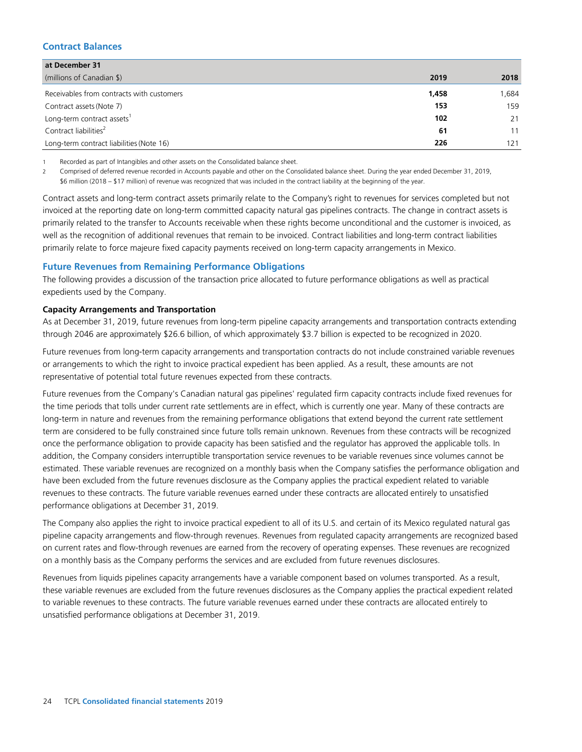# **Contract Balances**

| at December 31                            |       |       |
|-------------------------------------------|-------|-------|
| (millions of Canadian \$)                 | 2019  | 2018  |
| Receivables from contracts with customers | 1,458 | 1,684 |
| Contract assets (Note 7)                  | 153   | 159   |
| Long-term contract assets <sup>1</sup>    | 102   | 21    |
| Contract liabilities <sup>2</sup>         | 61    | 11    |
| Long-term contract liabilities (Note 16)  | 226   | 121   |

1 Recorded as part of Intangibles and other assets on the Consolidated balance sheet.

2 Comprised of deferred revenue recorded in Accounts payable and other on the Consolidated balance sheet. During the year ended December 31, 2019, \$6 million (2018 – \$17 million) of revenue was recognized that was included in the contract liability at the beginning of the year.

Contract assets and long-term contract assets primarily relate to the Company's right to revenues for services completed but not invoiced at the reporting date on long-term committed capacity natural gas pipelines contracts. The change in contract assets is primarily related to the transfer to Accounts receivable when these rights become unconditional and the customer is invoiced, as well as the recognition of additional revenues that remain to be invoiced. Contract liabilities and long-term contract liabilities primarily relate to force majeure fixed capacity payments received on long-term capacity arrangements in Mexico.

# **Future Revenues from Remaining Performance Obligations**

The following provides a discussion of the transaction price allocated to future performance obligations as well as practical expedients used by the Company.

### **Capacity Arrangements and Transportation**

As at December 31, 2019, future revenues from long-term pipeline capacity arrangements and transportation contracts extending through 2046 are approximately \$26.6 billion, of which approximately \$3.7 billion is expected to be recognized in 2020.

Future revenues from long-term capacity arrangements and transportation contracts do not include constrained variable revenues or arrangements to which the right to invoice practical expedient has been applied. As a result, these amounts are not representative of potential total future revenues expected from these contracts.

Future revenues from the Company's Canadian natural gas pipelines' regulated firm capacity contracts include fixed revenues for the time periods that tolls under current rate settlements are in effect, which is currently one year. Many of these contracts are long-term in nature and revenues from the remaining performance obligations that extend beyond the current rate settlement term are considered to be fully constrained since future tolls remain unknown. Revenues from these contracts will be recognized once the performance obligation to provide capacity has been satisfied and the regulator has approved the applicable tolls. In addition, the Company considers interruptible transportation service revenues to be variable revenues since volumes cannot be estimated. These variable revenues are recognized on a monthly basis when the Company satisfies the performance obligation and have been excluded from the future revenues disclosure as the Company applies the practical expedient related to variable revenues to these contracts. The future variable revenues earned under these contracts are allocated entirely to unsatisfied performance obligations at December 31, 2019.

The Company also applies the right to invoice practical expedient to all of its U.S. and certain of its Mexico regulated natural gas pipeline capacity arrangements and flow-through revenues. Revenues from regulated capacity arrangements are recognized based on current rates and flow-through revenues are earned from the recovery of operating expenses. These revenues are recognized on a monthly basis as the Company performs the services and are excluded from future revenues disclosures.

Revenues from liquids pipelines capacity arrangements have a variable component based on volumes transported. As a result, these variable revenues are excluded from the future revenues disclosures as the Company applies the practical expedient related to variable revenues to these contracts. The future variable revenues earned under these contracts are allocated entirely to unsatisfied performance obligations at December 31, 2019.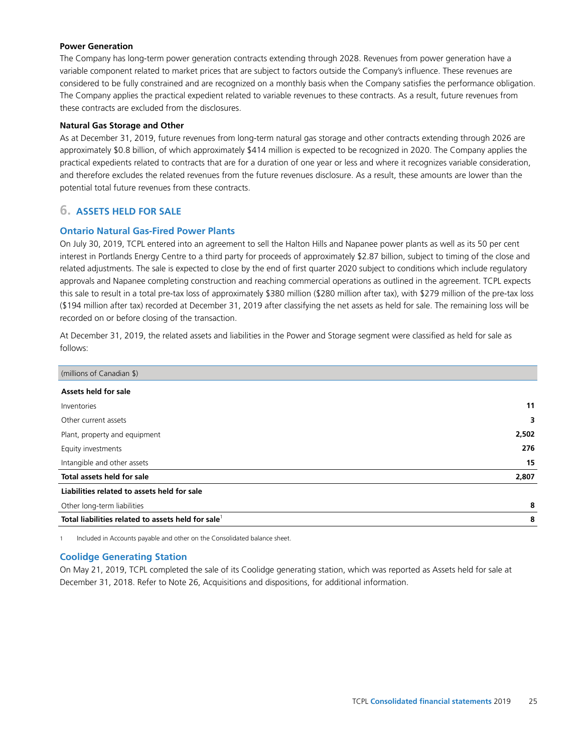### **Power Generation**

The Company has long-term power generation contracts extending through 2028. Revenues from power generation have a variable component related to market prices that are subject to factors outside the Company's influence. These revenues are considered to be fully constrained and are recognized on a monthly basis when the Company satisfies the performance obligation. The Company applies the practical expedient related to variable revenues to these contracts. As a result, future revenues from these contracts are excluded from the disclosures.

### **Natural Gas Storage and Other**

As at December 31, 2019, future revenues from long-term natural gas storage and other contracts extending through 2026 are approximately \$0.8 billion, of which approximately \$414 million is expected to be recognized in 2020. The Company applies the practical expedients related to contracts that are for a duration of one year or less and where it recognizes variable consideration, and therefore excludes the related revenues from the future revenues disclosure. As a result, these amounts are lower than the potential total future revenues from these contracts.

# **6. ASSETS HELD FOR SALE**

# **Ontario Natural Gas-Fired Power Plants**

On July 30, 2019, TCPL entered into an agreement to sell the Halton Hills and Napanee power plants as well as its 50 per cent interest in Portlands Energy Centre to a third party for proceeds of approximately \$2.87 billion, subject to timing of the close and related adjustments. The sale is expected to close by the end of first quarter 2020 subject to conditions which include regulatory approvals and Napanee completing construction and reaching commercial operations as outlined in the agreement. TCPL expects this sale to result in a total pre-tax loss of approximately \$380 million (\$280 million after tax), with \$279 million of the pre-tax loss (\$194 million after tax) recorded at December 31, 2019 after classifying the net assets as held for sale. The remaining loss will be recorded on or before closing of the transaction.

At December 31, 2019, the related assets and liabilities in the Power and Storage segment were classified as held for sale as follows:

| (millions of Canadian \$)                         |       |
|---------------------------------------------------|-------|
| Assets held for sale                              |       |
| Inventories                                       | 11    |
| Other current assets                              | 3     |
| Plant, property and equipment                     | 2,502 |
| Equity investments                                | 276   |
| Intangible and other assets                       | 15    |
| Total assets held for sale                        | 2,807 |
| Liabilities related to assets held for sale       |       |
| Other long-term liabilities                       | 8     |
| Total liabilities related to assets held for sale | 8     |

1 Included in Accounts payable and other on the Consolidated balance sheet.

# **Coolidge Generating Station**

On May 21, 2019, TCPL completed the sale of its Coolidge generating station, which was reported as Assets held for sale at December 31, 2018. Refer to Note 26, Acquisitions and dispositions, for additional information.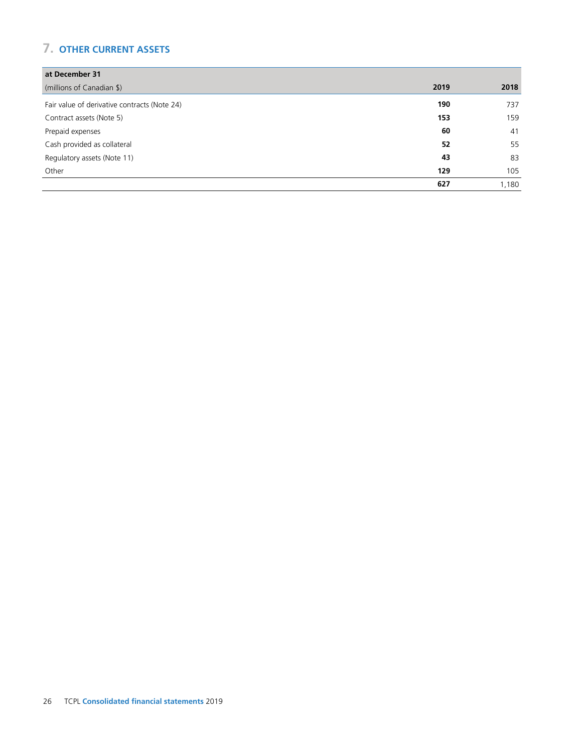# **7. OTHER CURRENT ASSETS**

| at December 31                               |      |       |
|----------------------------------------------|------|-------|
| (millions of Canadian \$)                    | 2019 | 2018  |
| Fair value of derivative contracts (Note 24) | 190  | 737   |
| Contract assets (Note 5)                     | 153  | 159   |
| Prepaid expenses                             | 60   | 41    |
| Cash provided as collateral                  | 52   | 55    |
| Regulatory assets (Note 11)                  | 43   | 83    |
| Other                                        | 129  | 105   |
|                                              | 627  | 1,180 |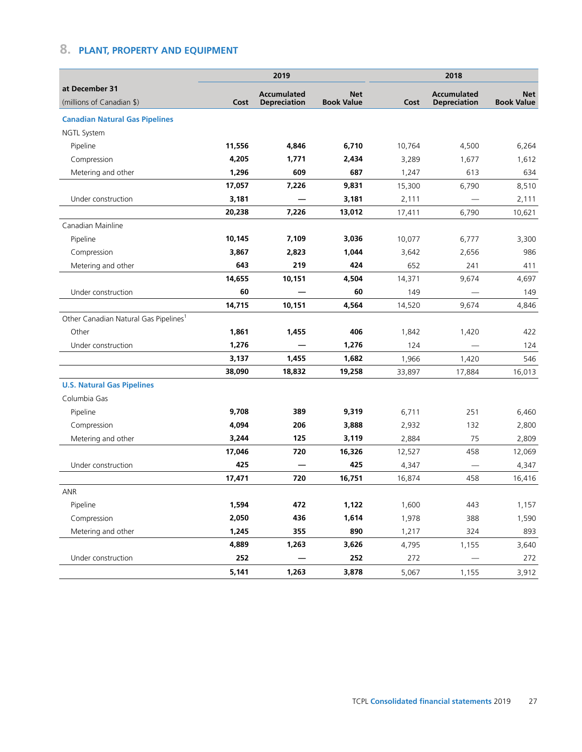# **8. PLANT, PROPERTY AND EQUIPMENT**

|                                                   |        | 2019                                      |                                 |        | 2018                                      |                                 |
|---------------------------------------------------|--------|-------------------------------------------|---------------------------------|--------|-------------------------------------------|---------------------------------|
| at December 31<br>(millions of Canadian \$)       | Cost   | <b>Accumulated</b><br><b>Depreciation</b> | <b>Net</b><br><b>Book Value</b> | Cost   | <b>Accumulated</b><br><b>Depreciation</b> | <b>Net</b><br><b>Book Value</b> |
| <b>Canadian Natural Gas Pipelines</b>             |        |                                           |                                 |        |                                           |                                 |
| <b>NGTL System</b>                                |        |                                           |                                 |        |                                           |                                 |
| Pipeline                                          | 11,556 | 4,846                                     | 6,710                           | 10,764 | 4,500                                     | 6,264                           |
| Compression                                       | 4,205  | 1,771                                     | 2,434                           | 3,289  | 1,677                                     | 1,612                           |
| Metering and other                                | 1,296  | 609                                       | 687                             | 1,247  | 613                                       | 634                             |
|                                                   | 17,057 | 7,226                                     | 9,831                           | 15,300 | 6,790                                     | 8,510                           |
| Under construction                                | 3,181  |                                           | 3,181                           | 2,111  |                                           | 2,111                           |
|                                                   | 20,238 | 7,226                                     | 13,012                          | 17,411 | 6,790                                     | 10,621                          |
| Canadian Mainline                                 |        |                                           |                                 |        |                                           |                                 |
| Pipeline                                          | 10,145 | 7,109                                     | 3,036                           | 10,077 | 6,777                                     | 3,300                           |
| Compression                                       | 3,867  | 2,823                                     | 1,044                           | 3,642  | 2,656                                     | 986                             |
| Metering and other                                | 643    | 219                                       | 424                             | 652    | 241                                       | 411                             |
|                                                   | 14,655 | 10,151                                    | 4,504                           | 14,371 | 9,674                                     | 4,697                           |
| Under construction                                | 60     |                                           | 60                              | 149    |                                           | 149                             |
|                                                   | 14,715 | 10,151                                    | 4,564                           | 14,520 | 9.674                                     | 4,846                           |
| Other Canadian Natural Gas Pipelines <sup>1</sup> |        |                                           |                                 |        |                                           |                                 |
| Other                                             | 1,861  | 1,455                                     | 406                             | 1,842  | 1,420                                     | 422                             |
| Under construction                                | 1,276  |                                           | 1,276                           | 124    |                                           | 124                             |
|                                                   | 3,137  | 1,455                                     | 1,682                           | 1,966  | 1,420                                     | 546                             |
|                                                   | 38,090 | 18,832                                    | 19,258                          | 33,897 | 17,884                                    | 16,013                          |
| <b>U.S. Natural Gas Pipelines</b>                 |        |                                           |                                 |        |                                           |                                 |
| Columbia Gas                                      |        |                                           |                                 |        |                                           |                                 |
| Pipeline                                          | 9,708  | 389                                       | 9,319                           | 6,711  | 251                                       | 6,460                           |
| Compression                                       | 4,094  | 206                                       | 3,888                           | 2,932  | 132                                       | 2,800                           |
| Metering and other                                | 3.244  | 125                                       | 3,119                           | 2,884  | 75                                        | 2,809                           |
|                                                   | 17,046 | 720                                       | 16,326                          | 12,527 | 458                                       | 12,069                          |
| Under construction                                | 425    |                                           | 425                             | 4,347  |                                           | 4,347                           |
|                                                   | 17,471 | 720                                       | 16,751                          | 16,874 | 458                                       | 16,416                          |
| ANR                                               |        |                                           |                                 |        |                                           |                                 |
| Pipeline                                          | 1,594  | 472                                       | 1,122                           | 1,600  | 443                                       | 1,157                           |
| Compression                                       | 2,050  | 436                                       | 1,614                           | 1,978  | 388                                       | 1,590                           |
| Metering and other                                | 1,245  | 355                                       | 890                             | 1,217  | 324                                       | 893                             |
|                                                   | 4,889  | 1,263                                     | 3,626                           | 4,795  | 1,155                                     | 3,640                           |
| Under construction                                | 252    |                                           | 252                             | 272    |                                           | 272                             |
|                                                   | 5,141  | 1,263                                     | 3,878                           | 5,067  | 1,155                                     | 3,912                           |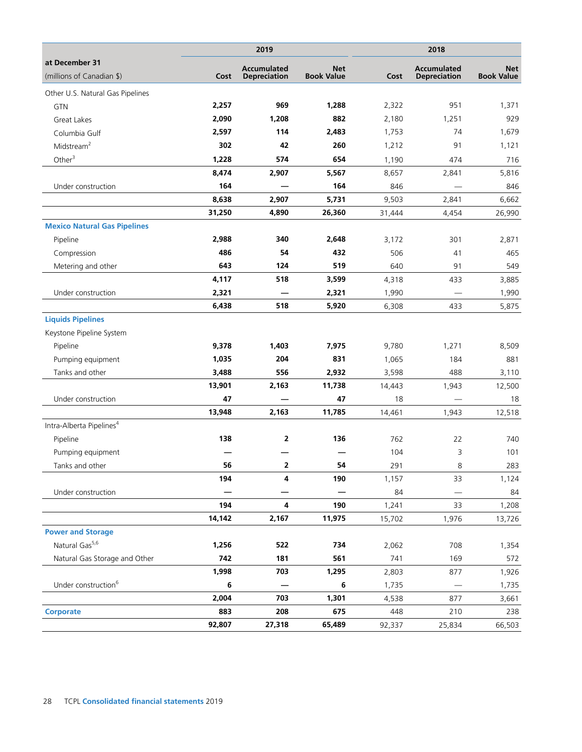|                                             |        | 2019                                      |                                 |        | 2018                                      |                                 |
|---------------------------------------------|--------|-------------------------------------------|---------------------------------|--------|-------------------------------------------|---------------------------------|
| at December 31<br>(millions of Canadian \$) | Cost   | <b>Accumulated</b><br><b>Depreciation</b> | <b>Net</b><br><b>Book Value</b> | Cost   | <b>Accumulated</b><br><b>Depreciation</b> | <b>Net</b><br><b>Book Value</b> |
| Other U.S. Natural Gas Pipelines            |        |                                           |                                 |        |                                           |                                 |
| <b>GTN</b>                                  | 2,257  | 969                                       | 1,288                           | 2,322  | 951                                       | 1,371                           |
| Great Lakes                                 | 2,090  | 1,208                                     | 882                             | 2,180  | 1,251                                     | 929                             |
| Columbia Gulf                               | 2,597  | 114                                       | 2,483                           | 1,753  | 74                                        | 1,679                           |
| Midstream <sup>2</sup>                      | 302    | 42                                        | 260                             | 1,212  | 91                                        | 1,121                           |
| Other $3$                                   | 1,228  | 574                                       | 654                             | 1,190  | 474                                       | 716                             |
|                                             | 8,474  | 2,907                                     | 5,567                           | 8,657  | 2,841                                     | 5,816                           |
| Under construction                          | 164    |                                           | 164                             | 846    |                                           | 846                             |
|                                             | 8,638  | 2,907                                     | 5,731                           | 9,503  | 2,841                                     | 6,662                           |
|                                             | 31,250 | 4,890                                     | 26,360                          | 31,444 | 4,454                                     | 26,990                          |
| <b>Mexico Natural Gas Pipelines</b>         |        |                                           |                                 |        |                                           |                                 |
| Pipeline                                    | 2,988  | 340                                       | 2,648                           | 3,172  | 301                                       | 2,871                           |
| Compression                                 | 486    | 54                                        | 432                             | 506    | 41                                        | 465                             |
| Metering and other                          | 643    | 124                                       | 519                             | 640    | 91                                        | 549                             |
|                                             | 4,117  | 518                                       | 3,599                           | 4,318  | 433                                       | 3,885                           |
| Under construction                          | 2,321  |                                           | 2,321                           | 1,990  |                                           | 1,990                           |
|                                             | 6,438  | 518                                       | 5,920                           | 6,308  | 433                                       | 5,875                           |
| <b>Liquids Pipelines</b>                    |        |                                           |                                 |        |                                           |                                 |
| Keystone Pipeline System                    |        |                                           |                                 |        |                                           |                                 |
| Pipeline                                    | 9,378  | 1,403                                     | 7,975                           | 9,780  | 1,271                                     | 8,509                           |
| Pumping equipment                           | 1,035  | 204                                       | 831                             | 1,065  | 184                                       | 881                             |
| Tanks and other                             | 3,488  | 556                                       | 2,932                           | 3,598  | 488                                       | 3,110                           |
|                                             | 13,901 | 2,163                                     | 11,738                          | 14,443 | 1,943                                     | 12,500                          |
| Under construction                          | 47     |                                           | 47                              | 18     |                                           | 18                              |
|                                             | 13,948 | 2,163                                     | 11,785                          | 14,461 | 1,943                                     | 12,518                          |
| Intra-Alberta Pipelines <sup>4</sup>        |        |                                           |                                 |        |                                           |                                 |
| Pipeline                                    | 138    | 2                                         | 136                             | 762    | 22                                        | 740                             |
| Pumping equipment                           |        |                                           |                                 | 104    | 3                                         | 101                             |
| Tanks and other                             | 56     | 2                                         | 54                              | 291    | 8                                         | 283                             |
|                                             | 194    | 4                                         | 190                             | 1,157  | 33                                        | 1,124                           |
| Under construction                          |        |                                           |                                 | 84     |                                           | 84                              |
|                                             | 194    | 4                                         | 190                             | 1,241  | 33                                        | 1,208                           |
|                                             | 14,142 | 2,167                                     | 11,975                          | 15,702 | 1,976                                     | 13,726                          |
| <b>Power and Storage</b>                    |        |                                           |                                 |        |                                           |                                 |
| Natural Gas <sup>5,6</sup>                  | 1,256  | 522                                       | 734                             | 2,062  | 708                                       | 1,354                           |
| Natural Gas Storage and Other               | 742    | 181                                       | 561                             | 741    | 169                                       | 572                             |
|                                             | 1,998  | 703                                       | 1,295                           | 2,803  | 877                                       | 1,926                           |
| Under construction <sup>6</sup>             | 6      |                                           | 6                               | 1,735  |                                           | 1,735                           |
|                                             | 2,004  | 703                                       | 1,301                           | 4,538  | 877                                       | 3,661                           |
| <b>Corporate</b>                            | 883    | 208                                       | 675                             | 448    | 210                                       | 238                             |
|                                             | 92,807 | 27,318                                    | 65,489                          | 92,337 | 25,834                                    | 66,503                          |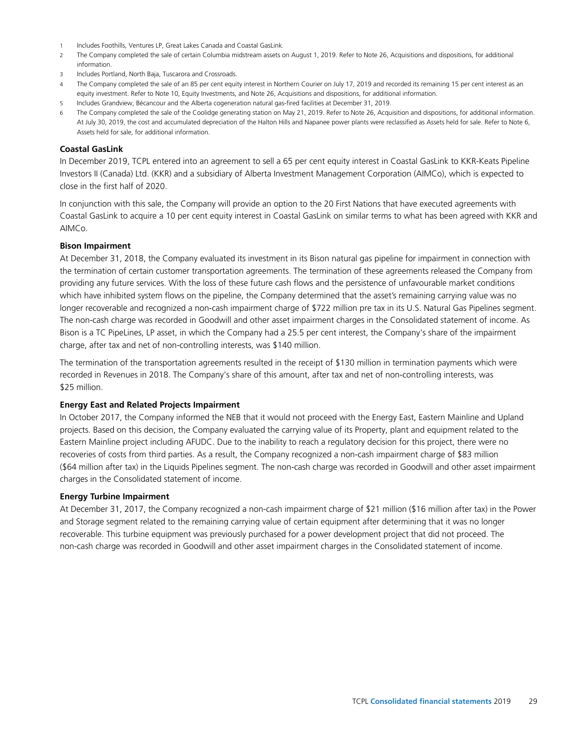- 1 Includes Foothills, Ventures LP, Great Lakes Canada and Coastal GasLink.
- 2 The Company completed the sale of certain Columbia midstream assets on August 1, 2019. Refer to Note 26, Acquisitions and dispositions, for additional information.
- 3 Includes Portland, North Baja, Tuscarora and Crossroads.
- 4 The Company completed the sale of an 85 per cent equity interest in Northern Courier on July 17, 2019 and recorded its remaining 15 per cent interest as an equity investment. Refer to Note 10, Equity Investments, and Note 26, Acquisitions and dispositions, for additional information.
- 5 Includes Grandview, Bécancour and the Alberta cogeneration natural gas-fired facilities at December 31, 2019.
- 6 The Company completed the sale of the Coolidge generating station on May 21, 2019. Refer to Note 26, Acquisition and dispositions, for additional information. At July 30, 2019, the cost and accumulated depreciation of the Halton Hills and Napanee power plants were reclassified as Assets held for sale. Refer to Note 6, Assets held for sale, for additional information.

#### **Coastal GasLink**

In December 2019, TCPL entered into an agreement to sell a 65 per cent equity interest in Coastal GasLink to KKR-Keats Pipeline Investors II (Canada) Ltd. (KKR) and a subsidiary of Alberta Investment Management Corporation (AIMCo), which is expected to close in the first half of 2020.

In conjunction with this sale, the Company will provide an option to the 20 First Nations that have executed agreements with Coastal GasLink to acquire a 10 per cent equity interest in Coastal GasLink on similar terms to what has been agreed with KKR and AIMCo.

#### **Bison Impairment**

At December 31, 2018, the Company evaluated its investment in its Bison natural gas pipeline for impairment in connection with the termination of certain customer transportation agreements. The termination of these agreements released the Company from providing any future services. With the loss of these future cash flows and the persistence of unfavourable market conditions which have inhibited system flows on the pipeline, the Company determined that the asset's remaining carrying value was no longer recoverable and recognized a non-cash impairment charge of \$722 million pre tax in its U.S. Natural Gas Pipelines segment. The non-cash charge was recorded in Goodwill and other asset impairment charges in the Consolidated statement of income. As Bison is a TC PipeLines, LP asset, in which the Company had a 25.5 per cent interest, the Company's share of the impairment charge, after tax and net of non-controlling interests, was \$140 million.

The termination of the transportation agreements resulted in the receipt of \$130 million in termination payments which were recorded in Revenues in 2018. The Company's share of this amount, after tax and net of non-controlling interests, was \$25 million.

#### **Energy East and Related Projects Impairment**

In October 2017, the Company informed the NEB that it would not proceed with the Energy East, Eastern Mainline and Upland projects. Based on this decision, the Company evaluated the carrying value of its Property, plant and equipment related to the Eastern Mainline project including AFUDC. Due to the inability to reach a regulatory decision for this project, there were no recoveries of costs from third parties. As a result, the Company recognized a non-cash impairment charge of \$83 million (\$64 million after tax) in the Liquids Pipelines segment. The non-cash charge was recorded in Goodwill and other asset impairment charges in the Consolidated statement of income.

#### **Energy Turbine Impairment**

At December 31, 2017, the Company recognized a non-cash impairment charge of \$21 million (\$16 million after tax) in the Power and Storage segment related to the remaining carrying value of certain equipment after determining that it was no longer recoverable. This turbine equipment was previously purchased for a power development project that did not proceed. The non-cash charge was recorded in Goodwill and other asset impairment charges in the Consolidated statement of income.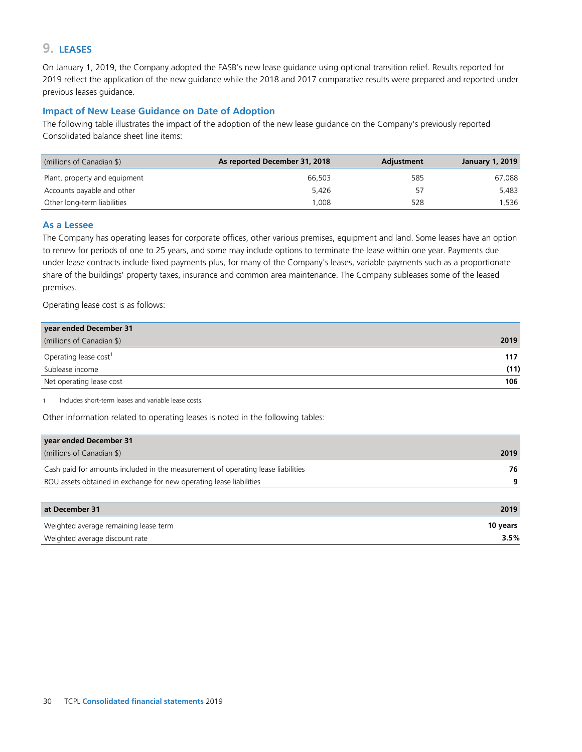# **9. LEASES**

On January 1, 2019, the Company adopted the FASB's new lease guidance using optional transition relief. Results reported for 2019 reflect the application of the new guidance while the 2018 and 2017 comparative results were prepared and reported under previous leases guidance.

### **Impact of New Lease Guidance on Date of Adoption**

The following table illustrates the impact of the adoption of the new lease guidance on the Company's previously reported Consolidated balance sheet line items:

| (millions of Canadian \$)     | As reported December 31, 2018 | Adjustment | <b>January 1, 2019</b> |
|-------------------------------|-------------------------------|------------|------------------------|
| Plant, property and equipment | 66,503                        | 585        | 67,088                 |
| Accounts payable and other    | 5.426                         | 57         | 5.483                  |
| Other long-term liabilities   | .008                          | 528        | 1.536                  |

### **As a Lessee**

The Company has operating leases for corporate offices, other various premises, equipment and land. Some leases have an option to renew for periods of one to 25 years, and some may include options to terminate the lease within one year. Payments due under lease contracts include fixed payments plus, for many of the Company's leases, variable payments such as a proportionate share of the buildings' property taxes, insurance and common area maintenance. The Company subleases some of the leased premises.

Operating lease cost is as follows:

| year ended December 31            |      |
|-----------------------------------|------|
| (millions of Canadian \$)         | 2019 |
| Operating lease cost <sup>1</sup> | 117  |
| Sublease income                   | (11) |
| Net operating lease cost          | 106  |

1 Includes short-term leases and variable lease costs.

Other information related to operating leases is noted in the following tables:

| year ended December 31                                                           |          |
|----------------------------------------------------------------------------------|----------|
| (millions of Canadian \$)                                                        | 2019     |
| Cash paid for amounts included in the measurement of operating lease liabilities | 76       |
| ROU assets obtained in exchange for new operating lease liabilities              | 9        |
|                                                                                  |          |
| at December 31                                                                   | 2019     |
| Weighted average remaining lease term                                            | 10 years |

Weighted average discount rate **3.5%**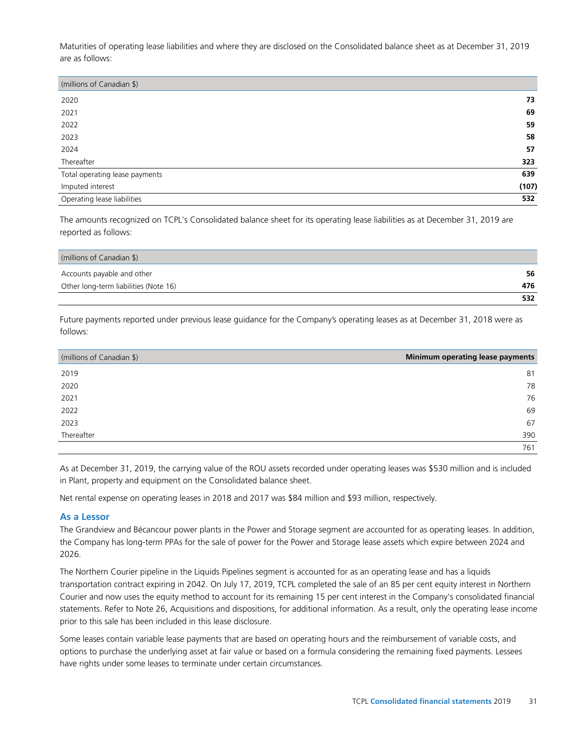Maturities of operating lease liabilities and where they are disclosed on the Consolidated balance sheet as at December 31, 2019 are as follows:

| (millions of Canadian \$)      |       |
|--------------------------------|-------|
| 2020                           | 73    |
| 2021                           | 69    |
| 2022                           | 59    |
| 2023                           | 58    |
| 2024                           | 57    |
| Thereafter                     | 323   |
| Total operating lease payments | 639   |
| Imputed interest               | (107) |
| Operating lease liabilities    | 532   |

The amounts recognized on TCPL's Consolidated balance sheet for its operating lease liabilities as at December 31, 2019 are reported as follows:

| (millions of Canadian \$)             |     |
|---------------------------------------|-----|
| Accounts payable and other            | 56  |
| Other long-term liabilities (Note 16) | 476 |
|                                       | 532 |

Future payments reported under previous lease guidance for the Company's operating leases as at December 31, 2018 were as follows:

| (millions of Canadian \$) | Minimum operating lease payments |
|---------------------------|----------------------------------|
| 2019                      | 81                               |
| 2020                      | 78                               |
| 2021                      | 76                               |
| 2022                      | 69                               |
| 2023                      | 67                               |
| Thereafter                | 390                              |
|                           | 761                              |

As at December 31, 2019, the carrying value of the ROU assets recorded under operating leases was \$530 million and is included in Plant, property and equipment on the Consolidated balance sheet.

Net rental expense on operating leases in 2018 and 2017 was \$84 million and \$93 million, respectively.

# **As a Lessor**

The Grandview and Bécancour power plants in the Power and Storage segment are accounted for as operating leases. In addition, the Company has long-term PPAs for the sale of power for the Power and Storage lease assets which expire between 2024 and 2026.

The Northern Courier pipeline in the Liquids Pipelines segment is accounted for as an operating lease and has a liquids transportation contract expiring in 2042. On July 17, 2019, TCPL completed the sale of an 85 per cent equity interest in Northern Courier and now uses the equity method to account for its remaining 15 per cent interest in the Company's consolidated financial statements. Refer to Note 26, Acquisitions and dispositions, for additional information. As a result, only the operating lease income prior to this sale has been included in this lease disclosure.

Some leases contain variable lease payments that are based on operating hours and the reimbursement of variable costs, and options to purchase the underlying asset at fair value or based on a formula considering the remaining fixed payments. Lessees have rights under some leases to terminate under certain circumstances.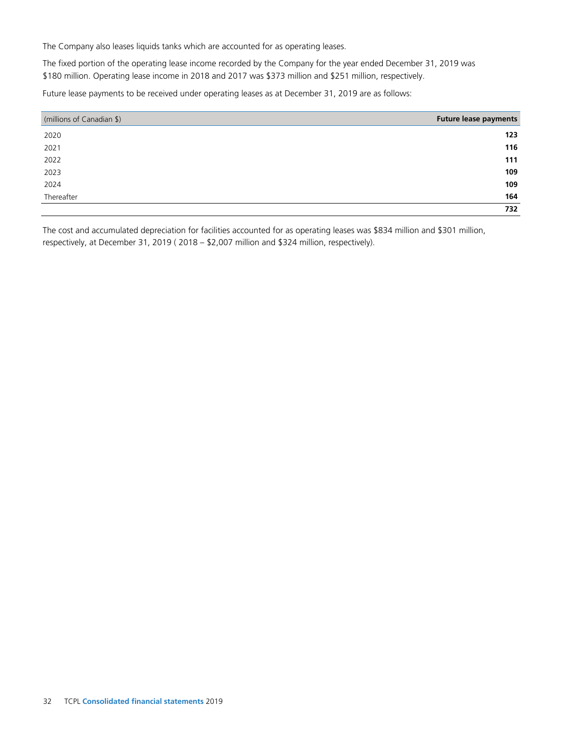The Company also leases liquids tanks which are accounted for as operating leases.

The fixed portion of the operating lease income recorded by the Company for the year ended December 31, 2019 was \$180 million. Operating lease income in 2018 and 2017 was \$373 million and \$251 million, respectively.

Future lease payments to be received under operating leases as at December 31, 2019 are as follows:

| (millions of Canadian \$) | <b>Future lease payments</b> |
|---------------------------|------------------------------|
| 2020                      | 123                          |
| 2021                      | 116                          |
| 2022                      | 111                          |
| 2023                      | 109                          |
| 2024                      | 109                          |
| Thereafter                | 164                          |
|                           | 732                          |

The cost and accumulated depreciation for facilities accounted for as operating leases was \$834 million and \$301 million, respectively, at December 31, 2019 ( 2018 – \$2,007 million and \$324 million, respectively).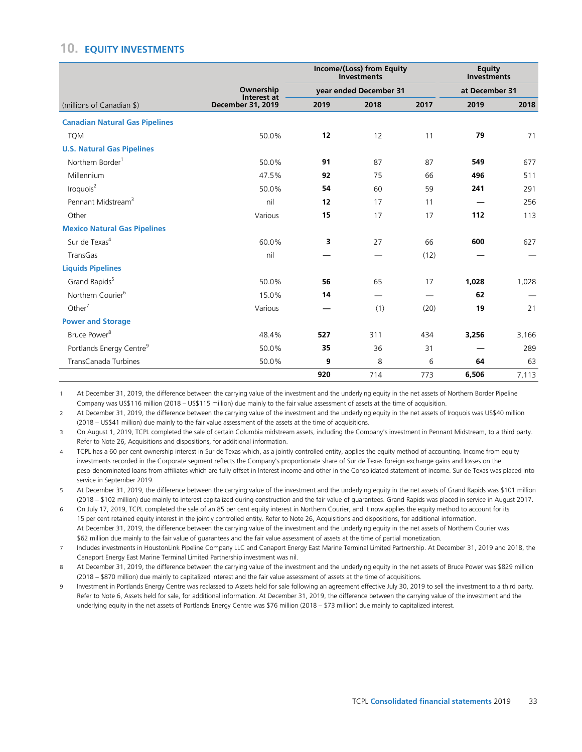# **10. EQUITY INVESTMENTS**

| (millions of Canadian \$)            | Ownership<br>Interest at<br><b>December 31, 2019</b> | Income/(Loss) from Equity<br><b>Investments</b><br>year ended December 31 |                          |      | Equity<br><b>Investments</b><br>at December 31 |       |
|--------------------------------------|------------------------------------------------------|---------------------------------------------------------------------------|--------------------------|------|------------------------------------------------|-------|
|                                      |                                                      |                                                                           |                          |      |                                                |       |
|                                      |                                                      | <b>Canadian Natural Gas Pipelines</b>                                     |                          |      |                                                |       |
| <b>TQM</b>                           | 50.0%                                                | 12                                                                        | 12                       | 11   | 79                                             | 71    |
| <b>U.S. Natural Gas Pipelines</b>    |                                                      |                                                                           |                          |      |                                                |       |
| Northern Border <sup>1</sup>         | 50.0%                                                | 91                                                                        | 87                       | 87   | 549                                            | 677   |
| Millennium                           | 47.5%                                                | 92                                                                        | 75                       | 66   | 496                                            | 511   |
| Iroquois <sup>2</sup>                | 50.0%                                                | 54                                                                        | 60                       | 59   | 241                                            | 291   |
| Pennant Midstream <sup>3</sup>       | nil                                                  | 12                                                                        | 17                       | 11   |                                                | 256   |
| Other                                | Various                                              | 15                                                                        | 17                       | 17   | 112                                            | 113   |
| <b>Mexico Natural Gas Pipelines</b>  |                                                      |                                                                           |                          |      |                                                |       |
| Sur de Texas <sup>4</sup>            | 60.0%                                                | 3                                                                         | 27                       | 66   | 600                                            | 627   |
| TransGas                             | nil                                                  |                                                                           |                          | (12) |                                                |       |
| <b>Liquids Pipelines</b>             |                                                      |                                                                           |                          |      |                                                |       |
| Grand Rapids <sup>5</sup>            | 50.0%                                                | 56                                                                        | 65                       | 17   | 1,028                                          | 1,028 |
| Northern Courier <sup>6</sup>        | 15.0%                                                | 14                                                                        | $\overline{\phantom{0}}$ |      | 62                                             |       |
| Other <sup>7</sup>                   | Various                                              |                                                                           | (1)                      | (20) | 19                                             | 21    |
| <b>Power and Storage</b>             |                                                      |                                                                           |                          |      |                                                |       |
| Bruce Power <sup>8</sup>             | 48.4%                                                | 527                                                                       | 311                      | 434  | 3,256                                          | 3,166 |
| Portlands Energy Centre <sup>9</sup> | 50.0%                                                | 35                                                                        | 36                       | 31   |                                                | 289   |
| TransCanada Turbines                 | 50.0%                                                | 9                                                                         | 8                        | 6    | 64                                             | 63    |
|                                      |                                                      | 920                                                                       | 714                      | 773  | 6,506                                          | 7,113 |

1 At December 31, 2019, the difference between the carrying value of the investment and the underlying equity in the net assets of Northern Border Pipeline Company was US\$116 million (2018 – US\$115 million) due mainly to the fair value assessment of assets at the time of acquisition.

2 At December 31, 2019, the difference between the carrying value of the investment and the underlying equity in the net assets of Iroquois was US\$40 million (2018 – US\$41 million) due mainly to the fair value assessment of the assets at the time of acquisitions.

3 On August 1, 2019, TCPL completed the sale of certain Columbia midstream assets, including the Company's investment in Pennant Midstream, to a third party. Refer to Note 26, Acquisitions and dispositions, for additional information.

4 TCPL has a 60 per cent ownership interest in Sur de Texas which, as a jointly controlled entity, applies the equity method of accounting. Income from equity investments recorded in the Corporate segment reflects the Company's proportionate share of Sur de Texas foreign exchange gains and losses on the peso-denominated loans from affiliates which are fully offset in Interest income and other in the Consolidated statement of income. Sur de Texas was placed into service in September 2019.

5 At December 31, 2019, the difference between the carrying value of the investment and the underlying equity in the net assets of Grand Rapids was \$101 million (2018 – \$102 million) due mainly to interest capitalized during construction and the fair value of guarantees. Grand Rapids was placed in service in August 2017.

6 On July 17, 2019, TCPL completed the sale of an 85 per cent equity interest in Northern Courier, and it now applies the equity method to account for its 15 per cent retained equity interest in the jointly controlled entity. Refer to Note 26, Acquisitions and dispositions, for additional information. At December 31, 2019, the difference between the carrying value of the investment and the underlying equity in the net assets of Northern Courier was \$62 million due mainly to the fair value of guarantees and the fair value assessment of assets at the time of partial monetization.

7 Includes investments in HoustonLink Pipeline Company LLC and Canaport Energy East Marine Terminal Limited Partnership. At December 31, 2019 and 2018, the Canaport Energy East Marine Terminal Limited Partnership investment was nil.

8 At December 31, 2019, the difference between the carrying value of the investment and the underlying equity in the net assets of Bruce Power was \$829 million (2018 – \$870 million) due mainly to capitalized interest and the fair value assessment of assets at the time of acquisitions.

9 Investment in Portlands Energy Centre was reclassed to Assets held for sale following an agreement effective July 30, 2019 to sell the investment to a third party. Refer to Note 6, Assets held for sale, for additional information. At December 31, 2019, the difference between the carrying value of the investment and the underlying equity in the net assets of Portlands Energy Centre was \$76 million (2018 – \$73 million) due mainly to capitalized interest.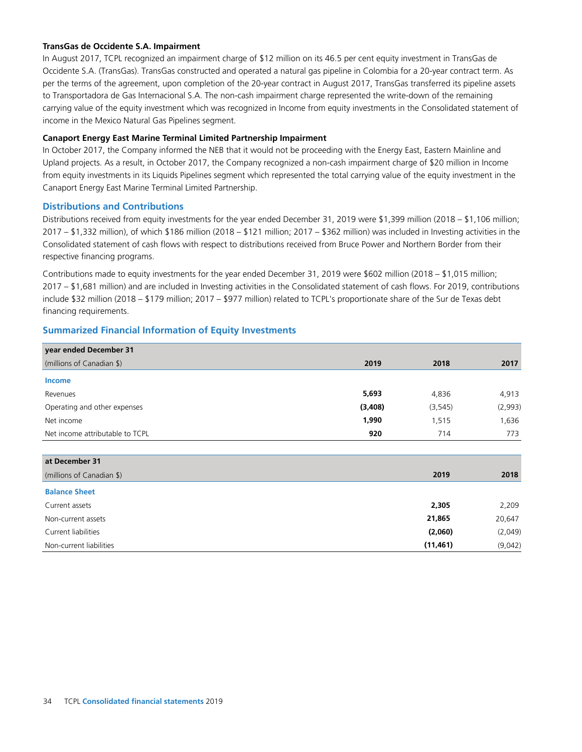### **TransGas de Occidente S.A. Impairment**

In August 2017, TCPL recognized an impairment charge of \$12 million on its 46.5 per cent equity investment in TransGas de Occidente S.A. (TransGas). TransGas constructed and operated a natural gas pipeline in Colombia for a 20-year contract term. As per the terms of the agreement, upon completion of the 20-year contract in August 2017, TransGas transferred its pipeline assets to Transportadora de Gas Internacional S.A. The non-cash impairment charge represented the write-down of the remaining carrying value of the equity investment which was recognized in Income from equity investments in the Consolidated statement of income in the Mexico Natural Gas Pipelines segment.

### **Canaport Energy East Marine Terminal Limited Partnership Impairment**

In October 2017, the Company informed the NEB that it would not be proceeding with the Energy East, Eastern Mainline and Upland projects. As a result, in October 2017, the Company recognized a non-cash impairment charge of \$20 million in Income from equity investments in its Liquids Pipelines segment which represented the total carrying value of the equity investment in the Canaport Energy East Marine Terminal Limited Partnership.

### **Distributions and Contributions**

Distributions received from equity investments for the year ended December 31, 2019 were \$1,399 million (2018 – \$1,106 million; 2017 – \$1,332 million), of which \$186 million (2018 – \$121 million; 2017 – \$362 million) was included in Investing activities in the Consolidated statement of cash flows with respect to distributions received from Bruce Power and Northern Border from their respective financing programs.

Contributions made to equity investments for the year ended December 31, 2019 were \$602 million (2018 – \$1,015 million; 2017 – \$1,681 million) and are included in Investing activities in the Consolidated statement of cash flows. For 2019, contributions include \$32 million (2018 – \$179 million; 2017 – \$977 million) related to TCPL's proportionate share of the Sur de Texas debt financing requirements.

# **Summarized Financial Information of Equity Investments**

| year ended December 31          |         |           |         |
|---------------------------------|---------|-----------|---------|
| (millions of Canadian \$)       | 2019    | 2018      | 2017    |
| <b>Income</b>                   |         |           |         |
| Revenues                        | 5,693   | 4,836     | 4,913   |
| Operating and other expenses    | (3,408) | (3, 545)  | (2,993) |
| Net income                      | 1,990   | 1,515     | 1,636   |
| Net income attributable to TCPL | 920     | 714       | 773     |
|                                 |         |           |         |
| at December 31                  |         |           |         |
| (millions of Canadian \$)       |         | 2019      | 2018    |
| <b>Balance Sheet</b>            |         |           |         |
| Current assets                  |         | 2,305     | 2,209   |
| Non-current assets              |         | 21,865    | 20,647  |
| Current liabilities             |         | (2,060)   | (2,049) |
| Non-current liabilities         |         | (11, 461) | (9,042) |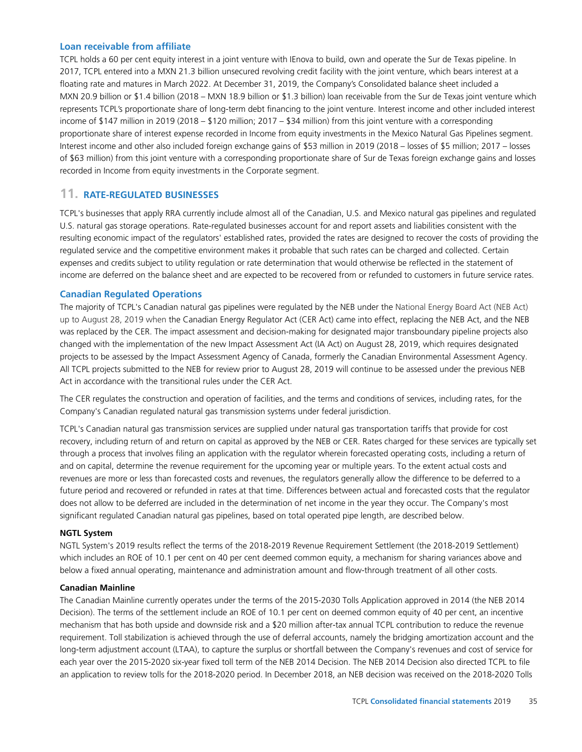### **Loan receivable from affiliate**

TCPL holds a 60 per cent equity interest in a joint venture with IEnova to build, own and operate the Sur de Texas pipeline. In 2017, TCPL entered into a MXN 21.3 billion unsecured revolving credit facility with the joint venture, which bears interest at a floating rate and matures in March 2022. At December 31, 2019, the Company's Consolidated balance sheet included a MXN 20.9 billion or \$1.4 billion (2018 – MXN 18.9 billion or \$1.3 billion) loan receivable from the Sur de Texas joint venture which represents TCPL's proportionate share of long-term debt financing to the joint venture. Interest income and other included interest income of \$147 million in 2019 (2018 – \$120 million; 2017 – \$34 million) from this joint venture with a corresponding proportionate share of interest expense recorded in Income from equity investments in the Mexico Natural Gas Pipelines segment. Interest income and other also included foreign exchange gains of \$53 million in 2019 (2018 – losses of \$5 million; 2017 – losses of \$63 million) from this joint venture with a corresponding proportionate share of Sur de Texas foreign exchange gains and losses recorded in Income from equity investments in the Corporate segment.

# **11. RATE-REGULATED BUSINESSES**

TCPL's businesses that apply RRA currently include almost all of the Canadian, U.S. and Mexico natural gas pipelines and regulated U.S. natural gas storage operations. Rate-regulated businesses account for and report assets and liabilities consistent with the resulting economic impact of the regulators' established rates, provided the rates are designed to recover the costs of providing the regulated service and the competitive environment makes it probable that such rates can be charged and collected. Certain expenses and credits subject to utility regulation or rate determination that would otherwise be reflected in the statement of income are deferred on the balance sheet and are expected to be recovered from or refunded to customers in future service rates.

### **Canadian Regulated Operations**

The majority of TCPL's Canadian natural gas pipelines were regulated by the NEB under the National Energy Board Act (NEB Act) up to August 28, 2019 when the Canadian Energy Regulator Act (CER Act) came into effect, replacing the NEB Act, and the NEB was replaced by the CER. The impact assessment and decision-making for designated major transboundary pipeline projects also changed with the implementation of the new Impact Assessment Act (IA Act) on August 28, 2019, which requires designated projects to be assessed by the Impact Assessment Agency of Canada, formerly the Canadian Environmental Assessment Agency. All TCPL projects submitted to the NEB for review prior to August 28, 2019 will continue to be assessed under the previous NEB Act in accordance with the transitional rules under the CER Act.

The CER regulates the construction and operation of facilities, and the terms and conditions of services, including rates, for the Company's Canadian regulated natural gas transmission systems under federal jurisdiction.

TCPL's Canadian natural gas transmission services are supplied under natural gas transportation tariffs that provide for cost recovery, including return of and return on capital as approved by the NEB or CER. Rates charged for these services are typically set through a process that involves filing an application with the regulator wherein forecasted operating costs, including a return of and on capital, determine the revenue requirement for the upcoming year or multiple years. To the extent actual costs and revenues are more or less than forecasted costs and revenues, the regulators generally allow the difference to be deferred to a future period and recovered or refunded in rates at that time. Differences between actual and forecasted costs that the regulator does not allow to be deferred are included in the determination of net income in the year they occur. The Company's most significant regulated Canadian natural gas pipelines, based on total operated pipe length, are described below.

#### **NGTL System**

NGTL System's 2019 results reflect the terms of the 2018-2019 Revenue Requirement Settlement (the 2018-2019 Settlement) which includes an ROE of 10.1 per cent on 40 per cent deemed common equity, a mechanism for sharing variances above and below a fixed annual operating, maintenance and administration amount and flow-through treatment of all other costs.

#### **Canadian Mainline**

The Canadian Mainline currently operates under the terms of the 2015-2030 Tolls Application approved in 2014 (the NEB 2014 Decision). The terms of the settlement include an ROE of 10.1 per cent on deemed common equity of 40 per cent, an incentive mechanism that has both upside and downside risk and a \$20 million after-tax annual TCPL contribution to reduce the revenue requirement. Toll stabilization is achieved through the use of deferral accounts, namely the bridging amortization account and the long-term adjustment account (LTAA), to capture the surplus or shortfall between the Company's revenues and cost of service for each year over the 2015-2020 six-year fixed toll term of the NEB 2014 Decision. The NEB 2014 Decision also directed TCPL to file an application to review tolls for the 2018-2020 period. In December 2018, an NEB decision was received on the 2018-2020 Tolls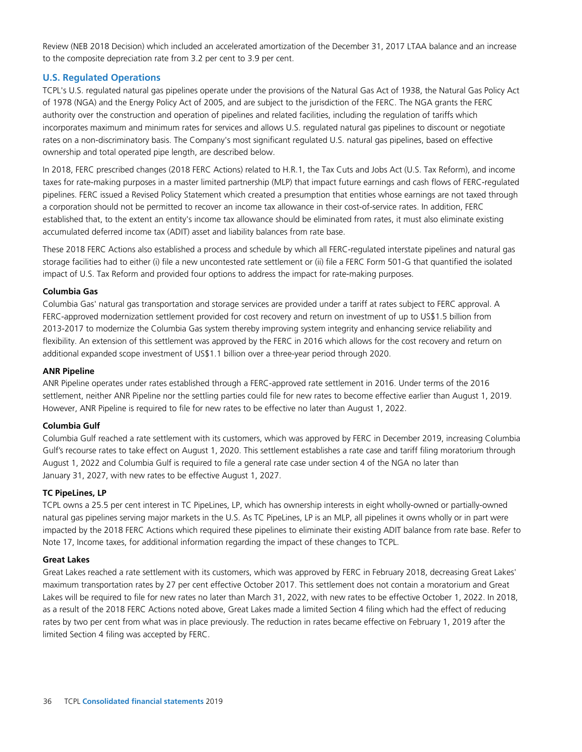Review (NEB 2018 Decision) which included an accelerated amortization of the December 31, 2017 LTAA balance and an increase to the composite depreciation rate from 3.2 per cent to 3.9 per cent.

# **U.S. Regulated Operations**

TCPL's U.S. regulated natural gas pipelines operate under the provisions of the Natural Gas Act of 1938, the Natural Gas Policy Act of 1978 (NGA) and the Energy Policy Act of 2005, and are subject to the jurisdiction of the FERC. The NGA grants the FERC authority over the construction and operation of pipelines and related facilities, including the regulation of tariffs which incorporates maximum and minimum rates for services and allows U.S. regulated natural gas pipelines to discount or negotiate rates on a non-discriminatory basis. The Company's most significant regulated U.S. natural gas pipelines, based on effective ownership and total operated pipe length, are described below.

In 2018, FERC prescribed changes (2018 FERC Actions) related to H.R.1, the Tax Cuts and Jobs Act (U.S. Tax Reform), and income taxes for rate-making purposes in a master limited partnership (MLP) that impact future earnings and cash flows of FERC-regulated pipelines. FERC issued a Revised Policy Statement which created a presumption that entities whose earnings are not taxed through a corporation should not be permitted to recover an income tax allowance in their cost-of-service rates. In addition, FERC established that, to the extent an entity's income tax allowance should be eliminated from rates, it must also eliminate existing accumulated deferred income tax (ADIT) asset and liability balances from rate base.

These 2018 FERC Actions also established a process and schedule by which all FERC-regulated interstate pipelines and natural gas storage facilities had to either (i) file a new uncontested rate settlement or (ii) file a FERC Form 501-G that quantified the isolated impact of U.S. Tax Reform and provided four options to address the impact for rate-making purposes.

### **Columbia Gas**

Columbia Gas' natural gas transportation and storage services are provided under a tariff at rates subject to FERC approval. A FERC-approved modernization settlement provided for cost recovery and return on investment of up to US\$1.5 billion from 2013-2017 to modernize the Columbia Gas system thereby improving system integrity and enhancing service reliability and flexibility. An extension of this settlement was approved by the FERC in 2016 which allows for the cost recovery and return on additional expanded scope investment of US\$1.1 billion over a three-year period through 2020.

### **ANR Pipeline**

ANR Pipeline operates under rates established through a FERC-approved rate settlement in 2016. Under terms of the 2016 settlement, neither ANR Pipeline nor the settling parties could file for new rates to become effective earlier than August 1, 2019. However, ANR Pipeline is required to file for new rates to be effective no later than August 1, 2022.

# **Columbia Gulf**

Columbia Gulf reached a rate settlement with its customers, which was approved by FERC in December 2019, increasing Columbia Gulf's recourse rates to take effect on August 1, 2020. This settlement establishes a rate case and tariff filing moratorium through August 1, 2022 and Columbia Gulf is required to file a general rate case under section 4 of the NGA no later than January 31, 2027, with new rates to be effective August 1, 2027.

### **TC PipeLines, LP**

TCPL owns a 25.5 per cent interest in TC PipeLines, LP, which has ownership interests in eight wholly-owned or partially-owned natural gas pipelines serving major markets in the U.S. As TC PipeLines, LP is an MLP, all pipelines it owns wholly or in part were impacted by the 2018 FERC Actions which required these pipelines to eliminate their existing ADIT balance from rate base. Refer to Note 17, Income taxes, for additional information regarding the impact of these changes to TCPL.

### **Great Lakes**

Great Lakes reached a rate settlement with its customers, which was approved by FERC in February 2018, decreasing Great Lakes' maximum transportation rates by 27 per cent effective October 2017. This settlement does not contain a moratorium and Great Lakes will be required to file for new rates no later than March 31, 2022, with new rates to be effective October 1, 2022. In 2018, as a result of the 2018 FERC Actions noted above, Great Lakes made a limited Section 4 filing which had the effect of reducing rates by two per cent from what was in place previously. The reduction in rates became effective on February 1, 2019 after the limited Section 4 filing was accepted by FERC.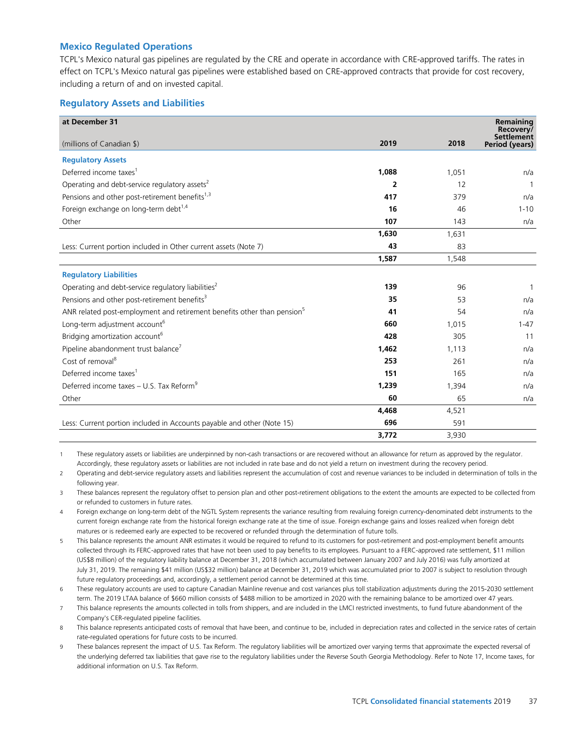## **Mexico Regulated Operations**

TCPL's Mexico natural gas pipelines are regulated by the CRE and operate in accordance with CRE-approved tariffs. The rates in effect on TCPL's Mexico natural gas pipelines were established based on CRE-approved contracts that provide for cost recovery, including a return of and on invested capital.

## **Regulatory Assets and Liabilities**

| at December 31                                                                      |                |       | Remaining<br>Recovery/       |
|-------------------------------------------------------------------------------------|----------------|-------|------------------------------|
| (millions of Canadian \$)                                                           | 2019           | 2018  | Settlement<br>Period (years) |
| <b>Regulatory Assets</b>                                                            |                |       |                              |
| Deferred income taxes <sup>1</sup>                                                  | 1,088          | 1,051 | n/a                          |
| Operating and debt-service regulatory assets <sup>2</sup>                           | $\overline{2}$ | 12    | 1                            |
| Pensions and other post-retirement benefits <sup>1,3</sup>                          | 417            | 379   | n/a                          |
| Foreign exchange on long-term debt <sup>1,4</sup>                                   | 16             | 46    | $1 - 10$                     |
| Other                                                                               | 107            | 143   | n/a                          |
|                                                                                     | 1,630          | 1,631 |                              |
| Less: Current portion included in Other current assets (Note 7)                     | 43             | 83    |                              |
|                                                                                     | 1,587          | 1,548 |                              |
| <b>Regulatory Liabilities</b>                                                       |                |       |                              |
| Operating and debt-service regulatory liabilities <sup>2</sup>                      | 139            | 96    | 1                            |
| Pensions and other post-retirement benefits <sup>3</sup>                            | 35             | 53    | n/a                          |
| ANR related post-employment and retirement benefits other than pension <sup>5</sup> | 41             | 54    | n/a                          |
| Long-term adjustment account <sup>6</sup>                                           | 660            | 1,015 | $1 - 47$                     |
| Bridging amortization account <sup>6</sup>                                          | 428            | 305   | 11                           |
| Pipeline abandonment trust balance <sup>7</sup>                                     | 1,462          | 1,113 | n/a                          |
| Cost of removal <sup>8</sup>                                                        | 253            | 261   | n/a                          |
| Deferred income taxes <sup>1</sup>                                                  | 151            | 165   | n/a                          |
| Deferred income taxes - U.S. Tax Reform <sup>9</sup>                                | 1.239          | 1,394 | n/a                          |
| Other                                                                               | 60             | 65    | n/a                          |
|                                                                                     | 4,468          | 4,521 |                              |
| Less: Current portion included in Accounts payable and other (Note 15)              | 696            | 591   |                              |
|                                                                                     | 3,772          | 3.930 |                              |

1 These regulatory assets or liabilities are underpinned by non-cash transactions or are recovered without an allowance for return as approved by the regulator. Accordingly, these regulatory assets or liabilities are not included in rate base and do not yield a return on investment during the recovery period.

2 Operating and debt-service regulatory assets and liabilities represent the accumulation of cost and revenue variances to be included in determination of tolls in the following year.

3 These balances represent the regulatory offset to pension plan and other post-retirement obligations to the extent the amounts are expected to be collected from or refunded to customers in future rates.

- 4 Foreign exchange on long-term debt of the NGTL System represents the variance resulting from revaluing foreign currency-denominated debt instruments to the current foreign exchange rate from the historical foreign exchange rate at the time of issue. Foreign exchange gains and losses realized when foreign debt matures or is redeemed early are expected to be recovered or refunded through the determination of future tolls.
- 5 This balance represents the amount ANR estimates it would be required to refund to its customers for post-retirement and post-employment benefit amounts collected through its FERC-approved rates that have not been used to pay benefits to its employees. Pursuant to a FERC-approved rate settlement, \$11 million (US\$8 million) of the regulatory liability balance at December 31, 2018 (which accumulated between January 2007 and July 2016) was fully amortized at July 31, 2019. The remaining \$41 million (US\$32 million) balance at December 31, 2019 which was accumulated prior to 2007 is subject to resolution through future regulatory proceedings and, accordingly, a settlement period cannot be determined at this time.

6 These regulatory accounts are used to capture Canadian Mainline revenue and cost variances plus toll stabilization adjustments during the 2015-2030 settlement term. The 2019 LTAA balance of \$660 million consists of \$488 million to be amortized in 2020 with the remaining balance to be amortized over 47 years.

7 This balance represents the amounts collected in tolls from shippers, and are included in the LMCI restricted investments, to fund future abandonment of the Company's CER-regulated pipeline facilities.

8 This balance represents anticipated costs of removal that have been, and continue to be, included in depreciation rates and collected in the service rates of certain rate-regulated operations for future costs to be incurred.

9 These balances represent the impact of U.S. Tax Reform. The regulatory liabilities will be amortized over varying terms that approximate the expected reversal of the underlying deferred tax liabilities that gave rise to the regulatory liabilities under the Reverse South Georgia Methodology. Refer to Note 17, Income taxes, for additional information on U.S. Tax Reform.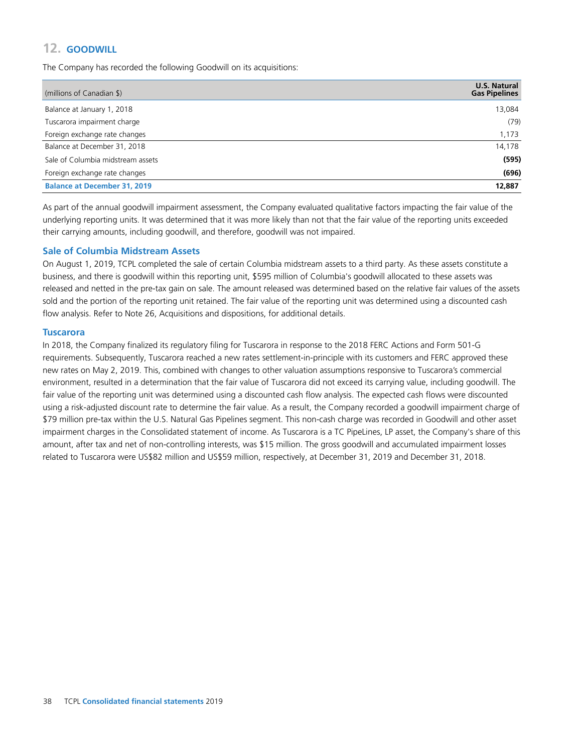# **12. GOODWILL**

The Company has recorded the following Goodwill on its acquisitions:

| (millions of Canadian \$)           | <b>U.S. Natural</b><br><b>Gas Pipelines</b> |
|-------------------------------------|---------------------------------------------|
| Balance at January 1, 2018          | 13,084                                      |
| Tuscarora impairment charge         | (79)                                        |
| Foreign exchange rate changes       | 1,173                                       |
| Balance at December 31, 2018        | 14,178                                      |
| Sale of Columbia midstream assets   | (595)                                       |
| Foreign exchange rate changes       | (696)                                       |
| <b>Balance at December 31, 2019</b> | 12,887                                      |

As part of the annual goodwill impairment assessment, the Company evaluated qualitative factors impacting the fair value of the underlying reporting units. It was determined that it was more likely than not that the fair value of the reporting units exceeded their carrying amounts, including goodwill, and therefore, goodwill was not impaired.

## **Sale of Columbia Midstream Assets**

On August 1, 2019, TCPL completed the sale of certain Columbia midstream assets to a third party. As these assets constitute a business, and there is goodwill within this reporting unit, \$595 million of Columbia's goodwill allocated to these assets was released and netted in the pre-tax gain on sale. The amount released was determined based on the relative fair values of the assets sold and the portion of the reporting unit retained. The fair value of the reporting unit was determined using a discounted cash flow analysis. Refer to Note 26, Acquisitions and dispositions, for additional details.

#### **Tuscarora**

In 2018, the Company finalized its regulatory filing for Tuscarora in response to the 2018 FERC Actions and Form 501-G requirements. Subsequently, Tuscarora reached a new rates settlement-in-principle with its customers and FERC approved these new rates on May 2, 2019. This, combined with changes to other valuation assumptions responsive to Tuscarora's commercial environment, resulted in a determination that the fair value of Tuscarora did not exceed its carrying value, including goodwill. The fair value of the reporting unit was determined using a discounted cash flow analysis. The expected cash flows were discounted using a risk-adjusted discount rate to determine the fair value. As a result, the Company recorded a goodwill impairment charge of \$79 million pre-tax within the U.S. Natural Gas Pipelines segment. This non-cash charge was recorded in Goodwill and other asset impairment charges in the Consolidated statement of income. As Tuscarora is a TC PipeLines, LP asset, the Company's share of this amount, after tax and net of non-controlling interests, was \$15 million. The gross goodwill and accumulated impairment losses related to Tuscarora were US\$82 million and US\$59 million, respectively, at December 31, 2019 and December 31, 2018.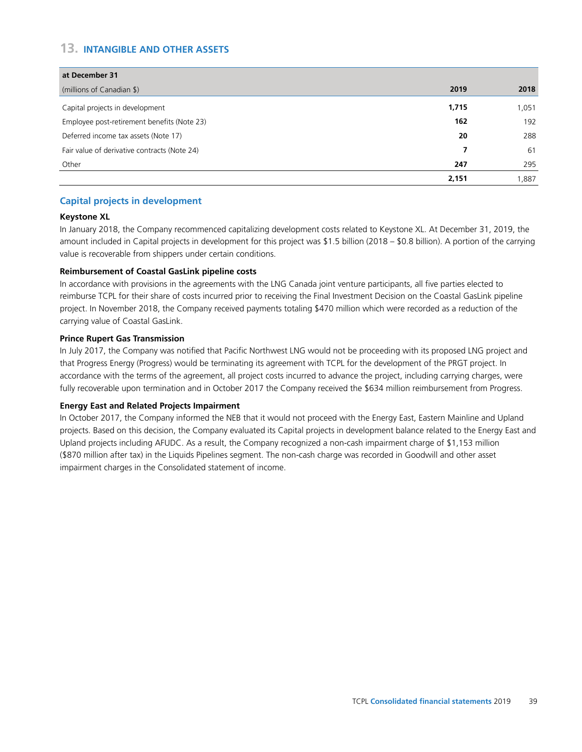# **13. INTANGIBLE AND OTHER ASSETS**

| at December 31                               |       |       |
|----------------------------------------------|-------|-------|
| (millions of Canadian \$)                    | 2019  | 2018  |
| Capital projects in development              | 1,715 | 1,051 |
| Employee post-retirement benefits (Note 23)  | 162   | 192   |
| Deferred income tax assets (Note 17)         | 20    | 288   |
| Fair value of derivative contracts (Note 24) |       | 61    |
| Other                                        | 247   | 295   |
|                                              | 2,151 | 1,887 |

## **Capital projects in development**

## **Keystone XL**

In January 2018, the Company recommenced capitalizing development costs related to Keystone XL. At December 31, 2019, the amount included in Capital projects in development for this project was \$1.5 billion (2018 – \$0.8 billion). A portion of the carrying value is recoverable from shippers under certain conditions.

## **Reimbursement of Coastal GasLink pipeline costs**

In accordance with provisions in the agreements with the LNG Canada joint venture participants, all five parties elected to reimburse TCPL for their share of costs incurred prior to receiving the Final Investment Decision on the Coastal GasLink pipeline project. In November 2018, the Company received payments totaling \$470 million which were recorded as a reduction of the carrying value of Coastal GasLink.

#### **Prince Rupert Gas Transmission**

In July 2017, the Company was notified that Pacific Northwest LNG would not be proceeding with its proposed LNG project and that Progress Energy (Progress) would be terminating its agreement with TCPL for the development of the PRGT project. In accordance with the terms of the agreement, all project costs incurred to advance the project, including carrying charges, were fully recoverable upon termination and in October 2017 the Company received the \$634 million reimbursement from Progress.

#### **Energy East and Related Projects Impairment**

In October 2017, the Company informed the NEB that it would not proceed with the Energy East, Eastern Mainline and Upland projects. Based on this decision, the Company evaluated its Capital projects in development balance related to the Energy East and Upland projects including AFUDC. As a result, the Company recognized a non-cash impairment charge of \$1,153 million (\$870 million after tax) in the Liquids Pipelines segment. The non-cash charge was recorded in Goodwill and other asset impairment charges in the Consolidated statement of income.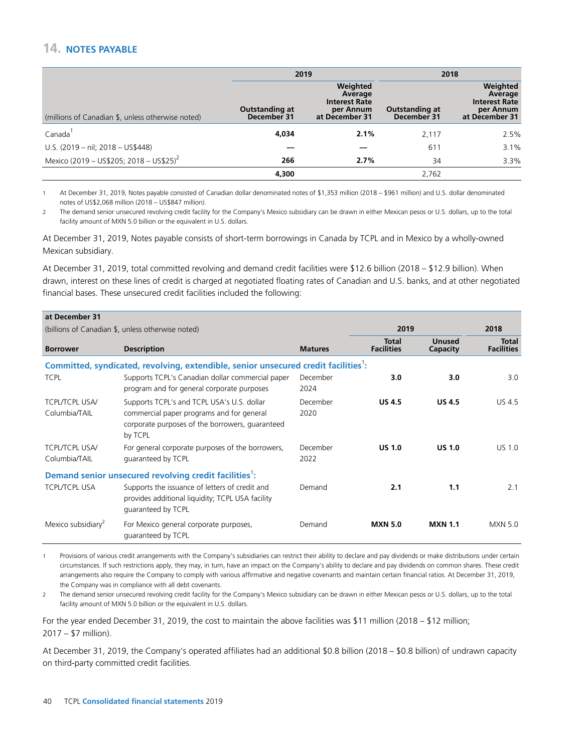# 14. NOTES PAYABLE

|                                                     |                               | 2019                                                                       |                               | 2018                                                                       |
|-----------------------------------------------------|-------------------------------|----------------------------------------------------------------------------|-------------------------------|----------------------------------------------------------------------------|
| (millions of Canadian \$, unless otherwise noted)   | Outstanding at<br>December 31 | Weighted<br>Average<br><b>Interest Rate</b><br>per Annum<br>at December 31 | Outstanding at<br>December 31 | Weighted<br>Average<br><b>Interest Rate</b><br>per Annum<br>at December 31 |
| Canada                                              | 4.034                         | 2.1%                                                                       | 2,117                         | 2.5%                                                                       |
| U.S. $(2019 - nil; 2018 - US$448)$                  |                               |                                                                            | 611                           | 3.1%                                                                       |
| Mexico (2019 - US\$205; 2018 - US\$25) <sup>2</sup> | 266                           | 2.7%                                                                       | 34                            | 3.3%                                                                       |
|                                                     | 4.300                         |                                                                            | 2.762                         |                                                                            |

1 At December 31, 2019, Notes payable consisted of Canadian dollar denominated notes of \$1,353 million (2018 – \$961 million) and U.S. dollar denominated notes of US\$2,068 million (2018 – US\$847 million).

2 The demand senior unsecured revolving credit facility for the Company's Mexico subsidiary can be drawn in either Mexican pesos or U.S. dollars, up to the total facility amount of MXN 5.0 billion or the equivalent in U.S. dollars.

At December 31, 2019, Notes payable consists of short-term borrowings in Canada by TCPL and in Mexico by a wholly-owned Mexican subsidiary.

At December 31, 2019, total committed revolving and demand credit facilities were \$12.6 billion (2018 – \$12.9 billion). When drawn, interest on these lines of credit is charged at negotiated floating rates of Canadian and U.S. banks, and at other negotiated financial bases. These unsecured credit facilities included the following:

| at December 31                         |                                                                                                                                                                                                |                  |                                   |                    |                                   |
|----------------------------------------|------------------------------------------------------------------------------------------------------------------------------------------------------------------------------------------------|------------------|-----------------------------------|--------------------|-----------------------------------|
|                                        | (billions of Canadian \$, unless otherwise noted)                                                                                                                                              |                  | 2019                              |                    | 2018                              |
| <b>Borrower</b>                        | <b>Description</b>                                                                                                                                                                             | <b>Matures</b>   | <b>Total</b><br><b>Facilities</b> | Unused<br>Capacity | <b>Total</b><br><b>Facilities</b> |
|                                        | Committed, syndicated, revolving, extendible, senior unsecured credit facilities':                                                                                                             |                  |                                   |                    |                                   |
| <b>TCPL</b>                            | Supports TCPL's Canadian dollar commercial paper<br>program and for general corporate purposes                                                                                                 | December<br>2024 | 3.0                               | 3.0                | 3.0                               |
| <b>TCPL/TCPL USA/</b><br>Columbia/TAIL | Supports TCPL's and TCPL USA's U.S. dollar<br>commercial paper programs and for general<br>corporate purposes of the borrowers, quaranteed<br>by TCPL                                          | December<br>2020 | <b>US 4.5</b>                     | <b>US 4.5</b>      | <b>US 4.5</b>                     |
| <b>TCPL/TCPL USA/</b><br>Columbia/TAIL | For general corporate purposes of the borrowers,<br>guaranteed by TCPL                                                                                                                         | December<br>2022 | <b>US 1.0</b>                     | <b>US 1.0</b>      | US 1.0                            |
| <b>TCPL/TCPL USA</b>                   | Demand senior unsecured revolving credit facilities <sup>1</sup> :<br>Supports the issuance of letters of credit and<br>provides additional liquidity; TCPL USA facility<br>guaranteed by TCPL | Demand           | 2.1                               | 1.1                | 2.1                               |
| Mexico subsidiary <sup>2</sup>         | For Mexico general corporate purposes,<br>quaranteed by TCPL                                                                                                                                   | Demand           | <b>MXN 5.0</b>                    | <b>MXN 1.1</b>     | <b>MXN 5.0</b>                    |

1 Provisions of various credit arrangements with the Company's subsidiaries can restrict their ability to declare and pay dividends or make distributions under certain circumstances. If such restrictions apply, they may, in turn, have an impact on the Company's ability to declare and pay dividends on common shares. These credit arrangements also require the Company to comply with various affirmative and negative covenants and maintain certain financial ratios. At December 31, 2019, the Company was in compliance with all debt covenants.

2 The demand senior unsecured revolving credit facility for the Company's Mexico subsidiary can be drawn in either Mexican pesos or U.S. dollars, up to the total facility amount of MXN 5.0 billion or the equivalent in U.S. dollars.

For the year ended December 31, 2019, the cost to maintain the above facilities was \$11 million (2018 – \$12 million; 2017 – \$7 million).

At December 31, 2019, the Company's operated affiliates had an additional \$0.8 billion (2018 – \$0.8 billion) of undrawn capacity on third-party committed credit facilities.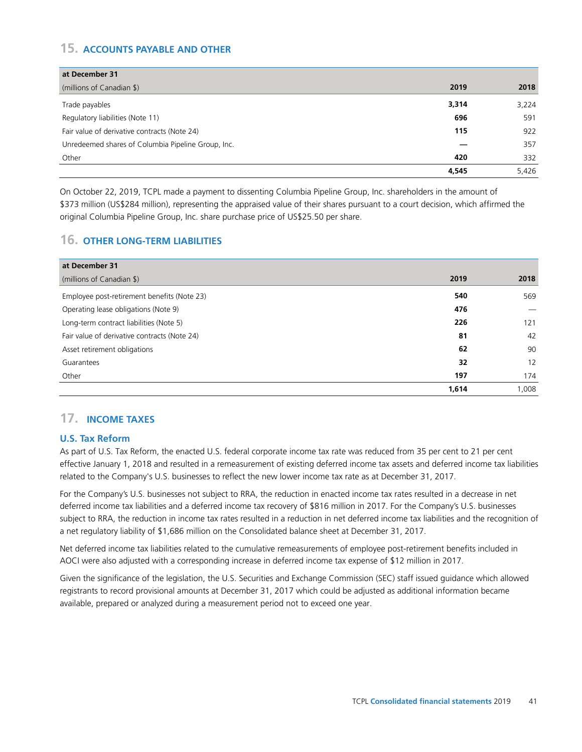# **15. ACCOUNTS PAYABLE AND OTHER**

| at December 31                                     |       |       |
|----------------------------------------------------|-------|-------|
| (millions of Canadian \$)                          | 2019  | 2018  |
| Trade payables                                     | 3,314 | 3,224 |
| Regulatory liabilities (Note 11)                   | 696   | 591   |
| Fair value of derivative contracts (Note 24)       | 115   | 922   |
| Unredeemed shares of Columbia Pipeline Group, Inc. |       | 357   |
| Other                                              | 420   | 332   |
|                                                    | 4.545 | 5,426 |

On October 22, 2019, TCPL made a payment to dissenting Columbia Pipeline Group, Inc. shareholders in the amount of \$373 million (US\$284 million), representing the appraised value of their shares pursuant to a court decision, which affirmed the original Columbia Pipeline Group, Inc. share purchase price of US\$25.50 per share.

## **16. OTHER LONG-TERM LIABILITIES**

| at December 31                               |       |       |
|----------------------------------------------|-------|-------|
| (millions of Canadian \$)                    | 2019  | 2018  |
| Employee post-retirement benefits (Note 23)  | 540   | 569   |
| Operating lease obligations (Note 9)         | 476   |       |
| Long-term contract liabilities (Note 5)      | 226   | 121   |
| Fair value of derivative contracts (Note 24) | 81    | 42    |
| Asset retirement obligations                 | 62    | 90    |
| Guarantees                                   | 32    | 12    |
| Other                                        | 197   | 174   |
|                                              | 1,614 | 1,008 |

# **17. INCOME TAXES**

## **U.S. Tax Reform**

As part of U.S. Tax Reform, the enacted U.S. federal corporate income tax rate was reduced from 35 per cent to 21 per cent effective January 1, 2018 and resulted in a remeasurement of existing deferred income tax assets and deferred income tax liabilities related to the Company's U.S. businesses to reflect the new lower income tax rate as at December 31, 2017.

For the Company's U.S. businesses not subject to RRA, the reduction in enacted income tax rates resulted in a decrease in net deferred income tax liabilities and a deferred income tax recovery of \$816 million in 2017. For the Company's U.S. businesses subject to RRA, the reduction in income tax rates resulted in a reduction in net deferred income tax liabilities and the recognition of a net regulatory liability of \$1,686 million on the Consolidated balance sheet at December 31, 2017.

Net deferred income tax liabilities related to the cumulative remeasurements of employee post-retirement benefits included in AOCI were also adjusted with a corresponding increase in deferred income tax expense of \$12 million in 2017.

Given the significance of the legislation, the U.S. Securities and Exchange Commission (SEC) staff issued guidance which allowed registrants to record provisional amounts at December 31, 2017 which could be adjusted as additional information became available, prepared or analyzed during a measurement period not to exceed one year.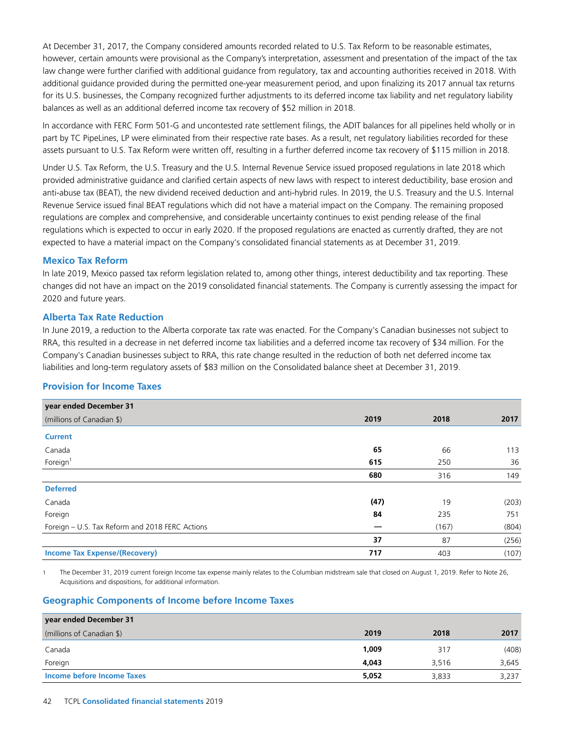At December 31, 2017, the Company considered amounts recorded related to U.S. Tax Reform to be reasonable estimates, however, certain amounts were provisional as the Company's interpretation, assessment and presentation of the impact of the tax law change were further clarified with additional guidance from regulatory, tax and accounting authorities received in 2018. With additional guidance provided during the permitted one-year measurement period, and upon finalizing its 2017 annual tax returns for its U.S. businesses, the Company recognized further adjustments to its deferred income tax liability and net regulatory liability balances as well as an additional deferred income tax recovery of \$52 million in 2018.

In accordance with FERC Form 501-G and uncontested rate settlement filings, the ADIT balances for all pipelines held wholly or in part by TC PipeLines, LP were eliminated from their respective rate bases. As a result, net regulatory liabilities recorded for these assets pursuant to U.S. Tax Reform were written off, resulting in a further deferred income tax recovery of \$115 million in 2018.

Under U.S. Tax Reform, the U.S. Treasury and the U.S. Internal Revenue Service issued proposed regulations in late 2018 which provided administrative guidance and clarified certain aspects of new laws with respect to interest deductibility, base erosion and anti-abuse tax (BEAT), the new dividend received deduction and anti-hybrid rules. In 2019, the U.S. Treasury and the U.S. Internal Revenue Service issued final BEAT regulations which did not have a material impact on the Company. The remaining proposed regulations are complex and comprehensive, and considerable uncertainty continues to exist pending release of the final regulations which is expected to occur in early 2020. If the proposed regulations are enacted as currently drafted, they are not expected to have a material impact on the Company's consolidated financial statements as at December 31, 2019.

#### **Mexico Tax Reform**

In late 2019, Mexico passed tax reform legislation related to, among other things, interest deductibility and tax reporting. These changes did not have an impact on the 2019 consolidated financial statements. The Company is currently assessing the impact for 2020 and future years.

#### **Alberta Tax Rate Reduction**

In June 2019, a reduction to the Alberta corporate tax rate was enacted. For the Company's Canadian businesses not subject to RRA, this resulted in a decrease in net deferred income tax liabilities and a deferred income tax recovery of \$34 million. For the Company's Canadian businesses subject to RRA, this rate change resulted in the reduction of both net deferred income tax liabilities and long-term regulatory assets of \$83 million on the Consolidated balance sheet at December 31, 2019.

## **Provision for Income Taxes**

| year ended December 31                          |      |       |       |
|-------------------------------------------------|------|-------|-------|
| (millions of Canadian \$)                       | 2019 | 2018  | 2017  |
| <b>Current</b>                                  |      |       |       |
| Canada                                          | 65   | 66    | 113   |
| Foreign <sup>1</sup>                            | 615  | 250   | 36    |
|                                                 | 680  | 316   | 149   |
| <b>Deferred</b>                                 |      |       |       |
| Canada                                          | (47) | 19    | (203) |
| Foreign                                         | 84   | 235   | 751   |
| Foreign – U.S. Tax Reform and 2018 FERC Actions |      | (167) | (804) |
|                                                 | 37   | 87    | (256) |
| <b>Income Tax Expense/(Recovery)</b>            | 717  | 403   | (107) |

1 The December 31, 2019 current foreign Income tax expense mainly relates to the Columbian midstream sale that closed on August 1, 2019. Refer to Note 26, Acquisitions and dispositions, for additional information.

## **Geographic Components of Income before Income Taxes**

| year ended December 31     |       |       |       |
|----------------------------|-------|-------|-------|
| (millions of Canadian \$)  | 2019  | 2018  | 2017  |
| Canada                     | 1,009 | 317   | (408) |
| Foreign                    | 4,043 | 3,516 | 3,645 |
| Income before Income Taxes | 5,052 | 3,833 | 3,237 |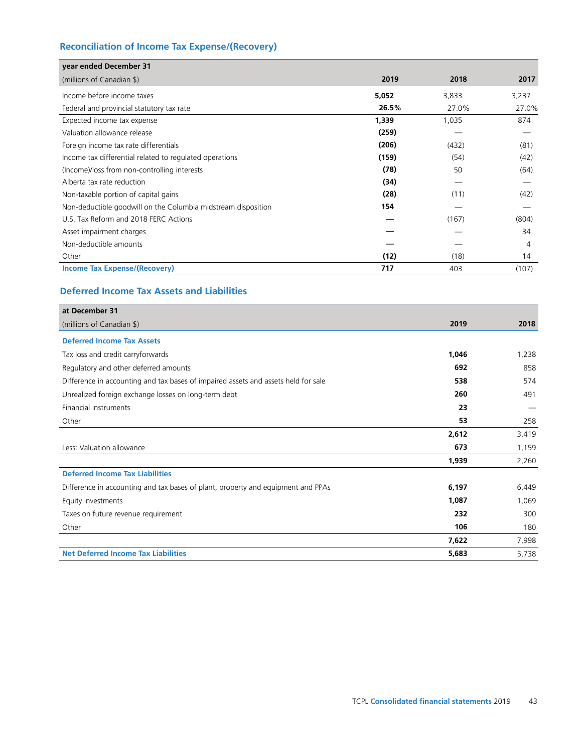# **Reconciliation of Income Tax Expense/(Recovery)**

| year ended December 31                                        |       |       |       |
|---------------------------------------------------------------|-------|-------|-------|
| (millions of Canadian \$)                                     | 2019  | 2018  | 2017  |
| Income before income taxes                                    | 5,052 | 3,833 | 3,237 |
| Federal and provincial statutory tax rate                     | 26.5% | 27.0% | 27.0% |
| Expected income tax expense                                   | 1,339 | 1,035 | 874   |
| Valuation allowance release                                   | (259) |       |       |
| Foreign income tax rate differentials                         | (206) | (432) | (81)  |
| Income tax differential related to regulated operations       | (159) | (54)  | (42)  |
| (Income)/loss from non-controlling interests                  | (78)  | 50    | (64)  |
| Alberta tax rate reduction                                    | (34)  |       |       |
| Non-taxable portion of capital gains                          | (28)  | (11)  | (42)  |
| Non-deductible goodwill on the Columbia midstream disposition | 154   |       |       |
| U.S. Tax Reform and 2018 FERC Actions                         |       | (167) | (804) |
| Asset impairment charges                                      |       |       | 34    |
| Non-deductible amounts                                        |       |       | 4     |
| Other                                                         | (12)  | (18)  | 14    |
| <b>Income Tax Expense/(Recovery)</b>                          | 717   | 403   | (107) |

# **Deferred Income Tax Assets and Liabilities**

| at December 31                                                                     |       |       |
|------------------------------------------------------------------------------------|-------|-------|
| (millions of Canadian \$)                                                          | 2019  | 2018  |
| <b>Deferred Income Tax Assets</b>                                                  |       |       |
| Tax loss and credit carryforwards                                                  | 1,046 | 1,238 |
| Regulatory and other deferred amounts                                              | 692   | 858   |
| Difference in accounting and tax bases of impaired assets and assets held for sale | 538   | 574   |
| Unrealized foreign exchange losses on long-term debt                               | 260   | 491   |
| Financial instruments                                                              | 23    |       |
| Other                                                                              | 53    | 258   |
|                                                                                    | 2,612 | 3,419 |
| Less: Valuation allowance                                                          | 673   | 1,159 |
|                                                                                    | 1,939 | 2,260 |
| <b>Deferred Income Tax Liabilities</b>                                             |       |       |
| Difference in accounting and tax bases of plant, property and equipment and PPAs   | 6,197 | 6,449 |
| Equity investments                                                                 | 1,087 | 1,069 |
| Taxes on future revenue requirement                                                | 232   | 300   |
| Other                                                                              | 106   | 180   |
|                                                                                    | 7,622 | 7,998 |
| <b>Net Deferred Income Tax Liabilities</b>                                         | 5,683 | 5,738 |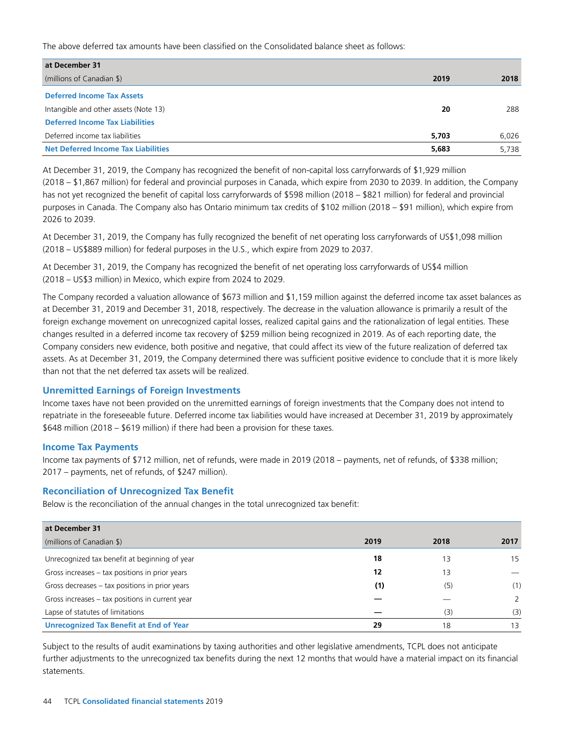The above deferred tax amounts have been classified on the Consolidated balance sheet as follows:

| at December 31                             |                |
|--------------------------------------------|----------------|
| (millions of Canadian \$)                  | 2019<br>2018   |
| <b>Deferred Income Tax Assets</b>          |                |
| Intangible and other assets (Note 13)      | 288<br>20      |
| <b>Deferred Income Tax Liabilities</b>     |                |
| Deferred income tax liabilities            | 6,026<br>5.703 |
| <b>Net Deferred Income Tax Liabilities</b> | 5,683<br>5,738 |

At December 31, 2019, the Company has recognized the benefit of non-capital loss carryforwards of \$1,929 million (2018 – \$1,867 million) for federal and provincial purposes in Canada, which expire from 2030 to 2039. In addition, the Company has not yet recognized the benefit of capital loss carryforwards of \$598 million (2018 – \$821 million) for federal and provincial purposes in Canada. The Company also has Ontario minimum tax credits of \$102 million (2018 – \$91 million), which expire from 2026 to 2039.

At December 31, 2019, the Company has fully recognized the benefit of net operating loss carryforwards of US\$1,098 million (2018 – US\$889 million) for federal purposes in the U.S., which expire from 2029 to 2037.

At December 31, 2019, the Company has recognized the benefit of net operating loss carryforwards of US\$4 million (2018 – US\$3 million) in Mexico, which expire from 2024 to 2029.

The Company recorded a valuation allowance of \$673 million and \$1,159 million against the deferred income tax asset balances as at December 31, 2019 and December 31, 2018, respectively. The decrease in the valuation allowance is primarily a result of the foreign exchange movement on unrecognized capital losses, realized capital gains and the rationalization of legal entities. These changes resulted in a deferred income tax recovery of \$259 million being recognized in 2019. As of each reporting date, the Company considers new evidence, both positive and negative, that could affect its view of the future realization of deferred tax assets. As at December 31, 2019, the Company determined there was sufficient positive evidence to conclude that it is more likely than not that the net deferred tax assets will be realized.

## **Unremitted Earnings of Foreign Investments**

Income taxes have not been provided on the unremitted earnings of foreign investments that the Company does not intend to repatriate in the foreseeable future. Deferred income tax liabilities would have increased at December 31, 2019 by approximately \$648 million (2018 – \$619 million) if there had been a provision for these taxes.

#### **Income Tax Payments**

Income tax payments of \$712 million, net of refunds, were made in 2019 (2018 – payments, net of refunds, of \$338 million; 2017 – payments, net of refunds, of \$247 million).

## **Reconciliation of Unrecognized Tax Benefit**

Below is the reconciliation of the annual changes in the total unrecognized tax benefit:

| at December 31                                   |      |      |      |
|--------------------------------------------------|------|------|------|
| (millions of Canadian \$)                        | 2019 | 2018 | 2017 |
| Unrecognized tax benefit at beginning of year    | 18   | 13   | 15   |
| Gross increases – tax positions in prior years   | 12   | 13   |      |
| Gross decreases $-$ tax positions in prior years | (1)  | (5)  | (1)  |
| Gross increases – tax positions in current year  |      |      |      |
| Lapse of statutes of limitations                 |      | (3)  | (3)  |
| <b>Unrecognized Tax Benefit at End of Year</b>   | 29   | 18   | 13   |

Subject to the results of audit examinations by taxing authorities and other legislative amendments, TCPL does not anticipate further adjustments to the unrecognized tax benefits during the next 12 months that would have a material impact on its financial statements.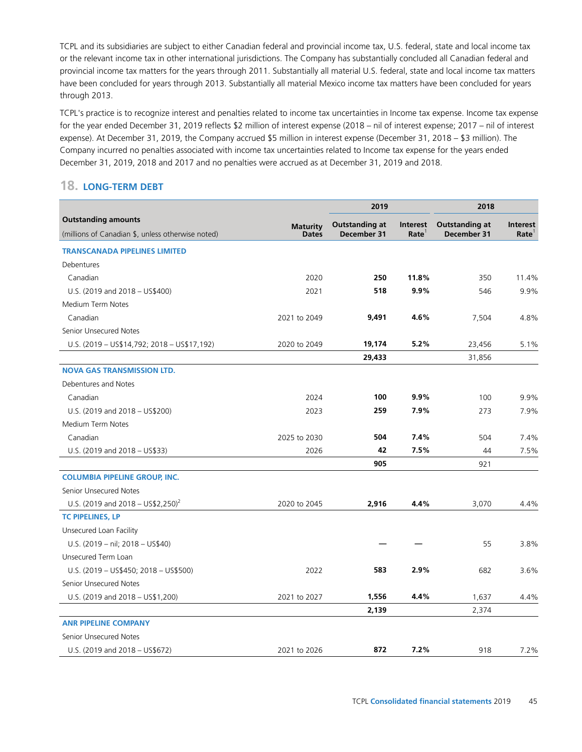TCPL and its subsidiaries are subject to either Canadian federal and provincial income tax, U.S. federal, state and local income tax or the relevant income tax in other international jurisdictions. The Company has substantially concluded all Canadian federal and provincial income tax matters for the years through 2011. Substantially all material U.S. federal, state and local income tax matters have been concluded for years through 2013. Substantially all material Mexico income tax matters have been concluded for years through 2013.

TCPL's practice is to recognize interest and penalties related to income tax uncertainties in Income tax expense. Income tax expense for the year ended December 31, 2019 reflects \$2 million of interest expense (2018 – nil of interest expense; 2017 – nil of interest expense). At December 31, 2019, the Company accrued \$5 million in interest expense (December 31, 2018 – \$3 million). The Company incurred no penalties associated with income tax uncertainties related to Income tax expense for the years ended December 31, 2019, 2018 and 2017 and no penalties were accrued as at December 31, 2019 and 2018.

## **18. LONG-TERM DEBT**

|                                                                                 |                                 | 2019                                 |                                      | 2018                                 |                                      |
|---------------------------------------------------------------------------------|---------------------------------|--------------------------------------|--------------------------------------|--------------------------------------|--------------------------------------|
| <b>Outstanding amounts</b><br>(millions of Canadian \$, unless otherwise noted) | <b>Maturity</b><br><b>Dates</b> | <b>Outstanding at</b><br>December 31 | <b>Interest</b><br>Rate <sup>1</sup> | <b>Outstanding at</b><br>December 31 | <b>Interest</b><br>Rate <sup>1</sup> |
| <b>TRANSCANADA PIPELINES LIMITED</b>                                            |                                 |                                      |                                      |                                      |                                      |
| Debentures                                                                      |                                 |                                      |                                      |                                      |                                      |
| Canadian                                                                        | 2020                            | 250                                  | 11.8%                                | 350                                  | 11.4%                                |
| U.S. (2019 and 2018 - US\$400)                                                  | 2021                            | 518                                  | 9.9%                                 | 546                                  | 9.9%                                 |
| Medium Term Notes                                                               |                                 |                                      |                                      |                                      |                                      |
| Canadian                                                                        | 2021 to 2049                    | 9,491                                | 4.6%                                 | 7,504                                | 4.8%                                 |
| Senior Unsecured Notes                                                          |                                 |                                      |                                      |                                      |                                      |
| U.S. (2019 - US\$14,792; 2018 - US\$17,192)                                     | 2020 to 2049                    | 19,174                               | 5.2%                                 | 23,456                               | 5.1%                                 |
|                                                                                 |                                 | 29,433                               |                                      | 31,856                               |                                      |
| <b>NOVA GAS TRANSMISSION LTD.</b>                                               |                                 |                                      |                                      |                                      |                                      |
| Debentures and Notes                                                            |                                 |                                      |                                      |                                      |                                      |
| Canadian                                                                        | 2024                            | 100                                  | 9.9%                                 | 100                                  | 9.9%                                 |
| U.S. (2019 and 2018 - US\$200)                                                  | 2023                            | 259                                  | 7.9%                                 | 273                                  | 7.9%                                 |
| Medium Term Notes                                                               |                                 |                                      |                                      |                                      |                                      |
| Canadian                                                                        | 2025 to 2030                    | 504                                  | 7.4%                                 | 504                                  | 7.4%                                 |
| U.S. (2019 and 2018 – US\$33)                                                   | 2026                            | 42                                   | 7.5%                                 | 44                                   | 7.5%                                 |
|                                                                                 |                                 | 905                                  |                                      | 921                                  |                                      |
| <b>COLUMBIA PIPELINE GROUP, INC.</b>                                            |                                 |                                      |                                      |                                      |                                      |
| Senior Unsecured Notes                                                          |                                 |                                      |                                      |                                      |                                      |
| U.S. (2019 and 2018 – US\$2,250) <sup>2</sup>                                   | 2020 to 2045                    | 2,916                                | 4.4%                                 | 3,070                                | 4.4%                                 |
| <b>TC PIPELINES, LP</b>                                                         |                                 |                                      |                                      |                                      |                                      |
| Unsecured Loan Facility                                                         |                                 |                                      |                                      |                                      |                                      |
| U.S. (2019 - nil; 2018 - US\$40)                                                |                                 |                                      |                                      | 55                                   | 3.8%                                 |
| Unsecured Term Loan                                                             |                                 |                                      |                                      |                                      |                                      |
| U.S. (2019 - US\$450; 2018 - US\$500)                                           | 2022                            | 583                                  | 2.9%                                 | 682                                  | 3.6%                                 |
| Senior Unsecured Notes                                                          |                                 |                                      |                                      |                                      |                                      |
| U.S. (2019 and 2018 - US\$1,200)                                                | 2021 to 2027                    | 1,556                                | 4.4%                                 | 1,637                                | 4.4%                                 |
|                                                                                 |                                 | 2,139                                |                                      | 2,374                                |                                      |
| <b>ANR PIPELINE COMPANY</b>                                                     |                                 |                                      |                                      |                                      |                                      |
| Senior Unsecured Notes                                                          |                                 |                                      |                                      |                                      |                                      |
| U.S. (2019 and 2018 - US\$672)                                                  | 2021 to 2026                    | 872                                  | 7.2%                                 | 918                                  | 7.2%                                 |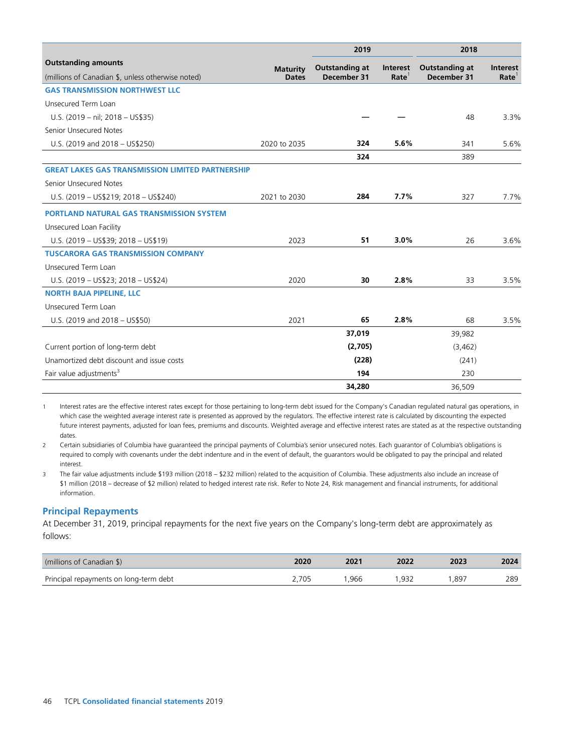|                                                         |                 | 2019                  |                   | 2018                  |                   |
|---------------------------------------------------------|-----------------|-----------------------|-------------------|-----------------------|-------------------|
| <b>Outstanding amounts</b>                              | <b>Maturity</b> | <b>Outstanding at</b> | Interest          | <b>Outstanding at</b> | Interest          |
| (millions of Canadian \$, unless otherwise noted)       | <b>Dates</b>    | December 31           | Rate <sup>1</sup> | December 31           | Rate <sup>1</sup> |
| <b>GAS TRANSMISSION NORTHWEST LLC</b>                   |                 |                       |                   |                       |                   |
| Unsecured Term Loan                                     |                 |                       |                   |                       |                   |
| U.S. (2019 - nil; 2018 - US\$35)                        |                 |                       |                   | 48                    | 3.3%              |
| Senior Unsecured Notes                                  |                 |                       |                   |                       |                   |
| U.S. (2019 and 2018 - US\$250)                          | 2020 to 2035    | 324                   | 5.6%              | 341                   | 5.6%              |
|                                                         |                 | 324                   |                   | 389                   |                   |
| <b>GREAT LAKES GAS TRANSMISSION LIMITED PARTNERSHIP</b> |                 |                       |                   |                       |                   |
| Senior Unsecured Notes                                  |                 |                       |                   |                       |                   |
| U.S. (2019 - US\$219; 2018 - US\$240)                   | 2021 to 2030    | 284                   | 7.7%              | 327                   | 7.7%              |
| <b>PORTLAND NATURAL GAS TRANSMISSION SYSTEM</b>         |                 |                       |                   |                       |                   |
| Unsecured Loan Facility                                 |                 |                       |                   |                       |                   |
| U.S. (2019 - US\$39; 2018 - US\$19)                     | 2023            | 51                    | 3.0%              | 26                    | 3.6%              |
| <b>TUSCARORA GAS TRANSMISSION COMPANY</b>               |                 |                       |                   |                       |                   |
| Unsecured Term Loan                                     |                 |                       |                   |                       |                   |
| U.S. (2019 - US\$23; 2018 - US\$24)                     | 2020            | 30                    | 2.8%              | 33                    | 3.5%              |
| <b>NORTH BAJA PIPELINE, LLC</b>                         |                 |                       |                   |                       |                   |
| Unsecured Term Loan                                     |                 |                       |                   |                       |                   |
| U.S. (2019 and 2018 - US\$50)                           | 2021            | 65                    | 2.8%              | 68                    | 3.5%              |
|                                                         |                 | 37.019                |                   | 39,982                |                   |
| Current portion of long-term debt                       |                 | (2,705)               |                   | (3, 462)              |                   |
| Unamortized debt discount and issue costs               |                 | (228)                 |                   | (241)                 |                   |
| Fair value adjustments <sup>3</sup>                     |                 | 194                   |                   | 230                   |                   |
|                                                         |                 | 34,280                |                   | 36.509                |                   |

1 Interest rates are the effective interest rates except for those pertaining to long-term debt issued for the Company's Canadian regulated natural gas operations, in which case the weighted average interest rate is presented as approved by the regulators. The effective interest rate is calculated by discounting the expected future interest payments, adjusted for loan fees, premiums and discounts. Weighted average and effective interest rates are stated as at the respective outstanding dates.

2 Certain subsidiaries of Columbia have guaranteed the principal payments of Columbia's senior unsecured notes. Each guarantor of Columbia's obligations is required to comply with covenants under the debt indenture and in the event of default, the guarantors would be obligated to pay the principal and related interest.

3 The fair value adjustments include \$193 million (2018 – \$232 million) related to the acquisition of Columbia. These adjustments also include an increase of \$1 million (2018 – decrease of \$2 million) related to hedged interest rate risk. Refer to Note 24, Risk management and financial instruments, for additional information.

#### **Principal Repayments**

At December 31, 2019, principal repayments for the next five years on the Company's long-term debt are approximately as follows:

| (millions of Canadian \$)              | 2020  | 2021 | 2022 | 2023 | 2024 |
|----------------------------------------|-------|------|------|------|------|
| Principal repayments on long-term debt | 2.705 | .966 | .932 | .897 | 289  |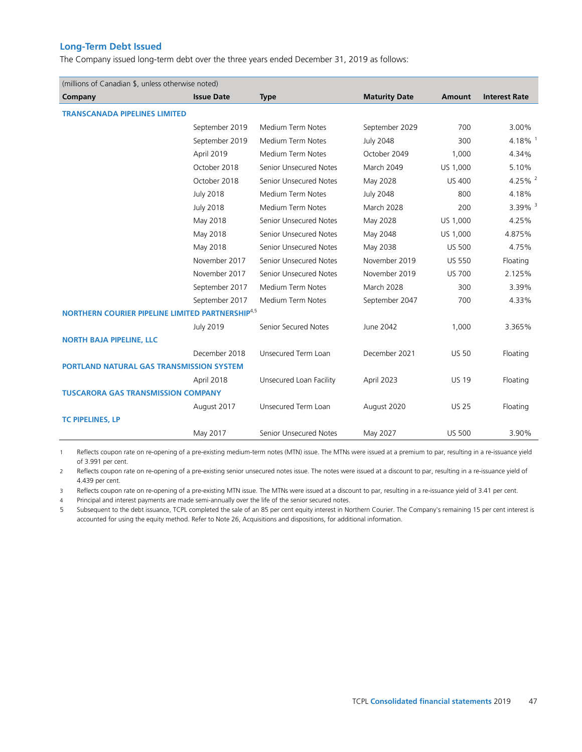## **Long-Term Debt Issued**

The Company issued long-term debt over the three years ended December 31, 2019 as follows:

| (millions of Canadian \$, unless otherwise noted)            |                   |                         |                      |               |                      |
|--------------------------------------------------------------|-------------------|-------------------------|----------------------|---------------|----------------------|
| Company                                                      | <b>Issue Date</b> | <b>Type</b>             | <b>Maturity Date</b> | <b>Amount</b> | <b>Interest Rate</b> |
| <b>TRANSCANADA PIPELINES LIMITED</b>                         |                   |                         |                      |               |                      |
|                                                              | September 2019    | Medium Term Notes       | September 2029       | 700           | 3.00%                |
|                                                              | September 2019    | Medium Term Notes       | <b>July 2048</b>     | 300           | 4.18% $1$            |
|                                                              | April 2019        | Medium Term Notes       | October 2049         | 1,000         | 4.34%                |
|                                                              | October 2018      | Senior Unsecured Notes  | March 2049           | US 1,000      | 5.10%                |
|                                                              | October 2018      | Senior Unsecured Notes  | May 2028             | <b>US 400</b> | 4.25% $^{2}$         |
|                                                              | <b>July 2018</b>  | Medium Term Notes       | <b>July 2048</b>     | 800           | 4.18%                |
|                                                              | <b>July 2018</b>  | Medium Term Notes       | March 2028           | 200           | 3.39% $3$            |
|                                                              | May 2018          | Senior Unsecured Notes  | May 2028             | US 1,000      | 4.25%                |
|                                                              | May 2018          | Senior Unsecured Notes  | May 2048             | US 1,000      | 4.875%               |
|                                                              | May 2018          | Senior Unsecured Notes  | May 2038             | <b>US 500</b> | 4.75%                |
|                                                              | November 2017     | Senior Unsecured Notes  | November 2019        | <b>US 550</b> | Floating             |
|                                                              | November 2017     | Senior Unsecured Notes  | November 2019        | <b>US 700</b> | 2.125%               |
|                                                              | September 2017    | Medium Term Notes       | March 2028           | 300           | 3.39%                |
|                                                              | September 2017    | Medium Term Notes       | September 2047       | 700           | 4.33%                |
| NORTHERN COURIER PIPELINE LIMITED PARTNERSHIP <sup>4,5</sup> |                   |                         |                      |               |                      |
|                                                              | <b>July 2019</b>  | Senior Secured Notes    | June 2042            | 1,000         | 3.365%               |
| <b>NORTH BAJA PIPELINE, LLC</b>                              |                   |                         |                      |               |                      |
|                                                              | December 2018     | Unsecured Term Loan     | December 2021        | <b>US 50</b>  | Floating             |
| <b>PORTLAND NATURAL GAS TRANSMISSION SYSTEM</b>              |                   |                         |                      |               |                      |
|                                                              | April 2018        | Unsecured Loan Facility | April 2023           | <b>US 19</b>  | Floating             |
| <b>TUSCARORA GAS TRANSMISSION COMPANY</b>                    |                   |                         |                      |               |                      |
|                                                              | August 2017       | Unsecured Term Loan     | August 2020          | <b>US 25</b>  | Floating             |
| <b>TC PIPELINES, LP</b>                                      |                   |                         |                      |               |                      |
|                                                              | May 2017          | Senior Unsecured Notes  | May 2027             | <b>US 500</b> | 3.90%                |

1 Reflects coupon rate on re-opening of a pre-existing medium-term notes (MTN) issue. The MTNs were issued at a premium to par, resulting in a re-issuance yield of 3.991 per cent.

2 Reflects coupon rate on re-opening of a pre-existing senior unsecured notes issue. The notes were issued at a discount to par, resulting in a re-issuance yield of 4.439 per cent.

3 Reflects coupon rate on re-opening of a pre-existing MTN issue. The MTNs were issued at a discount to par, resulting in a re-issuance yield of 3.41 per cent.

4 Principal and interest payments are made semi-annually over the life of the senior secured notes.

5 Subsequent to the debt issuance, TCPL completed the sale of an 85 per cent equity interest in Northern Courier. The Company's remaining 15 per cent interest is accounted for using the equity method. Refer to Note 26, Acquisitions and dispositions, for additional information.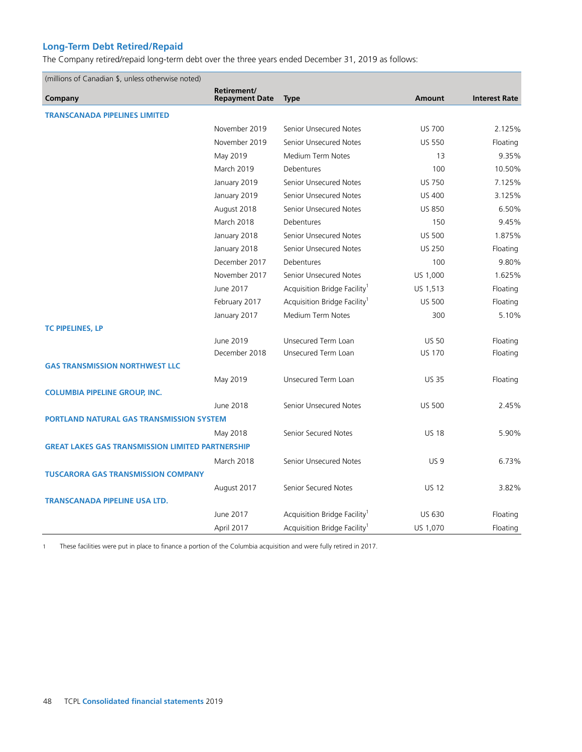# **Long-Term Debt Retired/Repaid**

The Company retired/repaid long-term debt over the three years ended December 31, 2019 as follows:

| (millions of Canadian \$, unless otherwise noted)       |                                      |                                          |               |                      |  |
|---------------------------------------------------------|--------------------------------------|------------------------------------------|---------------|----------------------|--|
| Company                                                 | Retirement/<br><b>Repayment Date</b> | <b>Type</b>                              | <b>Amount</b> | <b>Interest Rate</b> |  |
| <b>TRANSCANADA PIPELINES LIMITED</b>                    |                                      |                                          |               |                      |  |
|                                                         | November 2019                        | Senior Unsecured Notes                   | <b>US 700</b> | 2.125%               |  |
|                                                         | November 2019                        | Senior Unsecured Notes                   | <b>US 550</b> | Floating             |  |
|                                                         | May 2019                             | Medium Term Notes                        | 13            | 9.35%                |  |
|                                                         | March 2019                           | Debentures                               | 100           | 10.50%               |  |
|                                                         | January 2019                         | Senior Unsecured Notes                   | <b>US 750</b> | 7.125%               |  |
|                                                         | January 2019                         | Senior Unsecured Notes                   | <b>US 400</b> | 3.125%               |  |
|                                                         | August 2018                          | Senior Unsecured Notes                   | <b>US 850</b> | 6.50%                |  |
|                                                         | March 2018                           | Debentures                               | 150           | 9.45%                |  |
|                                                         | January 2018                         | Senior Unsecured Notes                   | <b>US 500</b> | 1.875%               |  |
|                                                         | January 2018                         | Senior Unsecured Notes                   | <b>US 250</b> | Floating             |  |
|                                                         | December 2017                        | Debentures                               | 100           | 9.80%                |  |
|                                                         | November 2017                        | Senior Unsecured Notes                   | US 1,000      | 1.625%               |  |
|                                                         | June 2017                            | Acquisition Bridge Facility <sup>1</sup> | US 1,513      | Floating             |  |
|                                                         | February 2017                        | Acquisition Bridge Facility <sup>1</sup> | <b>US 500</b> | Floating             |  |
|                                                         | January 2017                         | Medium Term Notes                        | 300           | 5.10%                |  |
| <b>TC PIPELINES, LP</b>                                 |                                      |                                          |               |                      |  |
|                                                         | June 2019                            | Unsecured Term Loan                      | <b>US 50</b>  | Floating             |  |
|                                                         | December 2018                        | Unsecured Term Loan                      | <b>US 170</b> | Floating             |  |
| <b>GAS TRANSMISSION NORTHWEST LLC</b>                   |                                      |                                          |               |                      |  |
|                                                         | May 2019                             | Unsecured Term Loan                      | <b>US35</b>   | Floating             |  |
| <b>COLUMBIA PIPELINE GROUP, INC.</b>                    |                                      |                                          |               |                      |  |
|                                                         | June 2018                            | Senior Unsecured Notes                   | <b>US 500</b> | 2.45%                |  |
| <b>PORTLAND NATURAL GAS TRANSMISSION SYSTEM</b>         |                                      |                                          |               |                      |  |
|                                                         | May 2018                             | Senior Secured Notes                     | <b>US 18</b>  | 5.90%                |  |
| <b>GREAT LAKES GAS TRANSMISSION LIMITED PARTNERSHIP</b> |                                      |                                          |               |                      |  |
|                                                         | March 2018                           | Senior Unsecured Notes                   | <b>US9</b>    | 6.73%                |  |
| <b>TUSCARORA GAS TRANSMISSION COMPANY</b>               |                                      |                                          |               |                      |  |
|                                                         | August 2017                          | Senior Secured Notes                     | <b>US 12</b>  | 3.82%                |  |
| <b>TRANSCANADA PIPELINE USA LTD.</b>                    |                                      |                                          |               |                      |  |
|                                                         | June 2017                            | Acquisition Bridge Facility <sup>1</sup> | <b>US 630</b> | Floating             |  |
|                                                         | April 2017                           | Acquisition Bridge Facility <sup>1</sup> | US 1,070      | Floating             |  |

1 These facilities were put in place to finance a portion of the Columbia acquisition and were fully retired in 2017.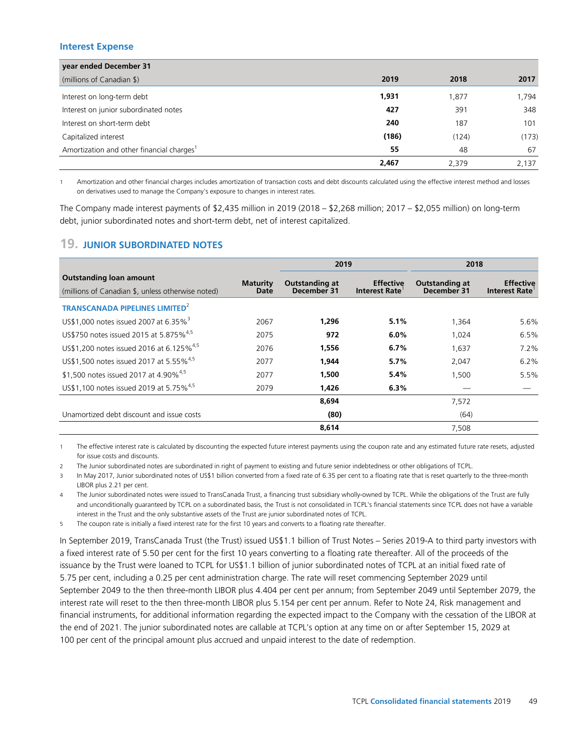## **Interest Expense**

| year ended December 31                                |       |       |       |
|-------------------------------------------------------|-------|-------|-------|
| (millions of Canadian \$)                             | 2019  | 2018  | 2017  |
| Interest on long-term debt                            | 1,931 | 1,877 | 1,794 |
| Interest on junior subordinated notes                 | 427   | 391   | 348   |
| Interest on short-term debt                           | 240   | 187   | 101   |
| Capitalized interest                                  | (186) | (124) | (173) |
| Amortization and other financial charges <sup>1</sup> | 55    | 48    | 67    |
|                                                       | 2,467 | 2.379 | 2,137 |

1 Amortization and other financial charges includes amortization of transaction costs and debt discounts calculated using the effective interest method and losses on derivatives used to manage the Company's exposure to changes in interest rates.

The Company made interest payments of \$2,435 million in 2019 (2018 – \$2,268 million; 2017 – \$2,055 million) on long-term debt, junior subordinated notes and short-term debt, net of interest capitalized.

# **19. JUNIOR SUBORDINATED NOTES**

|                                                                                     |                         | 2019                          |                                          | 2018                                 |                                   |
|-------------------------------------------------------------------------------------|-------------------------|-------------------------------|------------------------------------------|--------------------------------------|-----------------------------------|
| <b>Outstanding loan amount</b><br>(millions of Canadian \$, unless otherwise noted) | <b>Maturity</b><br>Date | Outstanding at<br>December 31 | <b>Effective</b><br><b>Interest Rate</b> | <b>Outstanding at</b><br>December 31 | <b>Effective</b><br>Interest Rate |
| <b>TRANSCANADA PIPELINES LIMITED<sup>2</sup></b>                                    |                         |                               |                                          |                                      |                                   |
| US\$1,000 notes issued 2007 at 6.35% <sup>3</sup>                                   | 2067                    | 1.296                         | 5.1%                                     | 1,364                                | 5.6%                              |
| US\$750 notes issued 2015 at 5.875% <sup>4,5</sup>                                  | 2075                    | 972                           | $6.0\%$                                  | 1,024                                | 6.5%                              |
| US\$1,200 notes issued 2016 at 6.125% <sup>4,5</sup>                                | 2076                    | 1,556                         | 6.7%                                     | 1,637                                | $7.2\%$                           |
| US\$1,500 notes issued 2017 at 5.55% <sup>4,5</sup>                                 | 2077                    | 1.944                         | $5.7\%$                                  | 2,047                                | 6.2%                              |
| \$1,500 notes issued 2017 at 4.90% <sup>4,5</sup>                                   | 2077                    | 1.500                         | 5.4%                                     | 1,500                                | 5.5%                              |
| US\$1,100 notes issued 2019 at 5.75% <sup>4,5</sup>                                 | 2079                    | 1.426                         | 6.3%                                     |                                      |                                   |
|                                                                                     |                         | 8.694                         |                                          | 7,572                                |                                   |
| Unamortized debt discount and issue costs                                           |                         | (80)                          |                                          | (64)                                 |                                   |
|                                                                                     |                         | 8,614                         |                                          | 7,508                                |                                   |

1 The effective interest rate is calculated by discounting the expected future interest payments using the coupon rate and any estimated future rate resets, adjusted for issue costs and discounts.

2 The Junior subordinated notes are subordinated in right of payment to existing and future senior indebtedness or other obligations of TCPL.

3 In May 2017, Junior subordinated notes of US\$1 billion converted from a fixed rate of 6.35 per cent to a floating rate that is reset quarterly to the three-month LIBOR plus 2.21 per cent.

4 The Junior subordinated notes were issued to TransCanada Trust, a financing trust subsidiary wholly-owned by TCPL. While the obligations of the Trust are fully and unconditionally guaranteed by TCPL on a subordinated basis, the Trust is not consolidated in TCPL's financial statements since TCPL does not have a variable interest in the Trust and the only substantive assets of the Trust are junior subordinated notes of TCPL.

5 The coupon rate is initially a fixed interest rate for the first 10 years and converts to a floating rate thereafter.

In September 2019, TransCanada Trust (the Trust) issued US\$1.1 billion of Trust Notes – Series 2019-A to third party investors with a fixed interest rate of 5.50 per cent for the first 10 years converting to a floating rate thereafter. All of the proceeds of the issuance by the Trust were loaned to TCPL for US\$1.1 billion of junior subordinated notes of TCPL at an initial fixed rate of 5.75 per cent, including a 0.25 per cent administration charge. The rate will reset commencing September 2029 until September 2049 to the then three-month LIBOR plus 4.404 per cent per annum; from September 2049 until September 2079, the interest rate will reset to the then three-month LIBOR plus 5.154 per cent per annum. Refer to Note 24, Risk management and financial instruments, for additional information regarding the expected impact to the Company with the cessation of the LIBOR at the end of 2021. The junior subordinated notes are callable at TCPL's option at any time on or after September 15, 2029 at 100 per cent of the principal amount plus accrued and unpaid interest to the date of redemption.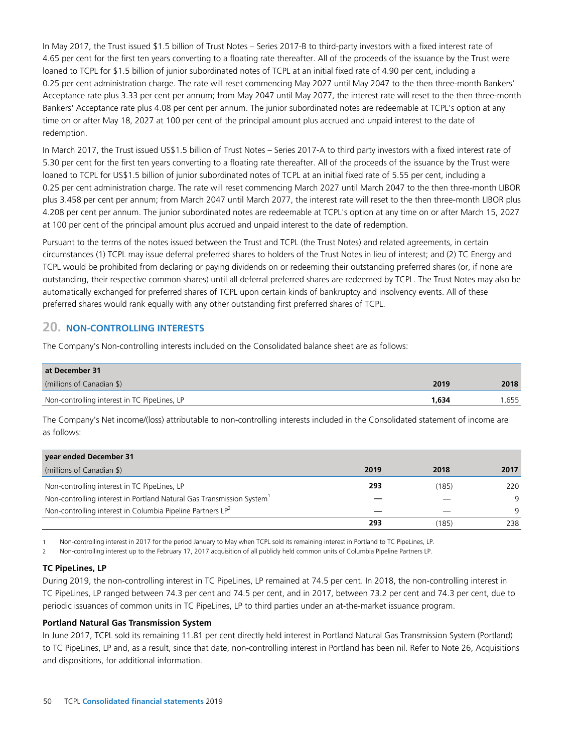In May 2017, the Trust issued \$1.5 billion of Trust Notes – Series 2017-B to third-party investors with a fixed interest rate of 4.65 per cent for the first ten years converting to a floating rate thereafter. All of the proceeds of the issuance by the Trust were loaned to TCPL for \$1.5 billion of junior subordinated notes of TCPL at an initial fixed rate of 4.90 per cent, including a 0.25 per cent administration charge. The rate will reset commencing May 2027 until May 2047 to the then three-month Bankers' Acceptance rate plus 3.33 per cent per annum; from May 2047 until May 2077, the interest rate will reset to the then three-month Bankers' Acceptance rate plus 4.08 per cent per annum. The junior subordinated notes are redeemable at TCPL's option at any time on or after May 18, 2027 at 100 per cent of the principal amount plus accrued and unpaid interest to the date of redemption.

In March 2017, the Trust issued US\$1.5 billion of Trust Notes – Series 2017-A to third party investors with a fixed interest rate of 5.30 per cent for the first ten years converting to a floating rate thereafter. All of the proceeds of the issuance by the Trust were loaned to TCPL for US\$1.5 billion of junior subordinated notes of TCPL at an initial fixed rate of 5.55 per cent, including a 0.25 per cent administration charge. The rate will reset commencing March 2027 until March 2047 to the then three-month LIBOR plus 3.458 per cent per annum; from March 2047 until March 2077, the interest rate will reset to the then three-month LIBOR plus 4.208 per cent per annum. The junior subordinated notes are redeemable at TCPL's option at any time on or after March 15, 2027 at 100 per cent of the principal amount plus accrued and unpaid interest to the date of redemption.

Pursuant to the terms of the notes issued between the Trust and TCPL (the Trust Notes) and related agreements, in certain circumstances (1) TCPL may issue deferral preferred shares to holders of the Trust Notes in lieu of interest; and (2) TC Energy and TCPL would be prohibited from declaring or paying dividends on or redeeming their outstanding preferred shares (or, if none are outstanding, their respective common shares) until all deferral preferred shares are redeemed by TCPL. The Trust Notes may also be automatically exchanged for preferred shares of TCPL upon certain kinds of bankruptcy and insolvency events. All of these preferred shares would rank equally with any other outstanding first preferred shares of TCPL.

## **20. NON-CONTROLLING INTERESTS**

The Company's Non-controlling interests included on the Consolidated balance sheet are as follows:

| at December 31                               |       |      |
|----------------------------------------------|-------|------|
| (millions of Canadian \$)                    | 2019  | 2018 |
| Non-controlling interest in TC PipeLines, LP | 1.634 | .655 |

The Company's Net income/(loss) attributable to non-controlling interests included in the Consolidated statement of income are as follows:

| year ended December 31                                                            |      |       |      |
|-----------------------------------------------------------------------------------|------|-------|------|
| (millions of Canadian \$)                                                         | 2019 | 2018  | 2017 |
| Non-controlling interest in TC PipeLines, LP                                      | 293  | (185) | 220  |
| Non-controlling interest in Portland Natural Gas Transmission System <sup>1</sup> |      |       | 9    |
| Non-controlling interest in Columbia Pipeline Partners LP <sup>2</sup>            |      |       | 9    |
|                                                                                   | 293  | (185) | 238  |

1 Non-controlling interest in 2017 for the period January to May when TCPL sold its remaining interest in Portland to TC PipeLines, LP.

2 Non-controlling interest up to the February 17, 2017 acquisition of all publicly held common units of Columbia Pipeline Partners LP.

## **TC PipeLines, LP**

During 2019, the non-controlling interest in TC PipeLines, LP remained at 74.5 per cent. In 2018, the non-controlling interest in TC PipeLines, LP ranged between 74.3 per cent and 74.5 per cent, and in 2017, between 73.2 per cent and 74.3 per cent, due to periodic issuances of common units in TC PipeLines, LP to third parties under an at-the-market issuance program.

## **Portland Natural Gas Transmission System**

In June 2017, TCPL sold its remaining 11.81 per cent directly held interest in Portland Natural Gas Transmission System (Portland) to TC PipeLines, LP and, as a result, since that date, non-controlling interest in Portland has been nil. Refer to Note 26, Acquisitions and dispositions, for additional information.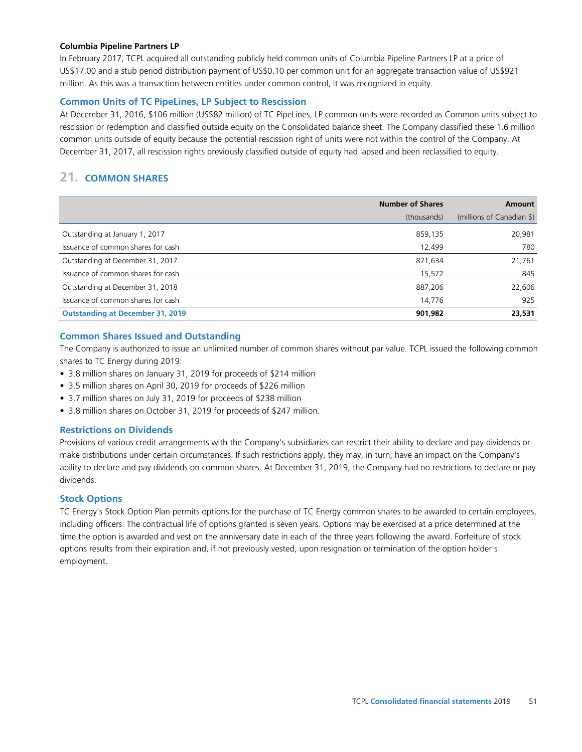#### **Columbia Pipeline Partners LP**

In February 2017, TCPL acquired all outstanding publicly held common units of Columbia Pipeline Partners LP at a price of US\$17.00 and a stub period distribution payment of US\$0.10 per common unit for an aggregate transaction value of US\$921 million. As this was a transaction between entities under common control, it was recognized in equity.

## **Common Units of TC PipeLines, LP Subject to Rescission**

At December 31, 2016, \$106 million (US\$82 million) of TC PipeLines, LP common units were recorded as Common units subject to rescission or redemption and classified outside equity on the Consolidated balance sheet. The Company classified these 1.6 million common units outside of equity because the potential rescission right of units were not within the control of the Company. At December 31, 2017, all rescission rights previously classified outside of equity had lapsed and been reclassified to equity.

# **21. COMMON SHARES**

|                                         | <b>Number of Shares</b> | <b>Amount</b>             |
|-----------------------------------------|-------------------------|---------------------------|
|                                         | (thousands)             | (millions of Canadian \$) |
| Outstanding at January 1, 2017          | 859,135                 | 20,981                    |
| Issuance of common shares for cash      | 12,499                  | 780                       |
| Outstanding at December 31, 2017        | 871,634                 | 21,761                    |
| Issuance of common shares for cash      | 15,572                  | 845                       |
| Outstanding at December 31, 2018        | 887,206                 | 22,606                    |
| Issuance of common shares for cash      | 14,776                  | 925                       |
| <b>Outstanding at December 31, 2019</b> | 901,982                 | 23,531                    |

## **Common Shares Issued and Outstanding**

The Company is authorized to issue an unlimited number of common shares without par value. TCPL issued the following common shares to TC Energy during 2019:

- 3.8 million shares on January 31, 2019 for proceeds of \$214 million
- 3.5 million shares on April 30, 2019 for proceeds of \$226 million
- 3.7 million shares on July 31, 2019 for proceeds of \$238 million
- 3.8 million shares on October 31, 2019 for proceeds of \$247 million.

## **Restrictions on Dividends**

Provisions of various credit arrangements with the Company's subsidiaries can restrict their ability to declare and pay dividends or make distributions under certain circumstances. If such restrictions apply, they may, in turn, have an impact on the Company's ability to declare and pay dividends on common shares. At December 31, 2019, the Company had no restrictions to declare or pay dividends.

## **Stock Options**

TC Energy's Stock Option Plan permits options for the purchase of TC Energy common shares to be awarded to certain employees, including officers. The contractual life of options granted is seven years. Options may be exercised at a price determined at the time the option is awarded and vest on the anniversary date in each of the three years following the award. Forfeiture of stock options results from their expiration and, if not previously vested, upon resignation or termination of the option holder's employment.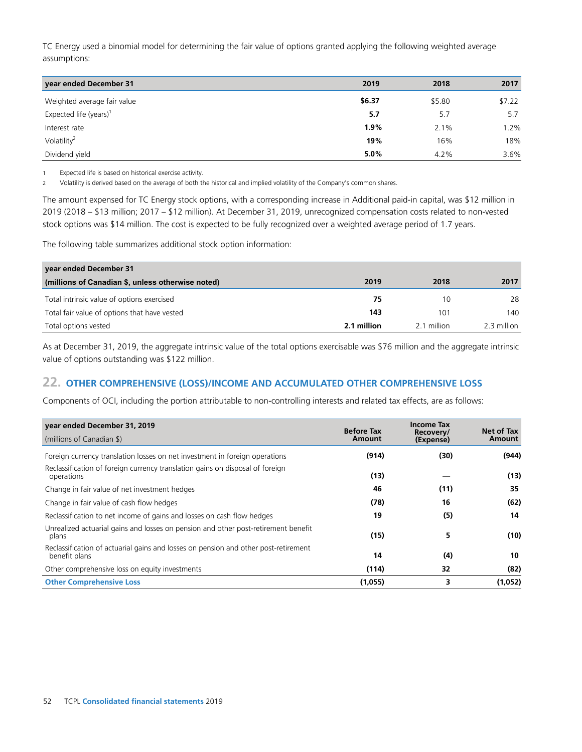TC Energy used a binomial model for determining the fair value of options granted applying the following weighted average assumptions:

| year ended December 31             | 2019   | 2018    | 2017   |
|------------------------------------|--------|---------|--------|
| Weighted average fair value        | \$6.37 | \$5.80  | \$7.22 |
| Expected life (years) <sup>1</sup> | 5.7    | 5.7     | 5.7    |
| Interest rate                      | 1.9%   | $2.1\%$ | 1.2%   |
| Volatility <sup>2</sup>            | 19%    | 16%     | 18%    |
| Dividend yield                     | 5.0%   | 4.2%    | 3.6%   |

1 Expected life is based on historical exercise activity.

2 Volatility is derived based on the average of both the historical and implied volatility of the Company's common shares.

The amount expensed for TC Energy stock options, with a corresponding increase in Additional paid-in capital, was \$12 million in 2019 (2018 – \$13 million; 2017 – \$12 million). At December 31, 2019, unrecognized compensation costs related to non-vested stock options was \$14 million. The cost is expected to be fully recognized over a weighted average period of 1.7 years.

The following table summarizes additional stock option information:

| year ended December 31                            |             |             |             |
|---------------------------------------------------|-------------|-------------|-------------|
| (millions of Canadian \$, unless otherwise noted) | 2019        | 2018        | 2017        |
| Total intrinsic value of options exercised        | 75          | 10          | 28          |
| Total fair value of options that have vested      | 143         | 101         | 140         |
| Total options vested                              | 2.1 million | 2.1 million | 2.3 million |

As at December 31, 2019, the aggregate intrinsic value of the total options exercisable was \$76 million and the aggregate intrinsic value of options outstanding was \$122 million.

## **22. OTHER COMPREHENSIVE (LOSS)/INCOME AND ACCUMULATED OTHER COMPREHENSIVE LOSS**

Components of OCI, including the portion attributable to non-controlling interests and related tax effects, are as follows:

| year ended December 31, 2019                                                                         | <b>Before Tax</b> | <b>Income Tax</b><br>Recovery/ | Net of Tax |
|------------------------------------------------------------------------------------------------------|-------------------|--------------------------------|------------|
| (millions of Canadian \$)                                                                            | Amount            | (Expense)                      | Amount     |
| Foreign currency translation losses on net investment in foreign operations                          | (914)             | (30)                           | (944)      |
| Reclassification of foreign currency translation gains on disposal of foreign<br>operations          | (13)              |                                | (13)       |
| Change in fair value of net investment hedges                                                        | 46                | (11)                           | 35         |
| Change in fair value of cash flow hedges                                                             | (78)              | 16                             | (62)       |
| Reclassification to net income of gains and losses on cash flow hedges                               | 19                | (5)                            | 14         |
| Unrealized actuarial gains and losses on pension and other post-retirement benefit<br>plans          | (15)              | 5                              | (10)       |
| Reclassification of actuarial gains and losses on pension and other post-retirement<br>benefit plans | 14                | (4)                            | 10         |
| Other comprehensive loss on equity investments                                                       | (114)             | 32                             | (82)       |
| <b>Other Comprehensive Loss</b>                                                                      | (1,055)           | 3                              | (1,052)    |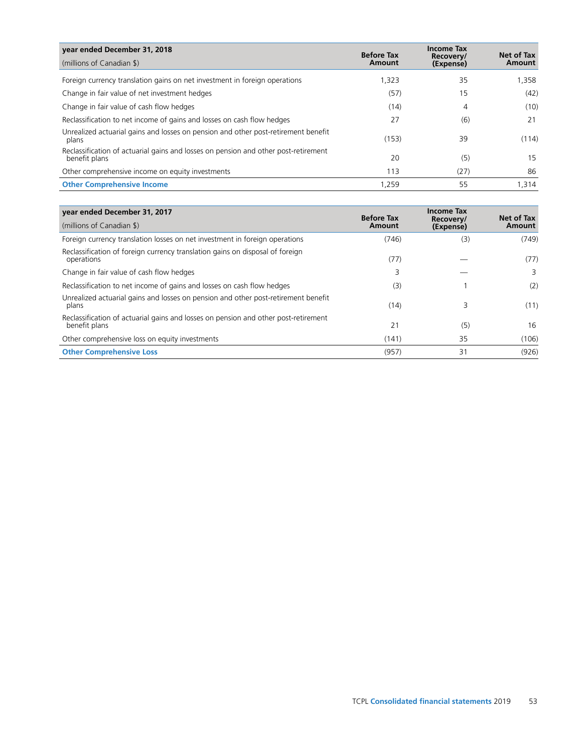| year ended December 31, 2018                                                                         | <b>Before Tax</b> | <b>Income Tax</b>      | Net of Tax |
|------------------------------------------------------------------------------------------------------|-------------------|------------------------|------------|
| (millions of Canadian \$)                                                                            | Amount            | Recovery/<br>(Expense) | Amount     |
| Foreign currency translation gains on net investment in foreign operations                           | 1.323             | 35                     | 1,358      |
| Change in fair value of net investment hedges                                                        | (57)              | 15                     | (42)       |
| Change in fair value of cash flow hedges                                                             | (14)              | 4                      | (10)       |
| Reclassification to net income of gains and losses on cash flow hedges                               | 27                | (6)                    | 21         |
| Unrealized actuarial gains and losses on pension and other post-retirement benefit<br>plans          | (153)             | 39                     | (114)      |
| Reclassification of actuarial gains and losses on pension and other post-retirement<br>benefit plans | 20                | (5)                    | 15         |
| Other comprehensive income on equity investments                                                     | 113               | (27)                   | 86         |
| <b>Other Comprehensive Income</b>                                                                    | 1,259             | 55                     | 1,314      |

| year ended December 31, 2017                                                                         | <b>Before Tax</b> | <b>Income Tax</b><br>Recovery/ | Net of Tax |
|------------------------------------------------------------------------------------------------------|-------------------|--------------------------------|------------|
| (millions of Canadian \$)                                                                            | Amount            | (Expense)                      | Amount     |
| Foreign currency translation losses on net investment in foreign operations                          | (746)             | (3)                            | (749)      |
| Reclassification of foreign currency translation gains on disposal of foreign<br>operations          | (77)              |                                | (77)       |
| Change in fair value of cash flow hedges                                                             | 3                 |                                | 3          |
| Reclassification to net income of gains and losses on cash flow hedges                               | (3)               |                                | (2)        |
| Unrealized actuarial gains and losses on pension and other post-retirement benefit<br>plans          | (14)              | 3                              | (11)       |
| Reclassification of actuarial gains and losses on pension and other post-retirement<br>benefit plans | 21                | (5)                            | 16         |
| Other comprehensive loss on equity investments                                                       | (141)             | 35                             | (106)      |
| <b>Other Comprehensive Loss</b>                                                                      | (957)             | 31                             | (926)      |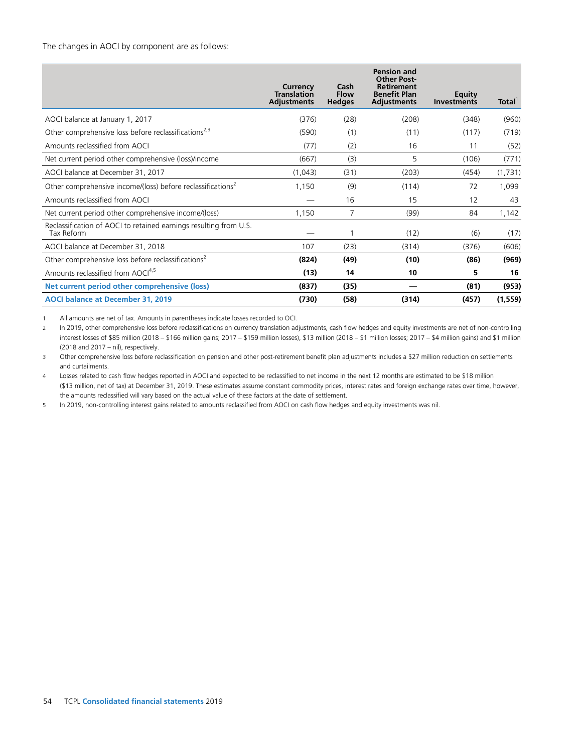#### The changes in AOCI by component are as follows:

|                                                                                 | Currency<br><b>Translation</b><br><b>Adjustments</b> | Cash<br><b>Flow</b><br><b>Hedges</b> | <b>Pension and</b><br><b>Other Post-</b><br><b>Retirement</b><br><b>Benefit Plan</b><br><b>Adjustments</b> | <b>Equity</b><br><b>Investments</b> | Total <sup>'</sup> |
|---------------------------------------------------------------------------------|------------------------------------------------------|--------------------------------------|------------------------------------------------------------------------------------------------------------|-------------------------------------|--------------------|
| AOCI balance at January 1, 2017                                                 | (376)                                                | (28)                                 | (208)                                                                                                      | (348)                               | (960)              |
| Other comprehensive loss before reclassifications <sup>2,3</sup>                | (590)                                                | (1)                                  | (11)                                                                                                       | (117)                               | (719)              |
| Amounts reclassified from AOCI                                                  | (77)                                                 | (2)                                  | 16                                                                                                         | 11                                  | (52)               |
| Net current period other comprehensive (loss)/income                            | (667)                                                | (3)                                  | 5                                                                                                          | (106)                               | (771)              |
| AOCI balance at December 31, 2017                                               | (1,043)                                              | (31)                                 | (203)                                                                                                      | (454)                               | (1,731)            |
| Other comprehensive income/(loss) before reclassifications <sup>2</sup>         | 1,150                                                | (9)                                  | (114)                                                                                                      | 72                                  | 1,099              |
| Amounts reclassified from AOCI                                                  |                                                      | 16                                   | 15                                                                                                         | 12                                  | 43                 |
| Net current period other comprehensive income/(loss)                            | 1,150                                                | $\overline{7}$                       | (99)                                                                                                       | 84                                  | 1,142              |
| Reclassification of AOCI to retained earnings resulting from U.S.<br>Tax Reform |                                                      | 1                                    | (12)                                                                                                       | (6)                                 | (17)               |
| AOCI balance at December 31, 2018                                               | 107                                                  | (23)                                 | (314)                                                                                                      | (376)                               | (606)              |
| Other comprehensive loss before reclassifications <sup>2</sup>                  | (824)                                                | (49)                                 | (10)                                                                                                       | (86)                                | (969)              |
| Amounts reclassified from AOCI <sup>4,5</sup>                                   | (13)                                                 | 14                                   | 10                                                                                                         | 5                                   | 16                 |
| Net current period other comprehensive (loss)                                   | (837)                                                | (35)                                 |                                                                                                            | (81)                                | (953)              |
| AOCI balance at December 31, 2019                                               | (730)                                                | (58)                                 | (314)                                                                                                      | (457)                               | (1, 559)           |

1 All amounts are net of tax. Amounts in parentheses indicate losses recorded to OCI.

2 In 2019, other comprehensive loss before reclassifications on currency translation adjustments, cash flow hedges and equity investments are net of non-controlling interest losses of \$85 million (2018 – \$166 million gains; 2017 – \$159 million losses), \$13 million (2018 – \$1 million losses; 2017 – \$4 million gains) and \$1 million (2018 and 2017 – nil), respectively.

3 Other comprehensive loss before reclassification on pension and other post-retirement benefit plan adjustments includes a \$27 million reduction on settlements and curtailments.

4 Losses related to cash flow hedges reported in AOCI and expected to be reclassified to net income in the next 12 months are estimated to be \$18 million (\$13 million, net of tax) at December 31, 2019. These estimates assume constant commodity prices, interest rates and foreign exchange rates over time, however, the amounts reclassified will vary based on the actual value of these factors at the date of settlement.

5 In 2019, non-controlling interest gains related to amounts reclassified from AOCI on cash flow hedges and equity investments was nil.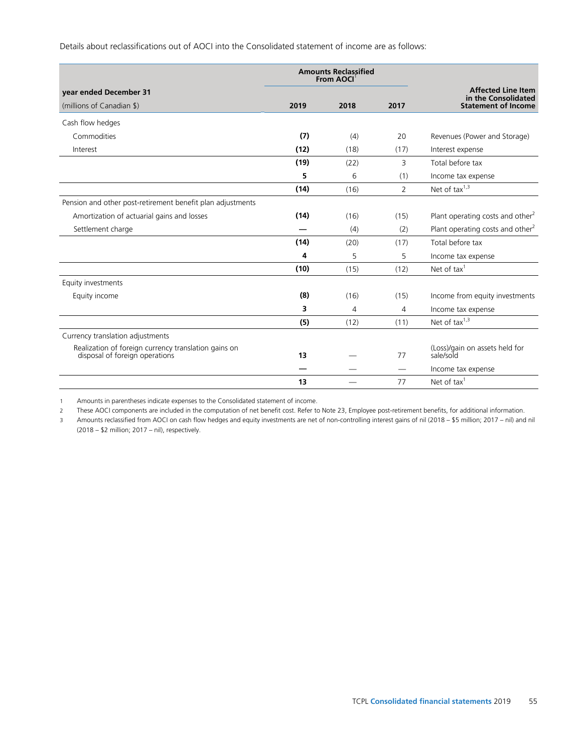Details about reclassifications out of AOCI into the Consolidated statement of income are as follows:

|                                                                                        |      | <b>Amounts Reclassified</b><br>From AOCI <sup>1</sup> |                               |                                                  |
|----------------------------------------------------------------------------------------|------|-------------------------------------------------------|-------------------------------|--------------------------------------------------|
| year ended December 31                                                                 |      |                                                       |                               | <b>Affected Line Item</b><br>in the Consolidated |
| (millions of Canadian \$)                                                              | 2019 | 2018                                                  | 2017                          | <b>Statement of Income</b>                       |
| Cash flow hedges                                                                       |      |                                                       |                               |                                                  |
| Commodities                                                                            | (7)  | (4)                                                   | 20                            | Revenues (Power and Storage)                     |
| Interest                                                                               | (12) | (18)                                                  | (17)                          | Interest expense                                 |
|                                                                                        | (19) | (22)                                                  | 3                             | Total before tax                                 |
|                                                                                        | 5    | 6                                                     | (1)                           | Income tax expense                               |
|                                                                                        | (14) | (16)                                                  | $\overline{2}$                | Net of tax $1,3$                                 |
| Pension and other post-retirement benefit plan adjustments                             |      |                                                       |                               |                                                  |
| Amortization of actuarial gains and losses                                             | (14) | (16)                                                  | (15)                          | Plant operating costs and other <sup>2</sup>     |
| Settlement charge                                                                      |      | (4)                                                   | (2)                           | Plant operating costs and other <sup>2</sup>     |
|                                                                                        | (14) | (20)                                                  | (17)                          | Total before tax                                 |
|                                                                                        | 4    | 5                                                     | 5                             | Income tax expense                               |
|                                                                                        | (10) | (15)                                                  | (12)                          | Net of tax $1$                                   |
| Equity investments                                                                     |      |                                                       |                               |                                                  |
| Equity income                                                                          | (8)  | (16)                                                  | (15)                          | Income from equity investments                   |
|                                                                                        | 3    | 4                                                     | 4                             | Income tax expense                               |
|                                                                                        | (5)  | (12)                                                  | (11)                          | Net of $tax^{1,3}$                               |
| Currency translation adjustments                                                       |      |                                                       |                               |                                                  |
| Realization of foreign currency translation gains on<br>disposal of foreign operations | 13   |                                                       | 77                            | (Loss)/gain on assets held for<br>sale/sold      |
|                                                                                        |      |                                                       | $\overbrace{\phantom{aaaaa}}$ | Income tax expense                               |
|                                                                                        | 13   |                                                       | 77                            | Net of tax $1$                                   |

1 Amounts in parentheses indicate expenses to the Consolidated statement of income.

2 These AOCI components are included in the computation of net benefit cost. Refer to Note 23, Employee post-retirement benefits, for additional information.

3 Amounts reclassified from AOCI on cash flow hedges and equity investments are net of non-controlling interest gains of nil (2018 – \$5 million; 2017 – nil) and nil (2018 – \$2 million; 2017 – nil), respectively.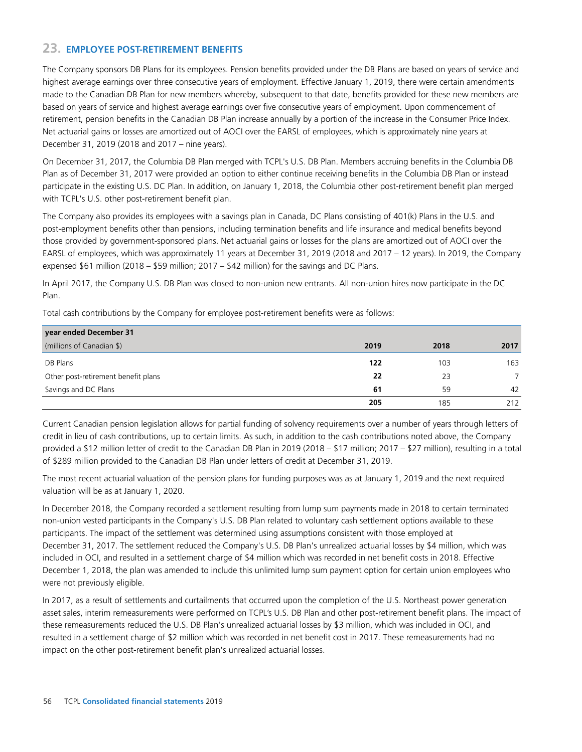# **23. EMPLOYEE POST-RETIREMENT BENEFITS**

The Company sponsors DB Plans for its employees. Pension benefits provided under the DB Plans are based on years of service and highest average earnings over three consecutive years of employment. Effective January 1, 2019, there were certain amendments made to the Canadian DB Plan for new members whereby, subsequent to that date, benefits provided for these new members are based on years of service and highest average earnings over five consecutive years of employment. Upon commencement of retirement, pension benefits in the Canadian DB Plan increase annually by a portion of the increase in the Consumer Price Index. Net actuarial gains or losses are amortized out of AOCI over the EARSL of employees, which is approximately nine years at December 31, 2019 (2018 and 2017 – nine years).

On December 31, 2017, the Columbia DB Plan merged with TCPL's U.S. DB Plan. Members accruing benefits in the Columbia DB Plan as of December 31, 2017 were provided an option to either continue receiving benefits in the Columbia DB Plan or instead participate in the existing U.S. DC Plan. In addition, on January 1, 2018, the Columbia other post-retirement benefit plan merged with TCPL's U.S. other post-retirement benefit plan.

The Company also provides its employees with a savings plan in Canada, DC Plans consisting of 401(k) Plans in the U.S. and post-employment benefits other than pensions, including termination benefits and life insurance and medical benefits beyond those provided by government-sponsored plans. Net actuarial gains or losses for the plans are amortized out of AOCI over the EARSL of employees, which was approximately 11 years at December 31, 2019 (2018 and 2017 – 12 years). In 2019, the Company expensed \$61 million (2018 – \$59 million; 2017 – \$42 million) for the savings and DC Plans.

In April 2017, the Company U.S. DB Plan was closed to non-union new entrants. All non-union hires now participate in the DC Plan.

Total cash contributions by the Company for employee post-retirement benefits were as follows:

| year ended December 31              |      |      |      |
|-------------------------------------|------|------|------|
| (millions of Canadian \$)           | 2019 | 2018 | 2017 |
| DB Plans                            | 122  | 103  | 163  |
| Other post-retirement benefit plans | 22   | 23   |      |
| Savings and DC Plans                | 61   | 59   | 42   |
|                                     | 205  | 185  | 212  |

Current Canadian pension legislation allows for partial funding of solvency requirements over a number of years through letters of credit in lieu of cash contributions, up to certain limits. As such, in addition to the cash contributions noted above, the Company provided a \$12 million letter of credit to the Canadian DB Plan in 2019 (2018 – \$17 million; 2017 – \$27 million), resulting in a total of \$289 million provided to the Canadian DB Plan under letters of credit at December 31, 2019.

The most recent actuarial valuation of the pension plans for funding purposes was as at January 1, 2019 and the next required valuation will be as at January 1, 2020.

In December 2018, the Company recorded a settlement resulting from lump sum payments made in 2018 to certain terminated non-union vested participants in the Company's U.S. DB Plan related to voluntary cash settlement options available to these participants. The impact of the settlement was determined using assumptions consistent with those employed at December 31, 2017. The settlement reduced the Company's U.S. DB Plan's unrealized actuarial losses by \$4 million, which was included in OCI, and resulted in a settlement charge of \$4 million which was recorded in net benefit costs in 2018. Effective December 1, 2018, the plan was amended to include this unlimited lump sum payment option for certain union employees who were not previously eligible.

In 2017, as a result of settlements and curtailments that occurred upon the completion of the U.S. Northeast power generation asset sales, interim remeasurements were performed on TCPL's U.S. DB Plan and other post-retirement benefit plans. The impact of these remeasurements reduced the U.S. DB Plan's unrealized actuarial losses by \$3 million, which was included in OCI, and resulted in a settlement charge of \$2 million which was recorded in net benefit cost in 2017. These remeasurements had no impact on the other post-retirement benefit plan's unrealized actuarial losses.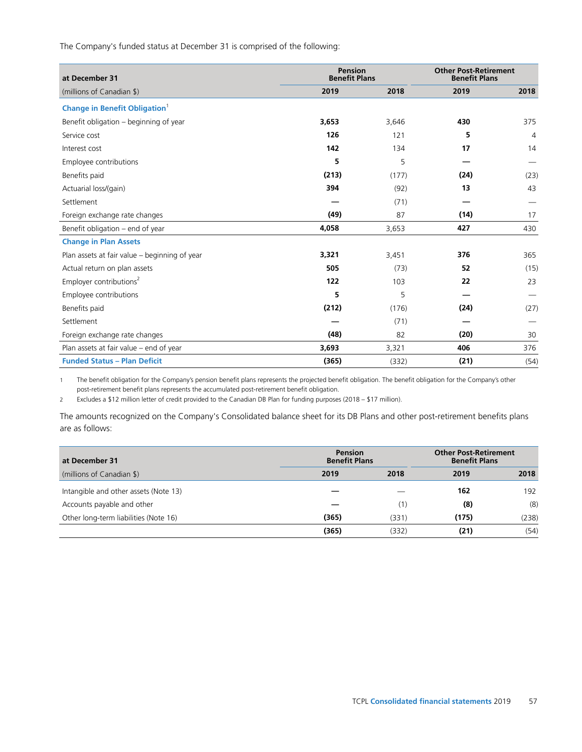The Company's funded status at December 31 is comprised of the following:

| at December 31                                   | <b>Pension</b><br><b>Benefit Plans</b> |       | <b>Other Post-Retirement</b><br><b>Benefit Plans</b> |                |
|--------------------------------------------------|----------------------------------------|-------|------------------------------------------------------|----------------|
| (millions of Canadian \$)                        | 2019                                   | 2018  | 2019                                                 | 2018           |
| <b>Change in Benefit Obligation</b> <sup>1</sup> |                                        |       |                                                      |                |
| Benefit obligation - beginning of year           | 3,653                                  | 3,646 | 430                                                  | 375            |
| Service cost                                     | 126                                    | 121   | 5                                                    | $\overline{4}$ |
| Interest cost                                    | 142                                    | 134   | 17                                                   | 14             |
| Employee contributions                           | 5                                      | 5     |                                                      |                |
| Benefits paid                                    | (213)                                  | (177) | (24)                                                 | (23)           |
| Actuarial loss/(gain)                            | 394                                    | (92)  | 13                                                   | 43             |
| Settlement                                       |                                        | (71)  |                                                      |                |
| Foreign exchange rate changes                    | (49)                                   | 87    | (14)                                                 | 17             |
| Benefit obligation - end of year                 | 4,058                                  | 3,653 | 427                                                  | 430            |
| <b>Change in Plan Assets</b>                     |                                        |       |                                                      |                |
| Plan assets at fair value - beginning of year    | 3,321                                  | 3,451 | 376                                                  | 365            |
| Actual return on plan assets                     | 505                                    | (73)  | 52                                                   | (15)           |
| Employer contributions <sup>2</sup>              | 122                                    | 103   | 22                                                   | 23             |
| Employee contributions                           | 5                                      | 5     |                                                      |                |
| Benefits paid                                    | (212)                                  | (176) | (24)                                                 | (27)           |
| Settlement                                       |                                        | (71)  |                                                      |                |
| Foreign exchange rate changes                    | (48)                                   | 82    | (20)                                                 | 30             |
| Plan assets at fair value – end of year          | 3,693                                  | 3,321 | 406                                                  | 376            |
| <b>Funded Status - Plan Deficit</b>              | (365)                                  | (332) | (21)                                                 | (54)           |

1 The benefit obligation for the Company's pension benefit plans represents the projected benefit obligation. The benefit obligation for the Company's other post-retirement benefit plans represents the accumulated post-retirement benefit obligation.

2 Excludes a \$12 million letter of credit provided to the Canadian DB Plan for funding purposes (2018 – \$17 million).

The amounts recognized on the Company's Consolidated balance sheet for its DB Plans and other post-retirement benefits plans are as follows:

| at December 31                        | <b>Pension</b><br><b>Benefit Plans</b> |       | <b>Other Post-Retirement</b><br><b>Benefit Plans</b> |       |
|---------------------------------------|----------------------------------------|-------|------------------------------------------------------|-------|
| (millions of Canadian \$)             | 2019                                   | 2018  | 2019                                                 | 2018  |
| Intangible and other assets (Note 13) |                                        |       | 162                                                  | 192   |
| Accounts payable and other            |                                        | (1)   | (8)                                                  | (8)   |
| Other long-term liabilities (Note 16) | (365)                                  | (331) | (175)                                                | (238) |
|                                       | (365)                                  | (332) | (21)                                                 | (54)  |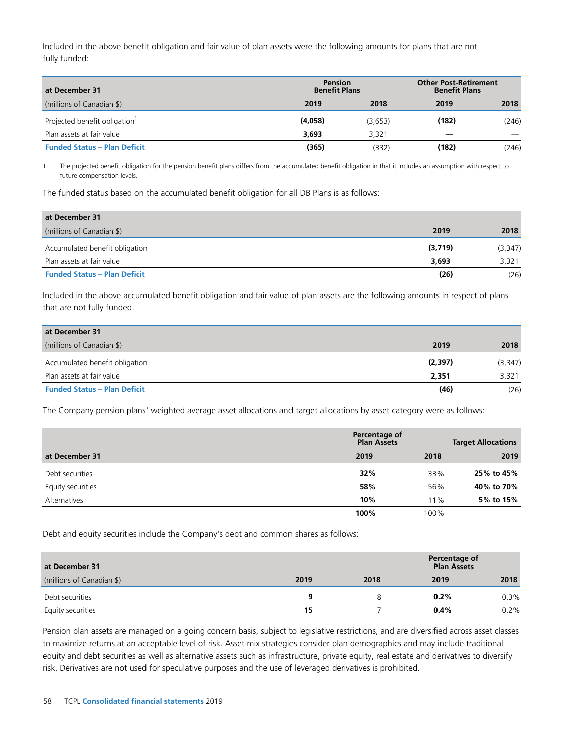Included in the above benefit obligation and fair value of plan assets were the following amounts for plans that are not fully funded:

| at December 31                            | Pension<br><b>Benefit Plans</b> |         | <b>Other Post-Retirement</b><br><b>Benefit Plans</b> |       |  |
|-------------------------------------------|---------------------------------|---------|------------------------------------------------------|-------|--|
| (millions of Canadian \$)                 | 2019                            | 2018    | 2019                                                 | 2018  |  |
| Projected benefit obligation <sup>1</sup> | (4,058)                         | (3,653) | (182)                                                | (246) |  |
| Plan assets at fair value                 | 3.693                           | 3.321   |                                                      |       |  |
| <b>Funded Status - Plan Deficit</b>       | (365)                           | (332)   | (182)                                                | (246) |  |

1 The projected benefit obligation for the pension benefit plans differs from the accumulated benefit obligation in that it includes an assumption with respect to future compensation levels.

The funded status based on the accumulated benefit obligation for all DB Plans is as follows:

| at December 31                      |         |         |
|-------------------------------------|---------|---------|
| (millions of Canadian \$)           | 2019    | 2018    |
| Accumulated benefit obligation      | (3,719) | (3,347) |
| Plan assets at fair value           | 3.693   | 3,321   |
| <b>Funded Status - Plan Deficit</b> | (26)    | (26)    |

Included in the above accumulated benefit obligation and fair value of plan assets are the following amounts in respect of plans that are not fully funded.

| at December 31                      |         |          |
|-------------------------------------|---------|----------|
| (millions of Canadian \$)           | 2019    | 2018     |
| Accumulated benefit obligation      | (2,397) | (3, 347) |
| Plan assets at fair value           | 2,351   | 3,321    |
| <b>Funded Status - Plan Deficit</b> | (46)    | (26)     |

The Company pension plans' weighted average asset allocations and target allocations by asset category were as follows:

|                   | Percentage of<br><b>Plan Assets</b> |      | <b>Target Allocations</b> |  |  |
|-------------------|-------------------------------------|------|---------------------------|--|--|
| at December 31    | 2019                                | 2018 | 2019                      |  |  |
| Debt securities   | 32%                                 | 33%  | 25% to 45%                |  |  |
| Equity securities | 58%                                 | 56%  | 40% to 70%                |  |  |
| Alternatives      | 10%                                 | 11%  | 5% to 15%                 |  |  |
|                   | 100%                                | 100% |                           |  |  |

Debt and equity securities include the Company's debt and common shares as follows:

| at December 31            |      |      | Percentage of<br><b>Plan Assets</b> |      |
|---------------------------|------|------|-------------------------------------|------|
| (millions of Canadian \$) | 2019 | 2018 | 2019                                | 2018 |
| Debt securities           | q    |      | 0.2%                                | 0.3% |
| Equity securities         | 15   |      | 0.4%                                | 0.2% |

Pension plan assets are managed on a going concern basis, subject to legislative restrictions, and are diversified across asset classes to maximize returns at an acceptable level of risk. Asset mix strategies consider plan demographics and may include traditional equity and debt securities as well as alternative assets such as infrastructure, private equity, real estate and derivatives to diversify risk. Derivatives are not used for speculative purposes and the use of leveraged derivatives is prohibited.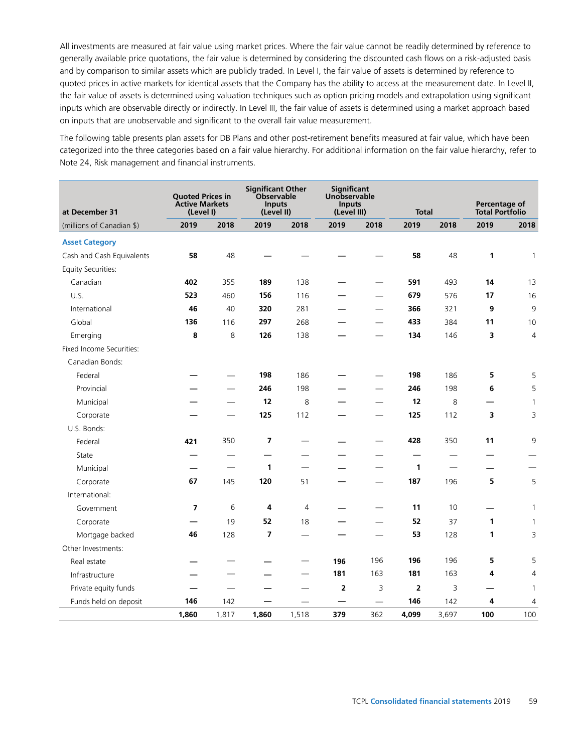All investments are measured at fair value using market prices. Where the fair value cannot be readily determined by reference to generally available price quotations, the fair value is determined by considering the discounted cash flows on a risk-adjusted basis and by comparison to similar assets which are publicly traded. In Level I, the fair value of assets is determined by reference to quoted prices in active markets for identical assets that the Company has the ability to access at the measurement date. In Level II, the fair value of assets is determined using valuation techniques such as option pricing models and extrapolation using significant inputs which are observable directly or indirectly. In Level III, the fair value of assets is determined using a market approach based on inputs that are unobservable and significant to the overall fair value measurement.

The following table presents plan assets for DB Plans and other post-retirement benefits measured at fair value, which have been categorized into the three categories based on a fair value hierarchy. For additional information on the fair value hierarchy, refer to Note 24, Risk management and financial instruments.

| at December 31            | <b>Quoted Prices in</b><br><b>Active Markets</b><br>(Level I) |       | <b>Significant Other</b><br>Observable<br><b>Inputs</b><br>(Level II) |                | Significant<br>Unobservable<br><b>Inputs</b><br>(Level III) |      | <b>Total</b> |                          | Percentage of<br><b>Total Portfolio</b> |                |
|---------------------------|---------------------------------------------------------------|-------|-----------------------------------------------------------------------|----------------|-------------------------------------------------------------|------|--------------|--------------------------|-----------------------------------------|----------------|
| (millions of Canadian \$) | 2019                                                          | 2018  | 2019                                                                  | 2018           | 2019                                                        | 2018 | 2019         | 2018                     | 2019                                    | 2018           |
| <b>Asset Category</b>     |                                                               |       |                                                                       |                |                                                             |      |              |                          |                                         |                |
| Cash and Cash Equivalents | 58                                                            | 48    |                                                                       |                |                                                             |      | 58           | 48                       | 1                                       | $\mathbf{1}$   |
| <b>Equity Securities:</b> |                                                               |       |                                                                       |                |                                                             |      |              |                          |                                         |                |
| Canadian                  | 402                                                           | 355   | 189                                                                   | 138            |                                                             |      | 591          | 493                      | 14                                      | 13             |
| U.S.                      | 523                                                           | 460   | 156                                                                   | 116            |                                                             |      | 679          | 576                      | 17                                      | 16             |
| International             | 46                                                            | 40    | 320                                                                   | 281            |                                                             |      | 366          | 321                      | 9                                       | 9              |
| Global                    | 136                                                           | 116   | 297                                                                   | 268            |                                                             |      | 433          | 384                      | 11                                      | 10             |
| Emerging                  | 8                                                             | 8     | 126                                                                   | 138            |                                                             |      | 134          | 146                      | 3                                       | $\overline{4}$ |
| Fixed Income Securities:  |                                                               |       |                                                                       |                |                                                             |      |              |                          |                                         |                |
| Canadian Bonds:           |                                                               |       |                                                                       |                |                                                             |      |              |                          |                                         |                |
| Federal                   |                                                               |       | 198                                                                   | 186            |                                                             |      | 198          | 186                      | 5                                       | 5              |
| Provincial                |                                                               |       | 246                                                                   | 198            |                                                             |      | 246          | 198                      | 6                                       | 5              |
| Municipal                 |                                                               |       | 12                                                                    | 8              |                                                             |      | 12           | 8                        |                                         | 1              |
| Corporate                 |                                                               |       | 125                                                                   | 112            |                                                             |      | 125          | 112                      | 3                                       | 3              |
| U.S. Bonds:               |                                                               |       |                                                                       |                |                                                             |      |              |                          |                                         |                |
| Federal                   | 421                                                           | 350   | $\overline{7}$                                                        |                |                                                             |      | 428          | 350                      | 11                                      | 9              |
| State                     |                                                               |       |                                                                       |                |                                                             |      |              | $\overline{\phantom{0}}$ |                                         |                |
| Municipal                 |                                                               |       | $\mathbf{1}$                                                          |                |                                                             |      | 1            |                          |                                         |                |
| Corporate                 | 67                                                            | 145   | 120                                                                   | 51             |                                                             |      | 187          | 196                      | 5                                       | 5              |
| International:            |                                                               |       |                                                                       |                |                                                             |      |              |                          |                                         |                |
| Government                | $\overline{7}$                                                | 6     | 4                                                                     | $\overline{4}$ |                                                             |      | 11           | 10                       |                                         | $\overline{1}$ |
| Corporate                 |                                                               | 19    | 52                                                                    | 18             |                                                             |      | 52           | 37                       | 1                                       | $\mathbf{1}$   |
| Mortgage backed           | 46                                                            | 128   | $\overline{7}$                                                        |                |                                                             |      | 53           | 128                      | 1                                       | 3              |
| Other Investments:        |                                                               |       |                                                                       |                |                                                             |      |              |                          |                                         |                |
| Real estate               |                                                               |       |                                                                       |                | 196                                                         | 196  | 196          | 196                      | 5                                       | 5              |
| Infrastructure            |                                                               |       |                                                                       |                | 181                                                         | 163  | 181          | 163                      | 4                                       | $\overline{4}$ |
| Private equity funds      |                                                               |       |                                                                       |                | $\overline{\mathbf{2}}$                                     | 3    | 2            | 3                        |                                         | $\mathbf{1}$   |
| Funds held on deposit     | 146                                                           | 142   |                                                                       |                | —                                                           |      | 146          | 142                      | 4                                       | 4              |
|                           | 1,860                                                         | 1,817 | 1,860                                                                 | 1,518          | 379                                                         | 362  | 4,099        | 3,697                    | 100                                     | 100            |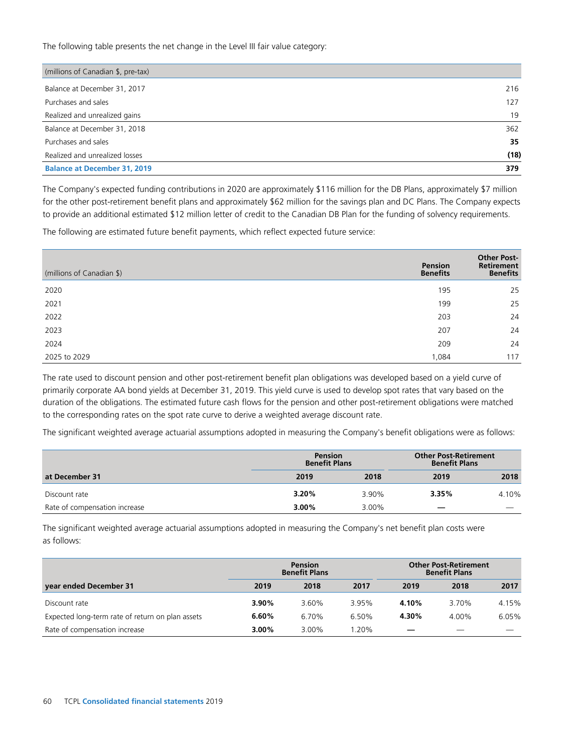The following table presents the net change in the Level III fair value category:

| (millions of Canadian \$, pre-tax)  |      |
|-------------------------------------|------|
| Balance at December 31, 2017        | 216  |
| Purchases and sales                 | 127  |
| Realized and unrealized gains       | 19   |
| Balance at December 31, 2018        | 362  |
| Purchases and sales                 | 35   |
| Realized and unrealized losses      | (18) |
| <b>Balance at December 31, 2019</b> | 379  |

The Company's expected funding contributions in 2020 are approximately \$116 million for the DB Plans, approximately \$7 million for the other post-retirement benefit plans and approximately \$62 million for the savings plan and DC Plans. The Company expects to provide an additional estimated \$12 million letter of credit to the Canadian DB Plan for the funding of solvency requirements.

The following are estimated future benefit payments, which reflect expected future service:

| (millions of Canadian \$) | Pension<br><b>Benefits</b> | <b>Other Post-</b><br>Retirement<br><b>Benefits</b> |
|---------------------------|----------------------------|-----------------------------------------------------|
| 2020                      | 195                        | 25                                                  |
| 2021                      | 199                        | 25                                                  |
| 2022                      | 203                        | 24                                                  |
| 2023                      | 207                        | 24                                                  |
| 2024                      | 209                        | 24                                                  |
| 2025 to 2029              | 1,084                      | 117                                                 |

The rate used to discount pension and other post-retirement benefit plan obligations was developed based on a yield curve of primarily corporate AA bond yields at December 31, 2019. This yield curve is used to develop spot rates that vary based on the duration of the obligations. The estimated future cash flows for the pension and other post-retirement obligations were matched to the corresponding rates on the spot rate curve to derive a weighted average discount rate.

The significant weighted average actuarial assumptions adopted in measuring the Company's benefit obligations were as follows:

|                               | <b>Pension</b><br><b>Benefit Plans</b> | <b>Other Post-Retirement</b><br><b>Benefit Plans</b> |       |       |
|-------------------------------|----------------------------------------|------------------------------------------------------|-------|-------|
| at December 31                | 2019                                   | 2018                                                 | 2019  | 2018  |
| Discount rate                 | 3.20%                                  | 3.90%                                                | 3.35% | 4.10% |
| Rate of compensation increase | $3.00\%$                               | 3.00%                                                |       |       |

The significant weighted average actuarial assumptions adopted in measuring the Company's net benefit plan costs were as follows:

|                                                  | <b>Pension</b><br><b>Benefit Plans</b> |          |         | <b>Other Post-Retirement</b><br><b>Benefit Plans</b> |       |       |
|--------------------------------------------------|----------------------------------------|----------|---------|------------------------------------------------------|-------|-------|
| year ended December 31                           | 2019                                   | 2018     | 2017    | 2019                                                 | 2018  | 2017  |
| Discount rate                                    | 3.90%                                  | 3.60%    | 3.95%   | 4.10%                                                | 3.70% | 4.15% |
| Expected long-term rate of return on plan assets | 6.60%                                  | 6.70%    | 6.50%   | 4.30%                                                | 4.00% | 6.05% |
| Rate of compensation increase                    | $3.00\%$                               | $3.00\%$ | $.20\%$ |                                                      |       |       |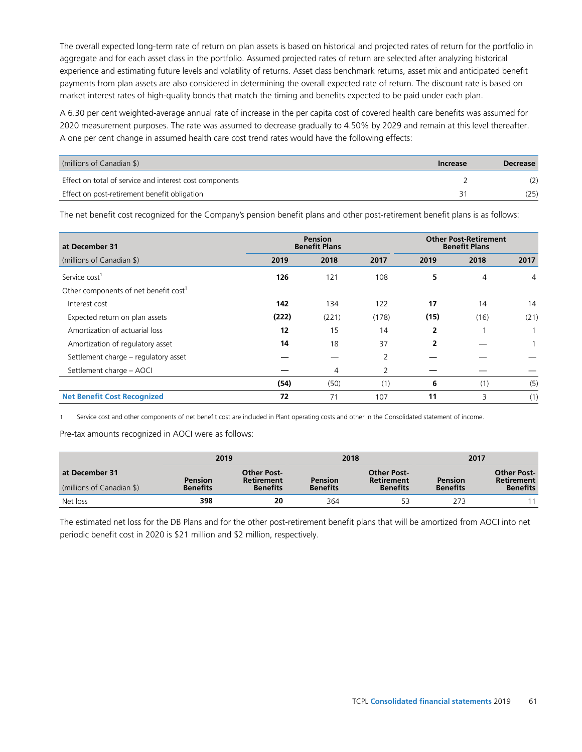The overall expected long-term rate of return on plan assets is based on historical and projected rates of return for the portfolio in aggregate and for each asset class in the portfolio. Assumed projected rates of return are selected after analyzing historical experience and estimating future levels and volatility of returns. Asset class benchmark returns, asset mix and anticipated benefit payments from plan assets are also considered in determining the overall expected rate of return. The discount rate is based on market interest rates of high-quality bonds that match the timing and benefits expected to be paid under each plan.

A 6.30 per cent weighted-average annual rate of increase in the per capita cost of covered health care benefits was assumed for 2020 measurement purposes. The rate was assumed to decrease gradually to 4.50% by 2029 and remain at this level thereafter. A one per cent change in assumed health care cost trend rates would have the following effects:

| (millions of Canadian \$)                               | Increase | <b>Decrease</b> |
|---------------------------------------------------------|----------|-----------------|
| Effect on total of service and interest cost components |          |                 |
| Effect on post-retirement benefit obligation            |          | (25)            |

The net benefit cost recognized for the Company's pension benefit plans and other post-retirement benefit plans is as follows:

| at December 31                                    | <b>Pension</b><br><b>Benefit Plans</b> |       |       | <b>Other Post-Retirement</b><br><b>Benefit Plans</b> |                |                |
|---------------------------------------------------|----------------------------------------|-------|-------|------------------------------------------------------|----------------|----------------|
| (millions of Canadian \$)                         | 2019                                   | 2018  | 2017  | 2019                                                 | 2018           | 2017           |
| Service cost <sup>1</sup>                         | 126                                    | 121   | 108   | 5                                                    | $\overline{4}$ | $\overline{4}$ |
| Other components of net benefit cost <sup>1</sup> |                                        |       |       |                                                      |                |                |
| Interest cost                                     | 142                                    | 134   | 122   | 17                                                   | 14             | 14             |
| Expected return on plan assets                    | (222)                                  | (221) | (178) | (15)                                                 | (16)           | (21)           |
| Amortization of actuarial loss                    | 12                                     | 15    | 14    | 2                                                    |                |                |
| Amortization of regulatory asset                  | 14                                     | 18    | 37    | $\overline{2}$                                       |                |                |
| Settlement charge - regulatory asset              |                                        |       | 2     |                                                      |                |                |
| Settlement charge - AOCI                          |                                        | 4     | 2     |                                                      |                |                |
|                                                   | (54)                                   | (50)  | (1)   | 6                                                    | (1)            | (5)            |
| <b>Net Benefit Cost Recognized</b>                | 72                                     | 71    | 107   | 11                                                   | 3              | (1)            |

1 Service cost and other components of net benefit cost are included in Plant operating costs and other in the Consolidated statement of income.

Pre-tax amounts recognized in AOCI were as follows:

|                                             |                                   | 2019                                                |                                   | 2018                                                | 2017                              |                                                            |
|---------------------------------------------|-----------------------------------|-----------------------------------------------------|-----------------------------------|-----------------------------------------------------|-----------------------------------|------------------------------------------------------------|
| at December 31<br>(millions of Canadian \$) | <b>Pension</b><br><b>Benefits</b> | Other Post-<br><b>Retirement</b><br><b>Benefits</b> | <b>Pension</b><br><b>Benefits</b> | <b>Other Post-</b><br>Retirement<br><b>Benefits</b> | <b>Pension</b><br><b>Benefits</b> | <b>Other Post-</b><br><b>Retirement</b><br><b>Benefits</b> |
| Net loss                                    | 398                               | 20                                                  | 364                               | 53                                                  | 273                               |                                                            |

The estimated net loss for the DB Plans and for the other post-retirement benefit plans that will be amortized from AOCI into net periodic benefit cost in 2020 is \$21 million and \$2 million, respectively.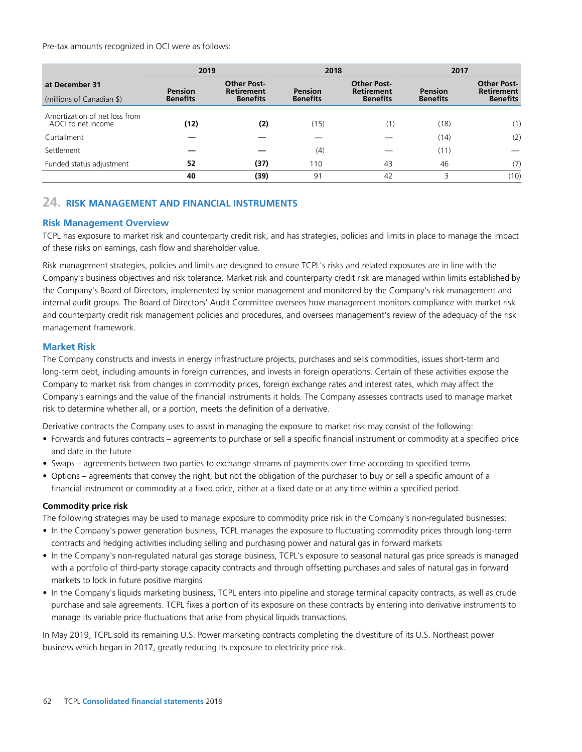Pre-tax amounts recognized in OCI were as follows:

|                                                     |                            | 2019                                         |                                   | 2018                                                       | 2017                              |                                                            |
|-----------------------------------------------------|----------------------------|----------------------------------------------|-----------------------------------|------------------------------------------------------------|-----------------------------------|------------------------------------------------------------|
| at December 31<br>(millions of Canadian \$)         | Pension<br><b>Benefits</b> | Other Post-<br>Retirement<br><b>Benefits</b> | <b>Pension</b><br><b>Benefits</b> | <b>Other Post-</b><br><b>Retirement</b><br><b>Benefits</b> | <b>Pension</b><br><b>Benefits</b> | <b>Other Post-</b><br><b>Retirement</b><br><b>Benefits</b> |
| Amortization of net loss from<br>AOCI to net income | (12)                       | (2)                                          | (15)                              | (1)                                                        | (18)                              | (1)                                                        |
| Curtailment                                         |                            |                                              |                                   |                                                            | (14)                              | (2)                                                        |
| Settlement                                          |                            |                                              | (4)                               |                                                            | (11)                              |                                                            |
| Funded status adjustment                            | 52                         | (37)                                         | 110                               | 43                                                         | 46                                | (7)                                                        |
|                                                     | 40                         | (39)                                         | 91                                | 42                                                         |                                   | (10)                                                       |

## **24. RISK MANAGEMENT AND FINANCIAL INSTRUMENTS**

## **Risk Management Overview**

TCPL has exposure to market risk and counterparty credit risk, and has strategies, policies and limits in place to manage the impact of these risks on earnings, cash flow and shareholder value.

Risk management strategies, policies and limits are designed to ensure TCPL's risks and related exposures are in line with the Company's business objectives and risk tolerance. Market risk and counterparty credit risk are managed within limits established by the Company's Board of Directors, implemented by senior management and monitored by the Company's risk management and internal audit groups. The Board of Directors' Audit Committee oversees how management monitors compliance with market risk and counterparty credit risk management policies and procedures, and oversees management's review of the adequacy of the risk management framework.

#### **Market Risk**

The Company constructs and invests in energy infrastructure projects, purchases and sells commodities, issues short-term and long-term debt, including amounts in foreign currencies, and invests in foreign operations. Certain of these activities expose the Company to market risk from changes in commodity prices, foreign exchange rates and interest rates, which may affect the Company's earnings and the value of the financial instruments it holds. The Company assesses contracts used to manage market risk to determine whether all, or a portion, meets the definition of a derivative.

Derivative contracts the Company uses to assist in managing the exposure to market risk may consist of the following:

- Forwards and futures contracts agreements to purchase or sell a specific financial instrument or commodity at a specified price and date in the future
- Swaps agreements between two parties to exchange streams of payments over time according to specified terms
- Options agreements that convey the right, but not the obligation of the purchaser to buy or sell a specific amount of a financial instrument or commodity at a fixed price, either at a fixed date or at any time within a specified period.

#### **Commodity price risk**

The following strategies may be used to manage exposure to commodity price risk in the Company's non-regulated businesses:

- In the Company's power generation business, TCPL manages the exposure to fluctuating commodity prices through long-term contracts and hedging activities including selling and purchasing power and natural gas in forward markets
- In the Company's non-regulated natural gas storage business, TCPL's exposure to seasonal natural gas price spreads is managed with a portfolio of third-party storage capacity contracts and through offsetting purchases and sales of natural gas in forward markets to lock in future positive margins
- In the Company's liquids marketing business, TCPL enters into pipeline and storage terminal capacity contracts, as well as crude purchase and sale agreements. TCPL fixes a portion of its exposure on these contracts by entering into derivative instruments to manage its variable price fluctuations that arise from physical liquids transactions.

In May 2019, TCPL sold its remaining U.S. Power marketing contracts completing the divestiture of its U.S. Northeast power business which began in 2017, greatly reducing its exposure to electricity price risk.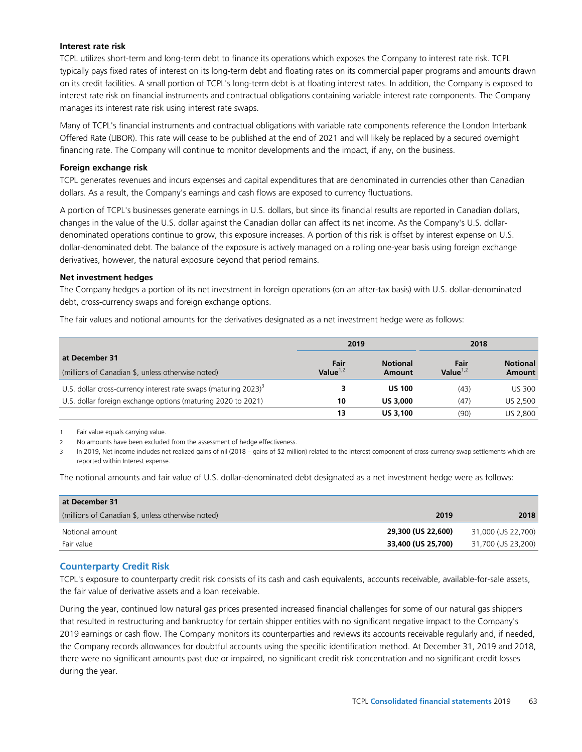#### **Interest rate risk**

TCPL utilizes short-term and long-term debt to finance its operations which exposes the Company to interest rate risk. TCPL typically pays fixed rates of interest on its long-term debt and floating rates on its commercial paper programs and amounts drawn on its credit facilities. A small portion of TCPL's long-term debt is at floating interest rates. In addition, the Company is exposed to interest rate risk on financial instruments and contractual obligations containing variable interest rate components. The Company manages its interest rate risk using interest rate swaps.

Many of TCPL's financial instruments and contractual obligations with variable rate components reference the London Interbank Offered Rate (LIBOR). This rate will cease to be published at the end of 2021 and will likely be replaced by a secured overnight financing rate. The Company will continue to monitor developments and the impact, if any, on the business.

#### **Foreign exchange risk**

TCPL generates revenues and incurs expenses and capital expenditures that are denominated in currencies other than Canadian dollars. As a result, the Company's earnings and cash flows are exposed to currency fluctuations.

A portion of TCPL's businesses generate earnings in U.S. dollars, but since its financial results are reported in Canadian dollars, changes in the value of the U.S. dollar against the Canadian dollar can affect its net income. As the Company's U.S. dollardenominated operations continue to grow, this exposure increases. A portion of this risk is offset by interest expense on U.S. dollar-denominated debt. The balance of the exposure is actively managed on a rolling one-year basis using foreign exchange derivatives, however, the natural exposure beyond that period remains.

#### **Net investment hedges**

The Company hedges a portion of its net investment in foreign operations (on an after-tax basis) with U.S. dollar-denominated debt, cross-currency swaps and foreign exchange options.

The fair values and notional amounts for the derivatives designated as a net investment hedge were as follows:

|                                                                                | 2019                |                           | 2018                |                           |  |
|--------------------------------------------------------------------------------|---------------------|---------------------------|---------------------|---------------------------|--|
| at December 31<br>(millions of Canadian \$, unless otherwise noted)            | Fair<br>Value $1,2$ | <b>Notional</b><br>Amount | Fair<br>Value $1,2$ | <b>Notional</b><br>Amount |  |
| U.S. dollar cross-currency interest rate swaps (maturing $2023$ ) <sup>3</sup> |                     | <b>US 100</b>             | (43)                | <b>US 300</b>             |  |
| U.S. dollar foreign exchange options (maturing 2020 to 2021)                   | 10                  | <b>US 3.000</b>           | (47)                | US 2.500                  |  |
|                                                                                | 13                  | <b>US 3.100</b>           | (90)                | US 2.800                  |  |

1 Fair value equals carrying value.

2 No amounts have been excluded from the assessment of hedge effectiveness.

In 2019, Net income includes net realized gains of nil (2018 – gains of \$2 million) related to the interest component of cross-currency swap settlements which are reported within Interest expense.

The notional amounts and fair value of U.S. dollar-denominated debt designated as a net investment hedge were as follows:

| at December 31                                    |                    |                    |
|---------------------------------------------------|--------------------|--------------------|
| (millions of Canadian \$, unless otherwise noted) | 2019               | 2018               |
| Notional amount                                   | 29,300 (US 22,600) | 31,000 (US 22,700) |
| Fair value                                        | 33,400 (US 25,700) | 31,700 (US 23,200) |

## **Counterparty Credit Risk**

TCPL's exposure to counterparty credit risk consists of its cash and cash equivalents, accounts receivable, available-for-sale assets, the fair value of derivative assets and a loan receivable.

During the year, continued low natural gas prices presented increased financial challenges for some of our natural gas shippers that resulted in restructuring and bankruptcy for certain shipper entities with no significant negative impact to the Company's 2019 earnings or cash flow. The Company monitors its counterparties and reviews its accounts receivable regularly and, if needed, the Company records allowances for doubtful accounts using the specific identification method. At December 31, 2019 and 2018, there were no significant amounts past due or impaired, no significant credit risk concentration and no significant credit losses during the year.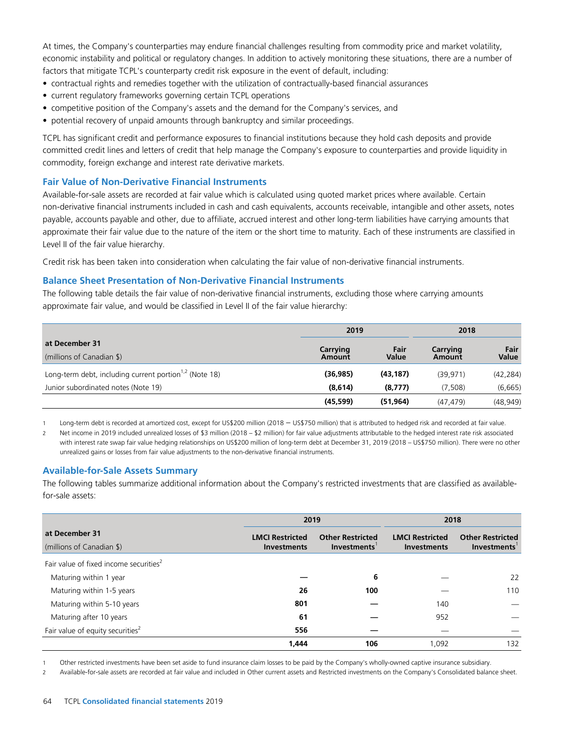At times, the Company's counterparties may endure financial challenges resulting from commodity price and market volatility, economic instability and political or regulatory changes. In addition to actively monitoring these situations, there are a number of factors that mitigate TCPL's counterparty credit risk exposure in the event of default, including:

- contractual rights and remedies together with the utilization of contractually-based financial assurances
- current regulatory frameworks governing certain TCPL operations
- competitive position of the Company's assets and the demand for the Company's services, and
- potential recovery of unpaid amounts through bankruptcy and similar proceedings.

TCPL has significant credit and performance exposures to financial institutions because they hold cash deposits and provide committed credit lines and letters of credit that help manage the Company's exposure to counterparties and provide liquidity in commodity, foreign exchange and interest rate derivative markets.

## **Fair Value of Non-Derivative Financial Instruments**

Available-for-sale assets are recorded at fair value which is calculated using quoted market prices where available. Certain non-derivative financial instruments included in cash and cash equivalents, accounts receivable, intangible and other assets, notes payable, accounts payable and other, due to affiliate, accrued interest and other long-term liabilities have carrying amounts that approximate their fair value due to the nature of the item or the short time to maturity. Each of these instruments are classified in Level II of the fair value hierarchy.

Credit risk has been taken into consideration when calculating the fair value of non-derivative financial instruments.

#### **Balance Sheet Presentation of Non-Derivative Financial Instruments**

The following table details the fair value of non-derivative financial instruments, excluding those where carrying amounts approximate fair value, and would be classified in Level II of the fair value hierarchy:

|                                                                    | 2019      | 2018         |          |           |
|--------------------------------------------------------------------|-----------|--------------|----------|-----------|
| at December 31                                                     | Carrying  | Fair         | Carrying | Fair      |
| (millions of Canadian \$)                                          | Amount    | <b>Value</b> | Amount   | Value     |
| Long-term debt, including current portion <sup>1,2</sup> (Note 18) | (36, 985) | (43, 187)    | (39.971) | (42, 284) |
| Junior subordinated notes (Note 19)                                | (8,614)   | (8, 777)     | (7,508)  | (6,665)   |
|                                                                    | (45, 599) | (51.964)     | (47.479) | (48, 949) |

<sup>1</sup> Long-term debt is recorded at amortized cost, except for US\$200 million (2018 – US\$750 million) that is attributed to hedged risk and recorded at fair value.

2 Net income in 2019 included unrealized losses of \$3 million (2018 – \$2 million) for fair value adjustments attributable to the hedged interest rate risk associated with interest rate swap fair value hedging relationships on US\$200 million of long-term debt at December 31, 2019 (2018 – US\$750 million). There were no other unrealized gains or losses from fair value adjustments to the non-derivative financial instruments.

## **Available-for-Sale Assets Summary**

The following tables summarize additional information about the Company's restricted investments that are classified as availablefor-sale assets:

|                                                    | 2019                                         |                                        | 2018                                         |                                        |  |
|----------------------------------------------------|----------------------------------------------|----------------------------------------|----------------------------------------------|----------------------------------------|--|
| at December 31<br>(millions of Canadian \$)        | <b>LMCI Restricted</b><br><b>Investments</b> | <b>Other Restricted</b><br>Investments | <b>LMCI Restricted</b><br><b>Investments</b> | <b>Other Restricted</b><br>Investments |  |
| Fair value of fixed income securities <sup>2</sup> |                                              |                                        |                                              |                                        |  |
| Maturing within 1 year                             |                                              | 6                                      |                                              | 22                                     |  |
| Maturing within 1-5 years                          | 26                                           | 100                                    |                                              | 110                                    |  |
| Maturing within 5-10 years                         | 801                                          |                                        | 140                                          |                                        |  |
| Maturing after 10 years                            | 61                                           |                                        | 952                                          |                                        |  |
| Fair value of equity securities <sup>2</sup>       | 556                                          |                                        |                                              |                                        |  |
|                                                    | 1,444                                        | 106                                    | 1,092                                        | 132                                    |  |

1 Other restricted investments have been set aside to fund insurance claim losses to be paid by the Company's wholly-owned captive insurance subsidiary.

2 Available-for-sale assets are recorded at fair value and included in Other current assets and Restricted investments on the Company's Consolidated balance sheet.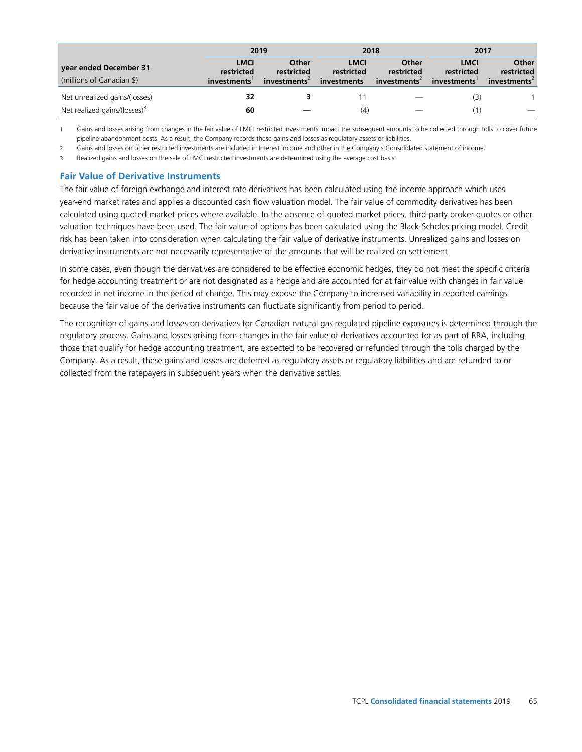|                                                     | 2019<br>2018                             |                                                 | 2017                                     |                                    |                                           |                                    |
|-----------------------------------------------------|------------------------------------------|-------------------------------------------------|------------------------------------------|------------------------------------|-------------------------------------------|------------------------------------|
| year ended December 31<br>(millions of Canadian \$) | <b>LMCI</b><br>restricted<br>investments | Other<br>restricted<br>investments <sup>2</sup> | <b>LMCI</b><br>restricted<br>investments | Other<br>restricted<br>investments | <b>LMCI</b><br>restricted<br>investments' | Other<br>restricted<br>investments |
| Net unrealized gains/(losses)                       | 32                                       |                                                 |                                          |                                    | (3)                                       |                                    |
| Net realized gains/(losses) $3$                     | 60                                       |                                                 | (4)                                      |                                    |                                           |                                    |

1 Gains and losses arising from changes in the fair value of LMCI restricted investments impact the subsequent amounts to be collected through tolls to cover future pipeline abandonment costs. As a result, the Company records these gains and losses as regulatory assets or liabilities.

2 Gains and losses on other restricted investments are included in Interest income and other in the Company's Consolidated statement of income.

Realized gains and losses on the sale of LMCI restricted investments are determined using the average cost basis.

## **Fair Value of Derivative Instruments**

The fair value of foreign exchange and interest rate derivatives has been calculated using the income approach which uses year-end market rates and applies a discounted cash flow valuation model. The fair value of commodity derivatives has been calculated using quoted market prices where available. In the absence of quoted market prices, third-party broker quotes or other valuation techniques have been used. The fair value of options has been calculated using the Black-Scholes pricing model. Credit risk has been taken into consideration when calculating the fair value of derivative instruments. Unrealized gains and losses on derivative instruments are not necessarily representative of the amounts that will be realized on settlement.

In some cases, even though the derivatives are considered to be effective economic hedges, they do not meet the specific criteria for hedge accounting treatment or are not designated as a hedge and are accounted for at fair value with changes in fair value recorded in net income in the period of change. This may expose the Company to increased variability in reported earnings because the fair value of the derivative instruments can fluctuate significantly from period to period.

The recognition of gains and losses on derivatives for Canadian natural gas regulated pipeline exposures is determined through the regulatory process. Gains and losses arising from changes in the fair value of derivatives accounted for as part of RRA, including those that qualify for hedge accounting treatment, are expected to be recovered or refunded through the tolls charged by the Company. As a result, these gains and losses are deferred as regulatory assets or regulatory liabilities and are refunded to or collected from the ratepayers in subsequent years when the derivative settles.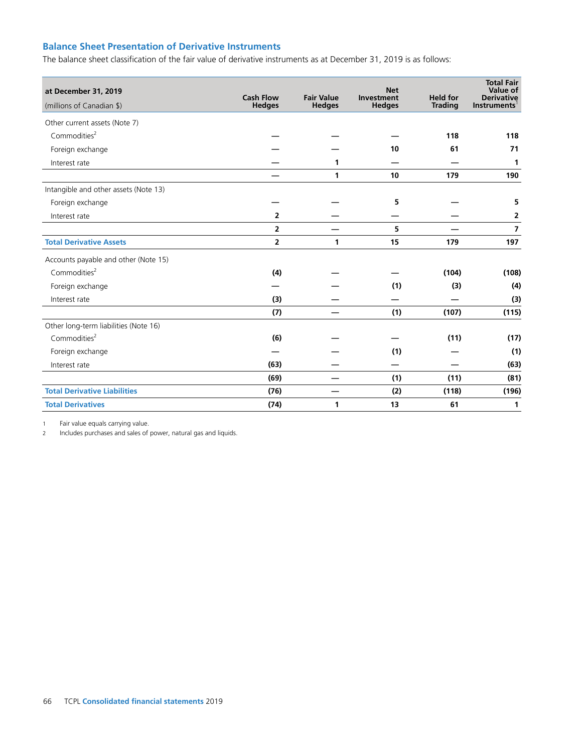## **Balance Sheet Presentation of Derivative Instruments**

The balance sheet classification of the fair value of derivative instruments as at December 31, 2019 is as follows:

| at December 31, 2019<br>(millions of Canadian \$) | <b>Cash Flow</b><br><b>Hedges</b> | <b>Fair Value</b><br><b>Hedges</b> | <b>Net</b><br>Investment<br><b>Hedges</b> | <b>Held for</b><br><b>Trading</b> | <b>Total Fair</b><br>Value of<br><b>Derivative</b><br><b>Instruments</b> |
|---------------------------------------------------|-----------------------------------|------------------------------------|-------------------------------------------|-----------------------------------|--------------------------------------------------------------------------|
| Other current assets (Note 7)                     |                                   |                                    |                                           |                                   |                                                                          |
| Commodities <sup>2</sup>                          |                                   |                                    |                                           | 118                               | 118                                                                      |
| Foreign exchange                                  |                                   |                                    | 10                                        | 61                                | 71                                                                       |
| Interest rate                                     |                                   | 1                                  |                                           |                                   | 1                                                                        |
|                                                   |                                   | $\mathbf{1}$                       | 10                                        | 179                               | 190                                                                      |
| Intangible and other assets (Note 13)             |                                   |                                    |                                           |                                   |                                                                          |
| Foreign exchange                                  |                                   |                                    | 5                                         |                                   | 5                                                                        |
| Interest rate                                     | $\overline{2}$                    |                                    |                                           |                                   | 2                                                                        |
|                                                   | $\overline{2}$                    |                                    | 5                                         |                                   | $\overline{7}$                                                           |
| <b>Total Derivative Assets</b>                    | 2                                 | 1                                  | 15                                        | 179                               | 197                                                                      |
| Accounts payable and other (Note 15)              |                                   |                                    |                                           |                                   |                                                                          |
| Commodities <sup>2</sup>                          | (4)                               |                                    |                                           | (104)                             | (108)                                                                    |
| Foreign exchange                                  |                                   |                                    | (1)                                       | (3)                               | (4)                                                                      |
| Interest rate                                     | (3)                               |                                    |                                           |                                   | (3)                                                                      |
|                                                   | (7)                               |                                    | (1)                                       | (107)                             | (115)                                                                    |
| Other long-term liabilities (Note 16)             |                                   |                                    |                                           |                                   |                                                                          |
| Commodities <sup>2</sup>                          | (6)                               |                                    |                                           | (11)                              | (17)                                                                     |
| Foreign exchange                                  |                                   |                                    | (1)                                       |                                   | (1)                                                                      |
| Interest rate                                     | (63)                              |                                    |                                           |                                   | (63)                                                                     |
|                                                   | (69)                              |                                    | (1)                                       | (11)                              | (81)                                                                     |
| <b>Total Derivative Liabilities</b>               | (76)                              |                                    | (2)                                       | (118)                             | (196)                                                                    |
| <b>Total Derivatives</b>                          | (74)                              | 1                                  | 13                                        | 61                                | 1                                                                        |

1 Fair value equals carrying value.

2 Includes purchases and sales of power, natural gas and liquids.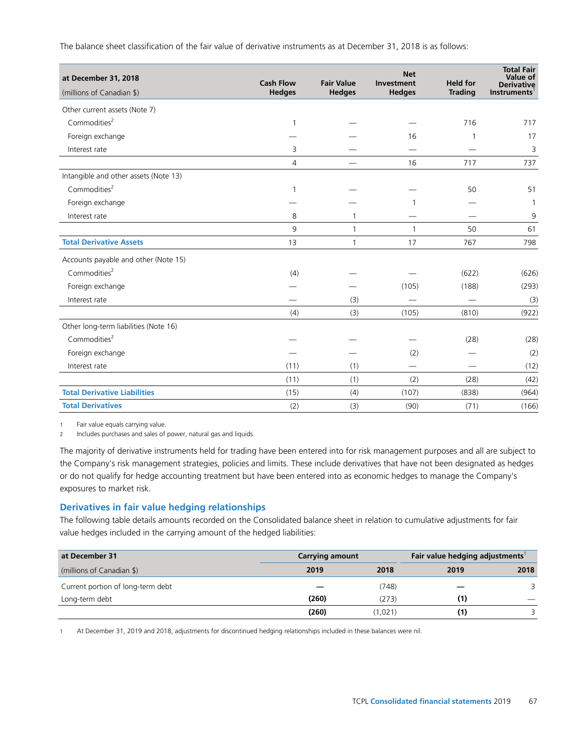The balance sheet classification of the fair value of derivative instruments as at December 31, 2018 is as follows:

| at December 31, 2018<br>(millions of Canadian \$) | <b>Cash Flow</b><br><b>Hedges</b> | <b>Fair Value</b><br><b>Hedges</b> | <b>Net</b><br>Investment<br><b>Hedges</b> | <b>Held for</b><br><b>Trading</b> | <b>Total Fair</b><br>Value of<br><b>Derivative</b><br><b>Instruments</b> |
|---------------------------------------------------|-----------------------------------|------------------------------------|-------------------------------------------|-----------------------------------|--------------------------------------------------------------------------|
| Other current assets (Note 7)                     |                                   |                                    |                                           |                                   |                                                                          |
| Commodities <sup>2</sup>                          | $\mathbf{1}$                      |                                    |                                           | 716                               | 717                                                                      |
| Foreign exchange                                  |                                   |                                    | 16                                        | 1                                 | 17                                                                       |
| Interest rate                                     | 3                                 |                                    |                                           |                                   | 3                                                                        |
|                                                   | $\overline{4}$                    |                                    | 16                                        | 717                               | 737                                                                      |
| Intangible and other assets (Note 13)             |                                   |                                    |                                           |                                   |                                                                          |
| Commodities <sup>2</sup>                          | $\mathbf{1}$                      |                                    |                                           | 50                                | 51                                                                       |
| Foreign exchange                                  |                                   |                                    |                                           |                                   | 1                                                                        |
| Interest rate                                     | 8                                 | 1                                  |                                           |                                   | 9                                                                        |
|                                                   | 9                                 | $\mathbf{1}$                       | $\mathbf{1}$                              | 50                                | 61                                                                       |
| <b>Total Derivative Assets</b>                    | 13                                | $\mathbf{1}$                       | 17                                        | 767                               | 798                                                                      |
| Accounts payable and other (Note 15)              |                                   |                                    |                                           |                                   |                                                                          |
| Commodities <sup>2</sup>                          | (4)                               |                                    |                                           | (622)                             | (626)                                                                    |
| Foreign exchange                                  |                                   |                                    | (105)                                     | (188)                             | (293)                                                                    |
| Interest rate                                     |                                   | (3)                                |                                           |                                   | (3)                                                                      |
|                                                   | (4)                               | (3)                                | (105)                                     | (810)                             | (922)                                                                    |
| Other long-term liabilities (Note 16)             |                                   |                                    |                                           |                                   |                                                                          |
| Commodities <sup>2</sup>                          |                                   |                                    |                                           | (28)                              | (28)                                                                     |
| Foreign exchange                                  |                                   |                                    | (2)                                       |                                   | (2)                                                                      |
| Interest rate                                     | (11)                              | (1)                                |                                           |                                   | (12)                                                                     |
|                                                   | (11)                              | (1)                                | (2)                                       | (28)                              | (42)                                                                     |
| <b>Total Derivative Liabilities</b>               | (15)                              | (4)                                | (107)                                     | (838)                             | (964)                                                                    |
| <b>Total Derivatives</b>                          | (2)                               | (3)                                | (90)                                      | (71)                              | (166)                                                                    |

1 Fair value equals carrying value.

2 Includes purchases and sales of power, natural gas and liquids.

The majority of derivative instruments held for trading have been entered into for risk management purposes and all are subject to the Company's risk management strategies, policies and limits. These include derivatives that have not been designated as hedges or do not qualify for hedge accounting treatment but have been entered into as economic hedges to manage the Company's exposures to market risk.

## **Derivatives in fair value hedging relationships**

The following table details amounts recorded on the Consolidated balance sheet in relation to cumulative adjustments for fair value hedges included in the carrying amount of the hedged liabilities:

| at December 31                    | <b>Carrying amount</b> |         | Fair value hedging adjustments |      |
|-----------------------------------|------------------------|---------|--------------------------------|------|
| (millions of Canadian \$)         | 2019                   | 2018    | 2019                           | 2018 |
| Current portion of long-term debt |                        | (748)   |                                | 3    |
| Long-term debt                    | (260)                  | (273)   | (1)                            |      |
|                                   | (260)                  | (1.021) | (1)                            |      |

1 At December 31, 2019 and 2018, adjustments for discontinued hedging relationships included in these balances were nil.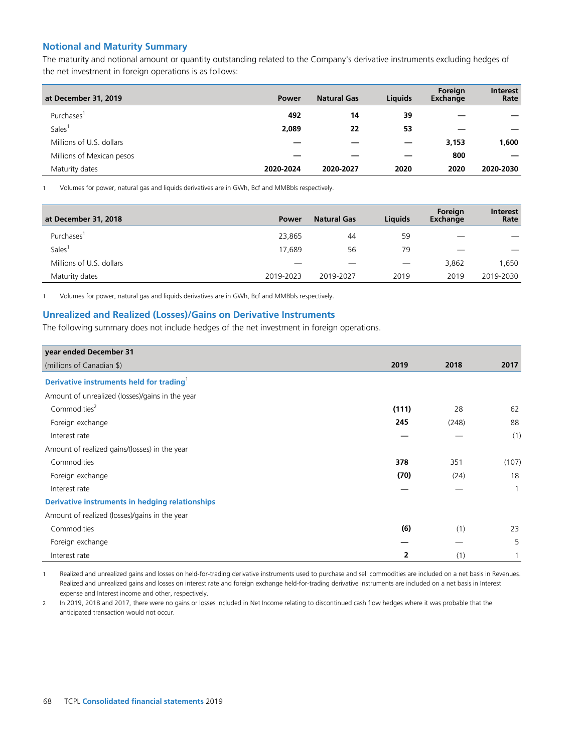## **Notional and Maturity Summary**

The maturity and notional amount or quantity outstanding related to the Company's derivative instruments excluding hedges of the net investment in foreign operations is as follows:

| at December 31, 2019      | Power     | <b>Natural Gas</b> | <b>Liquids</b> | Foreign<br>Exchange | <b>Interest</b><br>Rate |
|---------------------------|-----------|--------------------|----------------|---------------------|-------------------------|
| Purchases <sup>1</sup>    | 492       | 14                 | 39             |                     |                         |
| Sales <sup>1</sup>        | 2,089     | 22                 | 53             |                     |                         |
| Millions of U.S. dollars  |           |                    |                | 3,153               | 1,600                   |
| Millions of Mexican pesos |           |                    |                | 800                 |                         |
| Maturity dates            | 2020-2024 | 2020-2027          | 2020           | 2020                | 2020-2030               |

1 Volumes for power, natural gas and liquids derivatives are in GWh, Bcf and MMBbls respectively.

| at December 31, 2018     | Power     | <b>Natural Gas</b>       | Liquids                  | Foreign<br>Exchange | <b>Interest</b><br>Rate |
|--------------------------|-----------|--------------------------|--------------------------|---------------------|-------------------------|
| Purchases'               | 23,865    | 44                       | 59                       | _                   |                         |
| Sales <sup>1</sup>       | 17,689    | 56                       | 79                       | _                   |                         |
| Millions of U.S. dollars | __        | $\overline{\phantom{a}}$ | $\overline{\phantom{a}}$ | 3,862               | 1.650                   |
| Maturity dates           | 2019-2023 | 2019-2027                | 2019                     | 2019                | 2019-2030               |

1 Volumes for power, natural gas and liquids derivatives are in GWh, Bcf and MMBbls respectively.

## **Unrealized and Realized (Losses)/Gains on Derivative Instruments**

The following summary does not include hedges of the net investment in foreign operations.

| year ended December 31                                 |                |       |              |
|--------------------------------------------------------|----------------|-------|--------------|
| (millions of Canadian \$)                              | 2019           | 2018  | 2017         |
| Derivative instruments held for trading <sup>1</sup>   |                |       |              |
| Amount of unrealized (losses)/gains in the year        |                |       |              |
| Commodities <sup>2</sup>                               | (111)          | 28    | 62           |
| Foreign exchange                                       | 245            | (248) | 88           |
| Interest rate                                          |                |       | (1)          |
| Amount of realized gains/(losses) in the year          |                |       |              |
| Commodities                                            | 378            | 351   | (107)        |
| Foreign exchange                                       | (70)           | (24)  | 18           |
| Interest rate                                          |                |       | $\mathbf{1}$ |
| <b>Derivative instruments in hedging relationships</b> |                |       |              |
| Amount of realized (losses)/gains in the year          |                |       |              |
| Commodities                                            | (6)            | (1)   | 23           |
| Foreign exchange                                       |                |       | 5            |
| Interest rate                                          | $\overline{2}$ | (1)   |              |

1 Realized and unrealized gains and losses on held-for-trading derivative instruments used to purchase and sell commodities are included on a net basis in Revenues. Realized and unrealized gains and losses on interest rate and foreign exchange held-for-trading derivative instruments are included on a net basis in Interest expense and Interest income and other, respectively.

2 In 2019, 2018 and 2017, there were no gains or losses included in Net Income relating to discontinued cash flow hedges where it was probable that the anticipated transaction would not occur.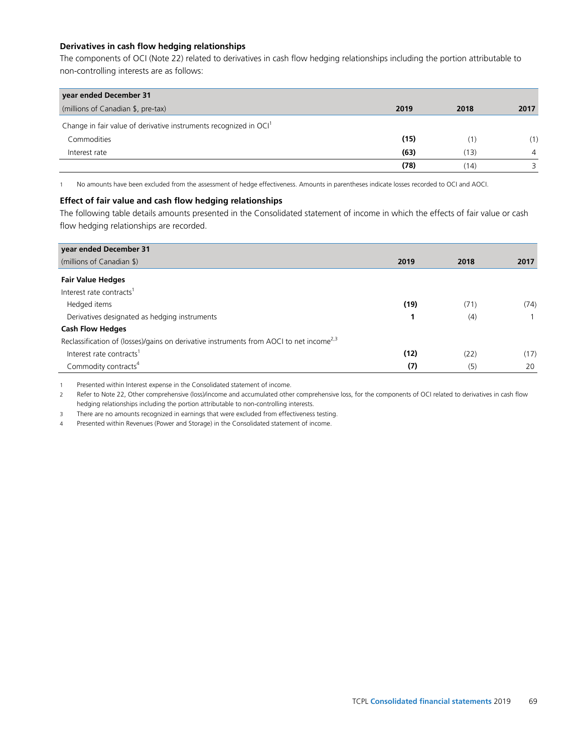#### **Derivatives in cash flow hedging relationships**

The components of OCI (Note 22) related to derivatives in cash flow hedging relationships including the portion attributable to non-controlling interests are as follows:

| year ended December 31                                                        |      |      |      |
|-------------------------------------------------------------------------------|------|------|------|
| (millions of Canadian \$, pre-tax)                                            | 2019 | 2018 | 2017 |
| Change in fair value of derivative instruments recognized in OCI <sup>1</sup> |      |      |      |
| Commodities                                                                   | (15) | (1)  | (1)  |
| Interest rate                                                                 | (63) | (13) | 4    |
|                                                                               | (78) | (14) |      |

1 No amounts have been excluded from the assessment of hedge effectiveness. Amounts in parentheses indicate losses recorded to OCI and AOCI.

#### **Effect of fair value and cash flow hedging relationships**

The following table details amounts presented in the Consolidated statement of income in which the effects of fair value or cash flow hedging relationships are recorded.

| year ended December 31                                                                              |      |      |      |  |
|-----------------------------------------------------------------------------------------------------|------|------|------|--|
| (millions of Canadian \$)                                                                           | 2019 | 2018 | 2017 |  |
| <b>Fair Value Hedges</b>                                                                            |      |      |      |  |
| Interest rate contracts <sup>1</sup>                                                                |      |      |      |  |
| Hedged items                                                                                        | (19) | (71) | (74) |  |
| Derivatives designated as hedging instruments                                                       |      | (4)  |      |  |
| <b>Cash Flow Hedges</b>                                                                             |      |      |      |  |
| Reclassification of (losses)/gains on derivative instruments from AOCI to net income <sup>2,3</sup> |      |      |      |  |
| Interest rate contracts <sup>1</sup>                                                                | (12) | (22) | (17) |  |
| Commodity contracts <sup>4</sup>                                                                    | (7)  | (5)  | 20   |  |

1 Presented within Interest expense in the Consolidated statement of income.

2 Refer to Note 22, Other comprehensive (loss)/income and accumulated other comprehensive loss, for the components of OCI related to derivatives in cash flow hedging relationships including the portion attributable to non-controlling interests.

3 There are no amounts recognized in earnings that were excluded from effectiveness testing.

4 Presented within Revenues (Power and Storage) in the Consolidated statement of income.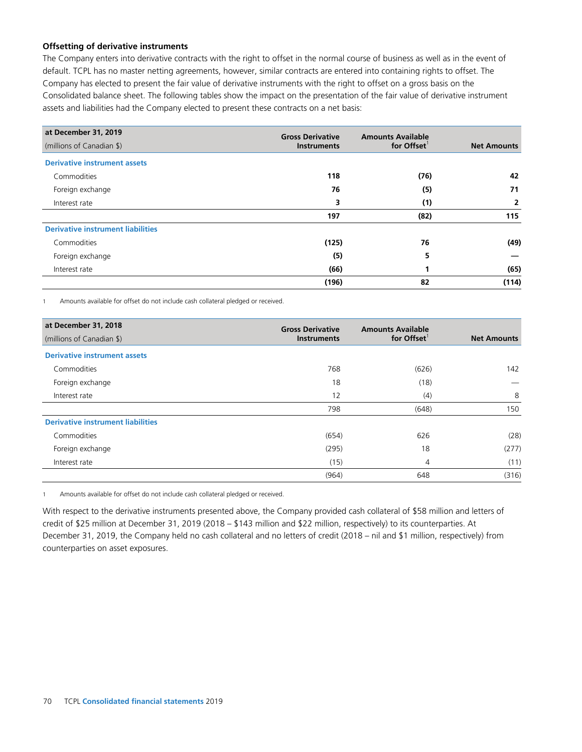#### **Offsetting of derivative instruments**

The Company enters into derivative contracts with the right to offset in the normal course of business as well as in the event of default. TCPL has no master netting agreements, however, similar contracts are entered into containing rights to offset. The Company has elected to present the fair value of derivative instruments with the right to offset on a gross basis on the Consolidated balance sheet. The following tables show the impact on the presentation of the fair value of derivative instrument assets and liabilities had the Company elected to present these contracts on a net basis:

| at December 31, 2019                     | <b>Gross Derivative</b> | <b>Amounts Available</b> |                    |  |
|------------------------------------------|-------------------------|--------------------------|--------------------|--|
| (millions of Canadian \$)                | <b>Instruments</b>      | for Offset <sup>1</sup>  | <b>Net Amounts</b> |  |
| <b>Derivative instrument assets</b>      |                         |                          |                    |  |
| Commodities                              | 118                     | (76)                     | 42                 |  |
| Foreign exchange                         | 76                      | (5)                      | 71                 |  |
| Interest rate                            | 3                       | (1)                      | 2                  |  |
|                                          | 197                     | (82)                     | 115                |  |
| <b>Derivative instrument liabilities</b> |                         |                          |                    |  |
| Commodities                              | (125)                   | 76                       | (49)               |  |
| Foreign exchange                         | (5)                     | 5                        |                    |  |
| Interest rate                            | (66)                    | 1                        | (65)               |  |
|                                          | (196)                   | 82                       | (114)              |  |

1 Amounts available for offset do not include cash collateral pledged or received.

| at December 31, 2018                     | <b>Gross Derivative</b> | <b>Amounts Available</b> |                    |  |
|------------------------------------------|-------------------------|--------------------------|--------------------|--|
| (millions of Canadian \$)                | <b>Instruments</b>      | for Offset <sup>1</sup>  | <b>Net Amounts</b> |  |
| <b>Derivative instrument assets</b>      |                         |                          |                    |  |
| Commodities                              | 768                     | (626)                    | 142                |  |
| Foreign exchange                         | 18                      | (18)                     |                    |  |
| Interest rate                            | 12                      | (4)                      | 8                  |  |
|                                          | 798                     | (648)                    | 150                |  |
| <b>Derivative instrument liabilities</b> |                         |                          |                    |  |
| Commodities                              | (654)                   | 626                      | (28)               |  |
| Foreign exchange                         | (295)                   | 18                       | (277)              |  |
| Interest rate                            | (15)                    | 4                        | (11)               |  |
|                                          | (964)                   | 648                      | (316)              |  |

1 Amounts available for offset do not include cash collateral pledged or received.

With respect to the derivative instruments presented above, the Company provided cash collateral of \$58 million and letters of credit of \$25 million at December 31, 2019 (2018 – \$143 million and \$22 million, respectively) to its counterparties. At December 31, 2019, the Company held no cash collateral and no letters of credit (2018 – nil and \$1 million, respectively) from counterparties on asset exposures.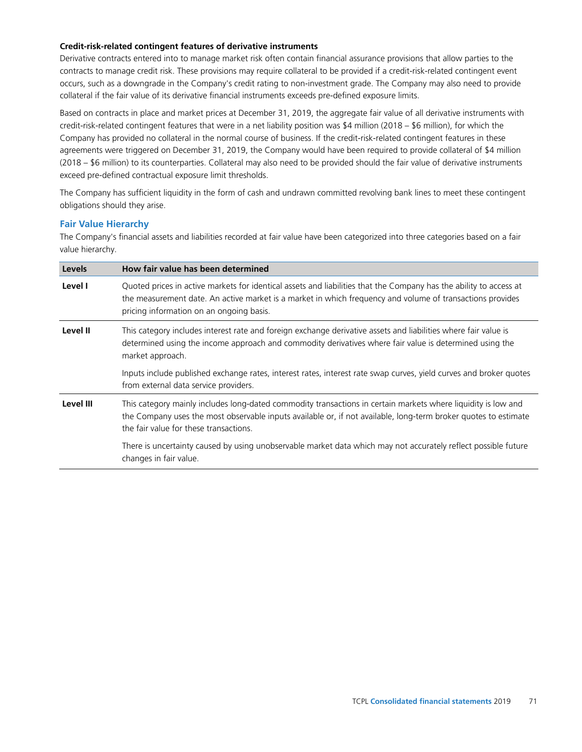#### **Credit-risk-related contingent features of derivative instruments**

Derivative contracts entered into to manage market risk often contain financial assurance provisions that allow parties to the contracts to manage credit risk. These provisions may require collateral to be provided if a credit-risk-related contingent event occurs, such as a downgrade in the Company's credit rating to non-investment grade. The Company may also need to provide collateral if the fair value of its derivative financial instruments exceeds pre-defined exposure limits.

Based on contracts in place and market prices at December 31, 2019, the aggregate fair value of all derivative instruments with credit-risk-related contingent features that were in a net liability position was \$4 million (2018 – \$6 million), for which the Company has provided no collateral in the normal course of business. If the credit-risk-related contingent features in these agreements were triggered on December 31, 2019, the Company would have been required to provide collateral of \$4 million (2018 – \$6 million) to its counterparties. Collateral may also need to be provided should the fair value of derivative instruments exceed pre-defined contractual exposure limit thresholds.

The Company has sufficient liquidity in the form of cash and undrawn committed revolving bank lines to meet these contingent obligations should they arise.

#### **Fair Value Hierarchy**

The Company's financial assets and liabilities recorded at fair value have been categorized into three categories based on a fair value hierarchy.

| <b>Levels</b> | How fair value has been determined                                                                                                                                                                                                                                          |
|---------------|-----------------------------------------------------------------------------------------------------------------------------------------------------------------------------------------------------------------------------------------------------------------------------|
| Level I       | Quoted prices in active markets for identical assets and liabilities that the Company has the ability to access at<br>the measurement date. An active market is a market in which frequency and volume of transactions provides<br>pricing information on an ongoing basis. |
| Level II      | This category includes interest rate and foreign exchange derivative assets and liabilities where fair value is<br>determined using the income approach and commodity derivatives where fair value is determined using the<br>market approach.                              |
|               | Inputs include published exchange rates, interest rates, interest rate swap curves, yield curves and broker quotes<br>from external data service providers.                                                                                                                 |
| Level III     | This category mainly includes long-dated commodity transactions in certain markets where liquidity is low and<br>the Company uses the most observable inputs available or, if not available, long-term broker quotes to estimate<br>the fair value for these transactions.  |
|               | There is uncertainty caused by using unobservable market data which may not accurately reflect possible future<br>changes in fair value.                                                                                                                                    |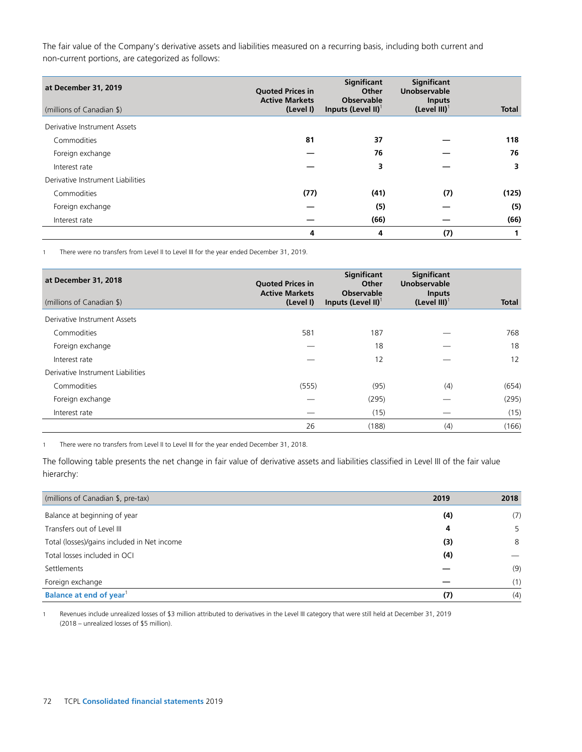The fair value of the Company's derivative assets and liabilities measured on a recurring basis, including both current and non-current portions, are categorized as follows:

| at December 31, 2019<br>(millions of Canadian \$) | <b>Quoted Prices in</b><br><b>Active Markets</b><br>(Level I) | Significant<br>Other<br><b>Observable</b><br>Inputs (Level II) $^1$ | <b>Significant</b><br><b>Unobservable</b><br><b>Inputs</b><br>(Level $III$ ) <sup>1</sup> | <b>Total</b> |
|---------------------------------------------------|---------------------------------------------------------------|---------------------------------------------------------------------|-------------------------------------------------------------------------------------------|--------------|
| Derivative Instrument Assets                      |                                                               |                                                                     |                                                                                           |              |
| Commodities                                       | 81                                                            | 37                                                                  |                                                                                           | 118          |
| Foreign exchange                                  |                                                               | 76                                                                  |                                                                                           | 76           |
| Interest rate                                     |                                                               | 3                                                                   |                                                                                           | 3            |
| Derivative Instrument Liabilities                 |                                                               |                                                                     |                                                                                           |              |
| Commodities                                       | (77)                                                          | (41)                                                                | (7)                                                                                       | (125)        |
| Foreign exchange                                  |                                                               | (5)                                                                 |                                                                                           | (5)          |
| Interest rate                                     |                                                               | (66)                                                                |                                                                                           | (66)         |
|                                                   | 4                                                             | 4                                                                   | (7)                                                                                       | $\mathbf{1}$ |

1 There were no transfers from Level II to Level III for the year ended December 31, 2019.

| at December 31, 2018              | <b>Quoted Prices in</b><br><b>Active Markets</b> | <b>Significant</b><br>Other<br><b>Observable</b> | Significant<br><b>Unobservable</b><br><b>Inputs</b> |              |
|-----------------------------------|--------------------------------------------------|--------------------------------------------------|-----------------------------------------------------|--------------|
| (millions of Canadian \$)         | (Level I)                                        | Inputs (Level II) $^1$                           | (Level III) $^1$                                    | <b>Total</b> |
| Derivative Instrument Assets      |                                                  |                                                  |                                                     |              |
| Commodities                       | 581                                              | 187                                              |                                                     | 768          |
| Foreign exchange                  |                                                  | 18                                               |                                                     | 18           |
| Interest rate                     |                                                  | 12                                               |                                                     | 12           |
| Derivative Instrument Liabilities |                                                  |                                                  |                                                     |              |
| Commodities                       | (555)                                            | (95)                                             | (4)                                                 | (654)        |
| Foreign exchange                  |                                                  | (295)                                            |                                                     | (295)        |
| Interest rate                     |                                                  | (15)                                             |                                                     | (15)         |
|                                   | 26                                               | (188)                                            | (4)                                                 | (166)        |

1 There were no transfers from Level II to Level III for the year ended December 31, 2018.

The following table presents the net change in fair value of derivative assets and liabilities classified in Level III of the fair value hierarchy:

| (millions of Canadian \$, pre-tax)          | 2019 | 2018 |
|---------------------------------------------|------|------|
| Balance at beginning of year                | (4)  | (7)  |
| Transfers out of Level III                  | 4    | 5.   |
| Total (losses)/gains included in Net income | (3)  | 8    |
| Total losses included in OCI                | (4)  |      |
| Settlements                                 |      | (9)  |
| Foreign exchange                            |      | (1)  |
| Balance at end of year <sup>1</sup>         | (7)  | (4)  |

1 Revenues include unrealized losses of \$3 million attributed to derivatives in the Level III category that were still held at December 31, 2019 (2018 – unrealized losses of \$5 million).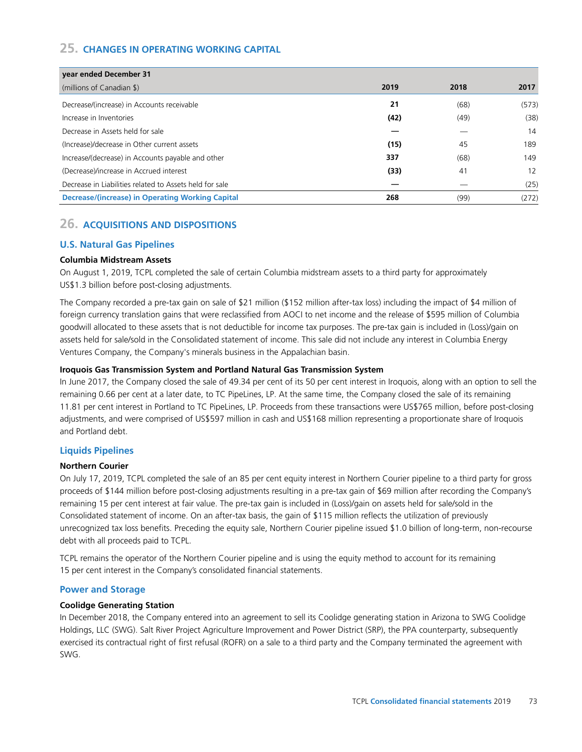# **25. CHANGES IN OPERATING WORKING CAPITAL**

| year ended December 31                                  |      |      |       |
|---------------------------------------------------------|------|------|-------|
| (millions of Canadian \$)                               | 2019 | 2018 | 2017  |
| Decrease/(increase) in Accounts receivable              | 21   | (68) | (573) |
| Increase in Inventories                                 | (42) | (49) | (38)  |
| Decrease in Assets held for sale                        |      |      | 14    |
| (Increase)/decrease in Other current assets             | (15) | 45   | 189   |
| Increase/(decrease) in Accounts payable and other       | 337  | (68) | 149   |
| (Decrease)/increase in Accrued interest                 | (33) | 41   | 12    |
| Decrease in Liabilities related to Assets held for sale |      |      | (25)  |
| Decrease/(increase) in Operating Working Capital        | 268  | (99) | (272) |

## **26. ACQUISITIONS AND DISPOSITIONS**

## **U.S. Natural Gas Pipelines**

## **Columbia Midstream Assets**

On August 1, 2019, TCPL completed the sale of certain Columbia midstream assets to a third party for approximately US\$1.3 billion before post-closing adjustments.

The Company recorded a pre-tax gain on sale of \$21 million (\$152 million after-tax loss) including the impact of \$4 million of foreign currency translation gains that were reclassified from AOCI to net income and the release of \$595 million of Columbia goodwill allocated to these assets that is not deductible for income tax purposes. The pre-tax gain is included in (Loss)/gain on assets held for sale/sold in the Consolidated statement of income. This sale did not include any interest in Columbia Energy Ventures Company, the Company's minerals business in the Appalachian basin.

## **Iroquois Gas Transmission System and Portland Natural Gas Transmission System**

In June 2017, the Company closed the sale of 49.34 per cent of its 50 per cent interest in Iroquois, along with an option to sell the remaining 0.66 per cent at a later date, to TC PipeLines, LP. At the same time, the Company closed the sale of its remaining 11.81 per cent interest in Portland to TC PipeLines, LP. Proceeds from these transactions were US\$765 million, before post-closing adjustments, and were comprised of US\$597 million in cash and US\$168 million representing a proportionate share of Iroquois and Portland debt.

## **Liquids Pipelines**

#### **Northern Courier**

On July 17, 2019, TCPL completed the sale of an 85 per cent equity interest in Northern Courier pipeline to a third party for gross proceeds of \$144 million before post-closing adjustments resulting in a pre-tax gain of \$69 million after recording the Company's remaining 15 per cent interest at fair value. The pre-tax gain is included in (Loss)/gain on assets held for sale/sold in the Consolidated statement of income. On an after-tax basis, the gain of \$115 million reflects the utilization of previously unrecognized tax loss benefits. Preceding the equity sale, Northern Courier pipeline issued \$1.0 billion of long-term, non-recourse debt with all proceeds paid to TCPL.

TCPL remains the operator of the Northern Courier pipeline and is using the equity method to account for its remaining 15 per cent interest in the Company's consolidated financial statements.

## **Power and Storage**

#### **Coolidge Generating Station**

In December 2018, the Company entered into an agreement to sell its Coolidge generating station in Arizona to SWG Coolidge Holdings, LLC (SWG). Salt River Project Agriculture Improvement and Power District (SRP), the PPA counterparty, subsequently exercised its contractual right of first refusal (ROFR) on a sale to a third party and the Company terminated the agreement with SWG.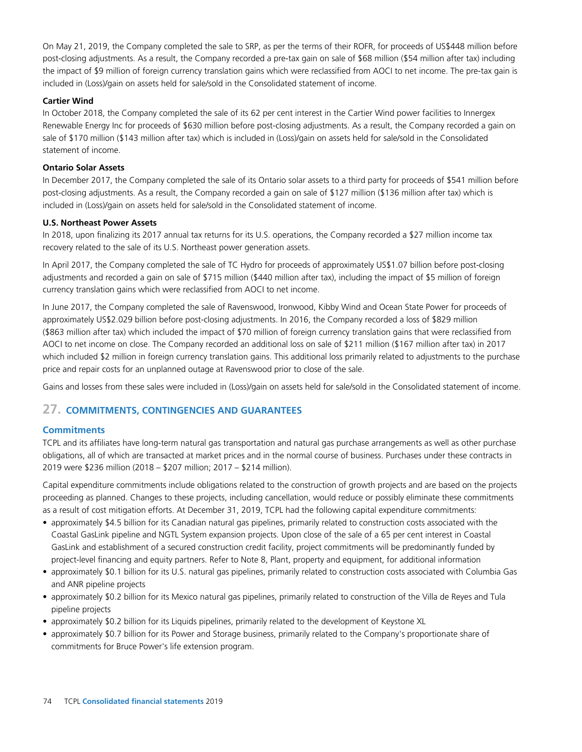On May 21, 2019, the Company completed the sale to SRP, as per the terms of their ROFR, for proceeds of US\$448 million before post-closing adjustments. As a result, the Company recorded a pre-tax gain on sale of \$68 million (\$54 million after tax) including the impact of \$9 million of foreign currency translation gains which were reclassified from AOCI to net income. The pre-tax gain is included in (Loss)/gain on assets held for sale/sold in the Consolidated statement of income.

## **Cartier Wind**

In October 2018, the Company completed the sale of its 62 per cent interest in the Cartier Wind power facilities to Innergex Renewable Energy Inc for proceeds of \$630 million before post-closing adjustments. As a result, the Company recorded a gain on sale of \$170 million (\$143 million after tax) which is included in (Loss)/gain on assets held for sale/sold in the Consolidated statement of income.

#### **Ontario Solar Assets**

In December 2017, the Company completed the sale of its Ontario solar assets to a third party for proceeds of \$541 million before post-closing adjustments. As a result, the Company recorded a gain on sale of \$127 million (\$136 million after tax) which is included in (Loss)/gain on assets held for sale/sold in the Consolidated statement of income.

#### **U.S. Northeast Power Assets**

In 2018, upon finalizing its 2017 annual tax returns for its U.S. operations, the Company recorded a \$27 million income tax recovery related to the sale of its U.S. Northeast power generation assets.

In April 2017, the Company completed the sale of TC Hydro for proceeds of approximately US\$1.07 billion before post-closing adjustments and recorded a gain on sale of \$715 million (\$440 million after tax), including the impact of \$5 million of foreign currency translation gains which were reclassified from AOCI to net income.

In June 2017, the Company completed the sale of Ravenswood, Ironwood, Kibby Wind and Ocean State Power for proceeds of approximately US\$2.029 billion before post-closing adjustments. In 2016, the Company recorded a loss of \$829 million (\$863 million after tax) which included the impact of \$70 million of foreign currency translation gains that were reclassified from AOCI to net income on close. The Company recorded an additional loss on sale of \$211 million (\$167 million after tax) in 2017 which included \$2 million in foreign currency translation gains. This additional loss primarily related to adjustments to the purchase price and repair costs for an unplanned outage at Ravenswood prior to close of the sale.

Gains and losses from these sales were included in (Loss)/gain on assets held for sale/sold in the Consolidated statement of income.

# **27. COMMITMENTS, CONTINGENCIES AND GUARANTEES**

## **Commitments**

TCPL and its affiliates have long-term natural gas transportation and natural gas purchase arrangements as well as other purchase obligations, all of which are transacted at market prices and in the normal course of business. Purchases under these contracts in 2019 were \$236 million (2018 – \$207 million; 2017 – \$214 million).

Capital expenditure commitments include obligations related to the construction of growth projects and are based on the projects proceeding as planned. Changes to these projects, including cancellation, would reduce or possibly eliminate these commitments as a result of cost mitigation efforts. At December 31, 2019, TCPL had the following capital expenditure commitments:

- approximately \$4.5 billion for its Canadian natural gas pipelines, primarily related to construction costs associated with the Coastal GasLink pipeline and NGTL System expansion projects. Upon close of the sale of a 65 per cent interest in Coastal GasLink and establishment of a secured construction credit facility, project commitments will be predominantly funded by project-level financing and equity partners. Refer to Note 8, Plant, property and equipment, for additional information
- approximately \$0.1 billion for its U.S. natural gas pipelines, primarily related to construction costs associated with Columbia Gas and ANR pipeline projects
- approximately \$0.2 billion for its Mexico natural gas pipelines, primarily related to construction of the Villa de Reyes and Tula pipeline projects
- approximately \$0.2 billion for its Liquids pipelines, primarily related to the development of Keystone XL
- approximately \$0.7 billion for its Power and Storage business, primarily related to the Company's proportionate share of commitments for Bruce Power's life extension program.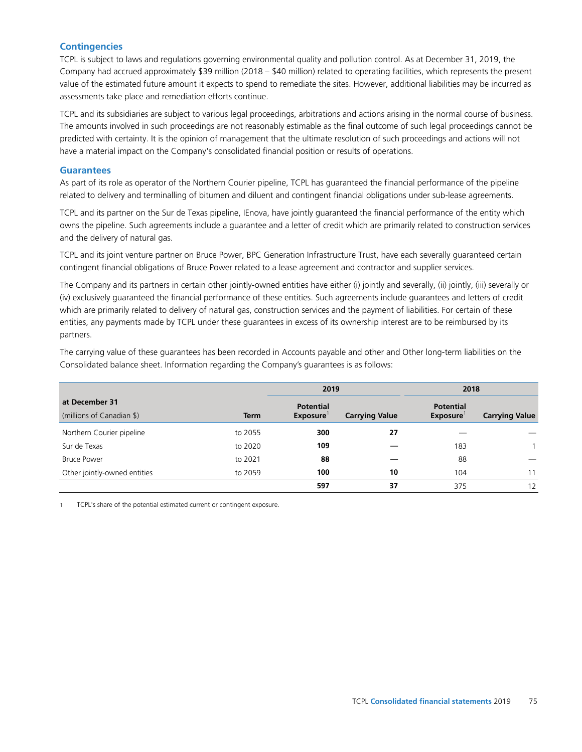## **Contingencies**

TCPL is subject to laws and regulations governing environmental quality and pollution control. As at December 31, 2019, the Company had accrued approximately \$39 million (2018 – \$40 million) related to operating facilities, which represents the present value of the estimated future amount it expects to spend to remediate the sites. However, additional liabilities may be incurred as assessments take place and remediation efforts continue.

TCPL and its subsidiaries are subject to various legal proceedings, arbitrations and actions arising in the normal course of business. The amounts involved in such proceedings are not reasonably estimable as the final outcome of such legal proceedings cannot be predicted with certainty. It is the opinion of management that the ultimate resolution of such proceedings and actions will not have a material impact on the Company's consolidated financial position or results of operations.

#### **Guarantees**

As part of its role as operator of the Northern Courier pipeline, TCPL has guaranteed the financial performance of the pipeline related to delivery and terminalling of bitumen and diluent and contingent financial obligations under sub-lease agreements.

TCPL and its partner on the Sur de Texas pipeline, IEnova, have jointly guaranteed the financial performance of the entity which owns the pipeline. Such agreements include a guarantee and a letter of credit which are primarily related to construction services and the delivery of natural gas.

TCPL and its joint venture partner on Bruce Power, BPC Generation Infrastructure Trust, have each severally guaranteed certain contingent financial obligations of Bruce Power related to a lease agreement and contractor and supplier services.

The Company and its partners in certain other jointly-owned entities have either (i) jointly and severally, (ii) jointly, (iii) severally or (iv) exclusively guaranteed the financial performance of these entities. Such agreements include guarantees and letters of credit which are primarily related to delivery of natural gas, construction services and the payment of liabilities. For certain of these entities, any payments made by TCPL under these guarantees in excess of its ownership interest are to be reimbursed by its partners.

The carrying value of these guarantees has been recorded in Accounts payable and other and Other long-term liabilities on the Consolidated balance sheet. Information regarding the Company's guarantees is as follows:

|                              |             | 2019             |                       | 2018             |                       |
|------------------------------|-------------|------------------|-----------------------|------------------|-----------------------|
| at December 31               |             | <b>Potential</b> |                       | <b>Potential</b> |                       |
| (millions of Canadian \$)    | <b>Term</b> | <b>Exposure</b>  | <b>Carrying Value</b> | <b>Exposure</b>  | <b>Carrying Value</b> |
| Northern Courier pipeline    | to 2055     | 300              | 27                    |                  |                       |
| Sur de Texas                 | to 2020     | 109              |                       | 183              | 1.                    |
| <b>Bruce Power</b>           | to 2021     | 88               |                       | 88               |                       |
| Other jointly-owned entities | to 2059     | 100              | 10                    | 104              | 11                    |
|                              |             | 597              | 37                    | 375              | 12                    |

1 TCPL's share of the potential estimated current or contingent exposure.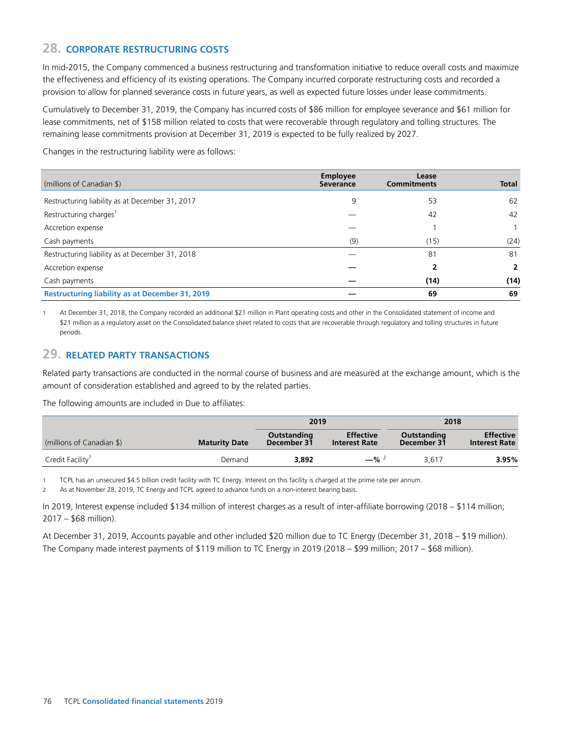## **28. CORPORATE RESTRUCTURING COSTS**

In mid-2015, the Company commenced a business restructuring and transformation initiative to reduce overall costs and maximize the effectiveness and efficiency of its existing operations. The Company incurred corporate restructuring costs and recorded a provision to allow for planned severance costs in future years, as well as expected future losses under lease commitments.

Cumulatively to December 31, 2019, the Company has incurred costs of \$86 million for employee severance and \$61 million for lease commitments, net of \$158 million related to costs that were recoverable through regulatory and tolling structures. The remaining lease commitments provision at December 31, 2019 is expected to be fully realized by 2027.

Changes in the restructuring liability were as follows:

| (millions of Canadian \$)                              | <b>Employee</b><br><b>Severance</b> | Lease<br><b>Commitments</b> | <b>Total</b> |
|--------------------------------------------------------|-------------------------------------|-----------------------------|--------------|
| Restructuring liability as at December 31, 2017        | 9                                   | 53                          | 62           |
| Restructuring charges <sup>1</sup>                     |                                     | 42                          | 42           |
| Accretion expense                                      |                                     |                             |              |
| Cash payments                                          | (9)                                 | (15)                        | (24)         |
| Restructuring liability as at December 31, 2018        |                                     | 81                          | 81           |
| Accretion expense                                      |                                     |                             | 2            |
| Cash payments                                          |                                     | (14)                        | (14)         |
| <b>Restructuring liability as at December 31, 2019</b> |                                     | 69                          | 69           |

At December 31, 2018, the Company recorded an additional \$21 million in Plant operating costs and other in the Consolidated statement of income and \$21 million as a regulatory asset on the Consolidated balance sheet related to costs that are recoverable through regulatory and tolling structures in future periods.

## **29. RELATED PARTY TRANSACTIONS**

Related party transactions are conducted in the normal course of business and are measured at the exchange amount, which is the amount of consideration established and agreed to by the related parties.

The following amounts are included in Due to affiliates:

|                              |                      | 2019                       |                                          | 2018                       |                                          |
|------------------------------|----------------------|----------------------------|------------------------------------------|----------------------------|------------------------------------------|
| (millions of Canadian \$)    | <b>Maturity Date</b> | Outstanding<br>December 31 | <b>Effective</b><br><b>Interest Rate</b> | Outstanding<br>December 31 | <b>Effective</b><br><b>Interest Rate</b> |
| Credit Facility <sup>1</sup> | Demand               | 3.892                      | $-$ % <sup>2</sup>                       | 3.617                      | 3.95%                                    |

1 TCPL has an unsecured \$4.5 billion credit facility with TC Energy. Interest on this facility is charged at the prime rate per annum.

2 As at November 28, 2019, TC Energy and TCPL agreed to advance funds on a non-interest bearing basis.

In 2019, Interest expense included \$134 million of interest charges as a result of inter-affiliate borrowing (2018 – \$114 million; 2017 – \$68 million).

At December 31, 2019, Accounts payable and other included \$20 million due to TC Energy (December 31, 2018 – \$19 million). The Company made interest payments of \$119 million to TC Energy in 2019 (2018 – \$99 million; 2017 – \$68 million).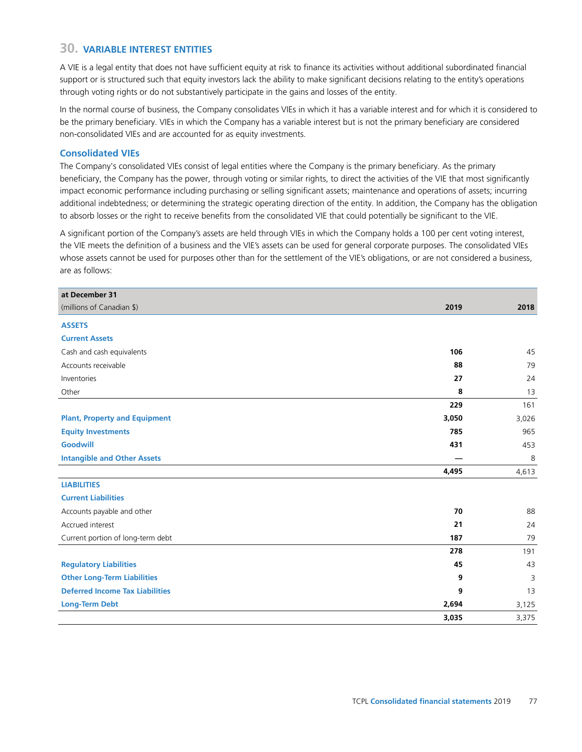# **30. VARIABLE INTEREST ENTITIES**

A VIE is a legal entity that does not have sufficient equity at risk to finance its activities without additional subordinated financial support or is structured such that equity investors lack the ability to make significant decisions relating to the entity's operations through voting rights or do not substantively participate in the gains and losses of the entity.

In the normal course of business, the Company consolidates VIEs in which it has a variable interest and for which it is considered to be the primary beneficiary. VIEs in which the Company has a variable interest but is not the primary beneficiary are considered non-consolidated VIEs and are accounted for as equity investments.

#### **Consolidated VIEs**

The Company's consolidated VIEs consist of legal entities where the Company is the primary beneficiary. As the primary beneficiary, the Company has the power, through voting or similar rights, to direct the activities of the VIE that most significantly impact economic performance including purchasing or selling significant assets; maintenance and operations of assets; incurring additional indebtedness; or determining the strategic operating direction of the entity. In addition, the Company has the obligation to absorb losses or the right to receive benefits from the consolidated VIE that could potentially be significant to the VIE.

A significant portion of the Company's assets are held through VIEs in which the Company holds a 100 per cent voting interest, the VIE meets the definition of a business and the VIE's assets can be used for general corporate purposes. The consolidated VIEs whose assets cannot be used for purposes other than for the settlement of the VIE's obligations, or are not considered a business, are as follows:

| at December 31                         |       |       |
|----------------------------------------|-------|-------|
| (millions of Canadian \$)              | 2019  | 2018  |
| <b>ASSETS</b>                          |       |       |
| <b>Current Assets</b>                  |       |       |
| Cash and cash equivalents              | 106   | 45    |
| Accounts receivable                    | 88    | 79    |
| Inventories                            | 27    | 24    |
| Other                                  | 8     | 13    |
|                                        | 229   | 161   |
| <b>Plant, Property and Equipment</b>   | 3,050 | 3,026 |
| <b>Equity Investments</b>              | 785   | 965   |
| Goodwill                               | 431   | 453   |
| <b>Intangible and Other Assets</b>     |       | 8     |
|                                        | 4,495 | 4,613 |
| <b>LIABILITIES</b>                     |       |       |
| <b>Current Liabilities</b>             |       |       |
| Accounts payable and other             | 70    | 88    |
| Accrued interest                       | 21    | 24    |
| Current portion of long-term debt      | 187   | 79    |
|                                        | 278   | 191   |
| <b>Regulatory Liabilities</b>          | 45    | 43    |
| <b>Other Long-Term Liabilities</b>     | 9     | 3     |
| <b>Deferred Income Tax Liabilities</b> | 9     | 13    |
| <b>Long-Term Debt</b>                  | 2,694 | 3,125 |
|                                        | 3,035 | 3,375 |